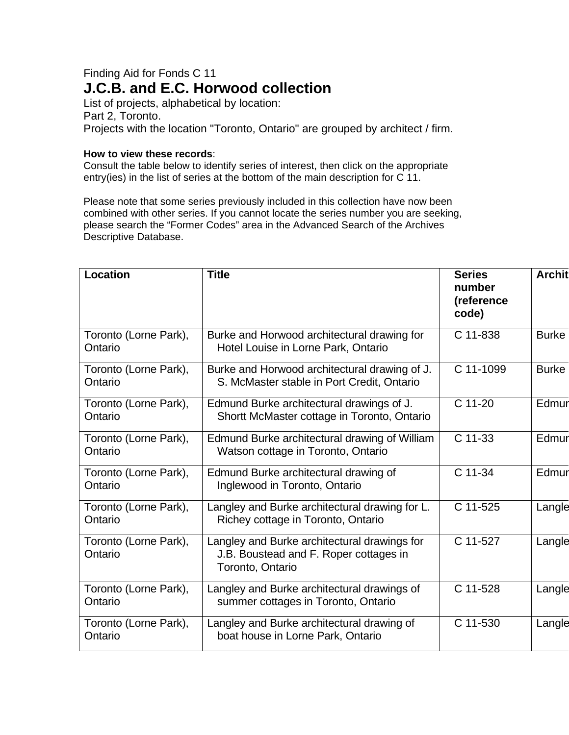## Finding Aid for Fonds C 11 **J.C.B. and E.C. Horwood collection**

List of projects, alphabetical by location: Part 2, Toronto. Projects with the location "Toronto, Ontario" are grouped by architect / firm.

## **How to view these records**:

Consult the table below to identify series of interest, then click on the appropriate entry(ies) in the list of series at the bottom of the main description for C 11.

Please note that some series previously included in this collection have now been combined with other series. If you cannot locate the series number you are seeking, please search the "Former Codes" area in the Advanced Search of the Archives Descriptive Database.

| Location                         | <b>Title</b>                                                                                               | <b>Series</b><br>number<br>(reference<br>code) | <b>Archit</b> |
|----------------------------------|------------------------------------------------------------------------------------------------------------|------------------------------------------------|---------------|
| Toronto (Lorne Park),<br>Ontario | Burke and Horwood architectural drawing for<br>Hotel Louise in Lorne Park, Ontario                         | C 11-838                                       | <b>Burke</b>  |
| Toronto (Lorne Park),<br>Ontario | Burke and Horwood architectural drawing of J.<br>S. McMaster stable in Port Credit, Ontario                | C 11-1099                                      | <b>Burke</b>  |
| Toronto (Lorne Park),<br>Ontario | Edmund Burke architectural drawings of J.<br>Shortt McMaster cottage in Toronto, Ontario                   | C 11-20                                        | Edmur         |
| Toronto (Lorne Park),<br>Ontario | Edmund Burke architectural drawing of William<br>Watson cottage in Toronto, Ontario                        | C 11-33                                        | Edmur         |
| Toronto (Lorne Park),<br>Ontario | Edmund Burke architectural drawing of<br>Inglewood in Toronto, Ontario                                     | C 11-34                                        | Edmur         |
| Toronto (Lorne Park),<br>Ontario | Langley and Burke architectural drawing for L.<br>Richey cottage in Toronto, Ontario                       | C 11-525                                       | Langle        |
| Toronto (Lorne Park),<br>Ontario | Langley and Burke architectural drawings for<br>J.B. Boustead and F. Roper cottages in<br>Toronto, Ontario | C 11-527                                       | Langle        |
| Toronto (Lorne Park),<br>Ontario | Langley and Burke architectural drawings of<br>summer cottages in Toronto, Ontario                         | C 11-528                                       | Langle        |
| Toronto (Lorne Park),<br>Ontario | Langley and Burke architectural drawing of<br>boat house in Lorne Park, Ontario                            | C 11-530                                       | Langle        |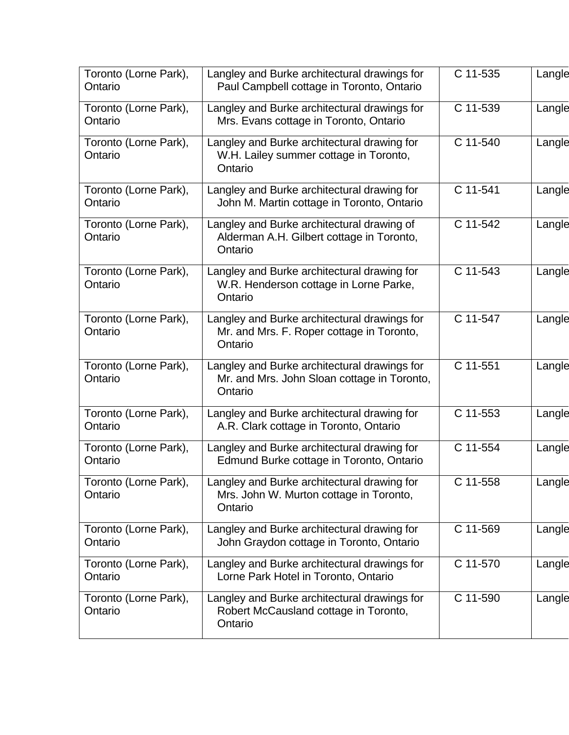| Toronto (Lorne Park),<br>Ontario | Langley and Burke architectural drawings for<br>Paul Campbell cottage in Toronto, Ontario              | C 11-535 | Langle |
|----------------------------------|--------------------------------------------------------------------------------------------------------|----------|--------|
| Toronto (Lorne Park),<br>Ontario | Langley and Burke architectural drawings for<br>Mrs. Evans cottage in Toronto, Ontario                 | C 11-539 | Langle |
| Toronto (Lorne Park),<br>Ontario | Langley and Burke architectural drawing for<br>W.H. Lailey summer cottage in Toronto,<br>Ontario       | C 11-540 | Langle |
| Toronto (Lorne Park),<br>Ontario | Langley and Burke architectural drawing for<br>John M. Martin cottage in Toronto, Ontario              | C 11-541 | Langle |
| Toronto (Lorne Park),<br>Ontario | Langley and Burke architectural drawing of<br>Alderman A.H. Gilbert cottage in Toronto,<br>Ontario     | C 11-542 | Langle |
| Toronto (Lorne Park),<br>Ontario | Langley and Burke architectural drawing for<br>W.R. Henderson cottage in Lorne Parke,<br>Ontario       | C 11-543 | Langle |
| Toronto (Lorne Park),<br>Ontario | Langley and Burke architectural drawings for<br>Mr. and Mrs. F. Roper cottage in Toronto,<br>Ontario   | C 11-547 | Langle |
| Toronto (Lorne Park),<br>Ontario | Langley and Burke architectural drawings for<br>Mr. and Mrs. John Sloan cottage in Toronto,<br>Ontario | C 11-551 | Langle |
| Toronto (Lorne Park),<br>Ontario | Langley and Burke architectural drawing for<br>A.R. Clark cottage in Toronto, Ontario                  | C 11-553 | Langle |
| Toronto (Lorne Park),<br>Ontario | Langley and Burke architectural drawing for<br>Edmund Burke cottage in Toronto, Ontario                | C 11-554 | Langle |
| Toronto (Lorne Park),<br>Ontario | Langley and Burke architectural drawing for<br>Mrs. John W. Murton cottage in Toronto,<br>Ontario      | C 11-558 | Langle |
| Toronto (Lorne Park),<br>Ontario | Langley and Burke architectural drawing for<br>John Graydon cottage in Toronto, Ontario                | C 11-569 | Langle |
| Toronto (Lorne Park),<br>Ontario | Langley and Burke architectural drawings for<br>Lorne Park Hotel in Toronto, Ontario                   | C 11-570 | Langle |
| Toronto (Lorne Park),<br>Ontario | Langley and Burke architectural drawings for<br>Robert McCausland cottage in Toronto,<br>Ontario       | C 11-590 | Langle |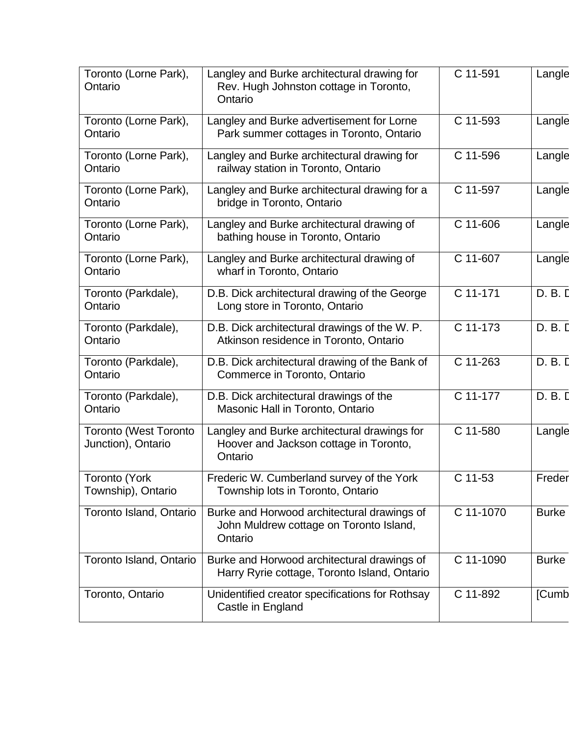| Toronto (Lorne Park),<br>Ontario                   | Langley and Burke architectural drawing for<br>Rev. Hugh Johnston cottage in Toronto,<br>Ontario  | C 11-591   | Langle       |
|----------------------------------------------------|---------------------------------------------------------------------------------------------------|------------|--------------|
| Toronto (Lorne Park),<br>Ontario                   | Langley and Burke advertisement for Lorne<br>Park summer cottages in Toronto, Ontario             | C 11-593   | Langle       |
| Toronto (Lorne Park),<br>Ontario                   | Langley and Burke architectural drawing for<br>railway station in Toronto, Ontario                | C 11-596   | Langle       |
| Toronto (Lorne Park),<br>Ontario                   | Langley and Burke architectural drawing for a<br>bridge in Toronto, Ontario                       | C 11-597   | Langle       |
| Toronto (Lorne Park),<br>Ontario                   | Langley and Burke architectural drawing of<br>bathing house in Toronto, Ontario                   | C 11-606   | Langle       |
| Toronto (Lorne Park),<br>Ontario                   | Langley and Burke architectural drawing of<br>wharf in Toronto, Ontario                           | C 11-607   | Langle       |
| Toronto (Parkdale),<br>Ontario                     | D.B. Dick architectural drawing of the George<br>Long store in Toronto, Ontario                   | C 11-171   | D. B. D      |
| Toronto (Parkdale),<br>Ontario                     | D.B. Dick architectural drawings of the W. P.<br>Atkinson residence in Toronto, Ontario           | $C$ 11-173 | D. B. D      |
| Toronto (Parkdale),<br>Ontario                     | D.B. Dick architectural drawing of the Bank of<br>Commerce in Toronto, Ontario                    | C 11-263   | D. B. D      |
| Toronto (Parkdale),<br>Ontario                     | D.B. Dick architectural drawings of the<br>Masonic Hall in Toronto, Ontario                       | $C$ 11-177 | D. B. D      |
| <b>Toronto (West Toronto</b><br>Junction), Ontario | Langley and Burke architectural drawings for<br>Hoover and Jackson cottage in Toronto,<br>Ontario | C 11-580   | Langle       |
| Toronto (York<br>Township), Ontario                | Frederic W. Cumberland survey of the York<br>Township lots in Toronto, Ontario                    | $C$ 11-53  | Freder       |
| Toronto Island, Ontario                            | Burke and Horwood architectural drawings of<br>John Muldrew cottage on Toronto Island,<br>Ontario | C 11-1070  | <b>Burke</b> |
| Toronto Island, Ontario                            | Burke and Horwood architectural drawings of<br>Harry Ryrie cottage, Toronto Island, Ontario       | C 11-1090  | <b>Burke</b> |
| Toronto, Ontario                                   | Unidentified creator specifications for Rothsay<br>Castle in England                              | C 11-892   | [Cumb        |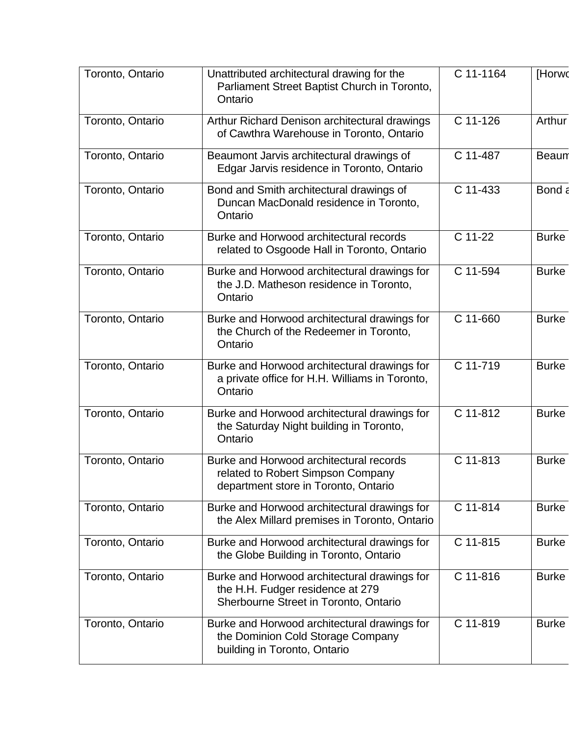| Toronto, Ontario | Unattributed architectural drawing for the<br>Parliament Street Baptist Church in Toronto,<br>Ontario                     | C 11-1164 | [Horwo       |
|------------------|---------------------------------------------------------------------------------------------------------------------------|-----------|--------------|
| Toronto, Ontario | Arthur Richard Denison architectural drawings<br>of Cawthra Warehouse in Toronto, Ontario                                 | C 11-126  | Arthur       |
| Toronto, Ontario | Beaumont Jarvis architectural drawings of<br>Edgar Jarvis residence in Toronto, Ontario                                   | C 11-487  | <b>Beaun</b> |
| Toronto, Ontario | Bond and Smith architectural drawings of<br>Duncan MacDonald residence in Toronto,<br>Ontario                             | C 11-433  | Bond a       |
| Toronto, Ontario | Burke and Horwood architectural records<br>related to Osgoode Hall in Toronto, Ontario                                    | C 11-22   | <b>Burke</b> |
| Toronto, Ontario | Burke and Horwood architectural drawings for<br>the J.D. Matheson residence in Toronto,<br>Ontario                        | C 11-594  | <b>Burke</b> |
| Toronto, Ontario | Burke and Horwood architectural drawings for<br>the Church of the Redeemer in Toronto,<br>Ontario                         | C 11-660  | <b>Burke</b> |
| Toronto, Ontario | Burke and Horwood architectural drawings for<br>a private office for H.H. Williams in Toronto,<br>Ontario                 | C 11-719  | <b>Burke</b> |
| Toronto, Ontario | Burke and Horwood architectural drawings for<br>the Saturday Night building in Toronto,<br>Ontario                        | C 11-812  | <b>Burke</b> |
| Toronto, Ontario | Burke and Horwood architectural records<br>related to Robert Simpson Company<br>department store in Toronto, Ontario      | C 11-813  | <b>Burke</b> |
| Toronto, Ontario | Burke and Horwood architectural drawings for<br>the Alex Millard premises in Toronto, Ontario                             | C 11-814  | <b>Burke</b> |
| Toronto, Ontario | Burke and Horwood architectural drawings for<br>the Globe Building in Toronto, Ontario                                    | C 11-815  | <b>Burke</b> |
| Toronto, Ontario | Burke and Horwood architectural drawings for<br>the H.H. Fudger residence at 279<br>Sherbourne Street in Toronto, Ontario | C 11-816  | <b>Burke</b> |
| Toronto, Ontario | Burke and Horwood architectural drawings for<br>the Dominion Cold Storage Company<br>building in Toronto, Ontario         | C 11-819  | <b>Burke</b> |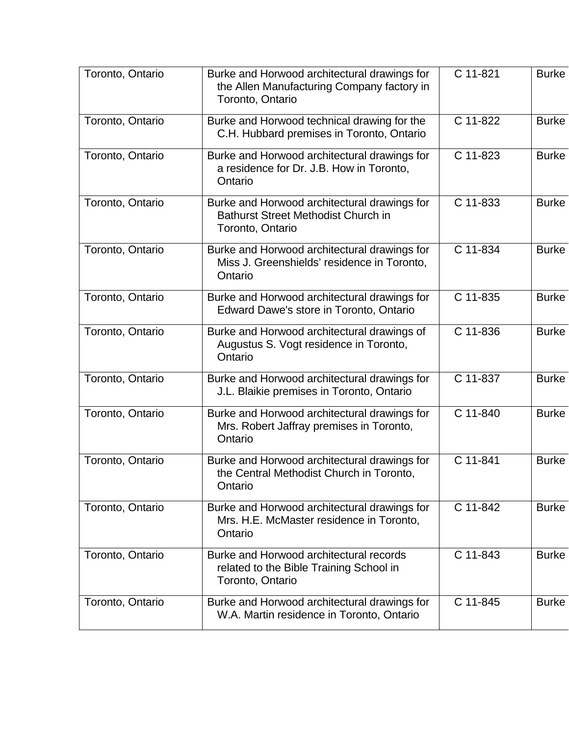| Toronto, Ontario | Burke and Horwood architectural drawings for<br>the Allen Manufacturing Company factory in<br>Toronto, Ontario | C 11-821 | <b>Burke</b> |
|------------------|----------------------------------------------------------------------------------------------------------------|----------|--------------|
| Toronto, Ontario | Burke and Horwood technical drawing for the<br>C.H. Hubbard premises in Toronto, Ontario                       | C 11-822 | <b>Burke</b> |
| Toronto, Ontario | Burke and Horwood architectural drawings for<br>a residence for Dr. J.B. How in Toronto,<br>Ontario            | C 11-823 | <b>Burke</b> |
| Toronto, Ontario | Burke and Horwood architectural drawings for<br><b>Bathurst Street Methodist Church in</b><br>Toronto, Ontario | C 11-833 | <b>Burke</b> |
| Toronto, Ontario | Burke and Horwood architectural drawings for<br>Miss J. Greenshields' residence in Toronto,<br>Ontario         | C 11-834 | <b>Burke</b> |
| Toronto, Ontario | Burke and Horwood architectural drawings for<br>Edward Dawe's store in Toronto, Ontario                        | C 11-835 | <b>Burke</b> |
| Toronto, Ontario | Burke and Horwood architectural drawings of<br>Augustus S. Vogt residence in Toronto,<br>Ontario               | C 11-836 | <b>Burke</b> |
| Toronto, Ontario | Burke and Horwood architectural drawings for<br>J.L. Blaikie premises in Toronto, Ontario                      | C 11-837 | <b>Burke</b> |
| Toronto, Ontario | Burke and Horwood architectural drawings for<br>Mrs. Robert Jaffray premises in Toronto,<br>Ontario            | C 11-840 | <b>Burke</b> |
| Toronto, Ontario | Burke and Horwood architectural drawings for<br>the Central Methodist Church in Toronto,<br>Ontario            | C 11-841 | <b>Burke</b> |
| Toronto, Ontario | Burke and Horwood architectural drawings for<br>Mrs. H.E. McMaster residence in Toronto,<br>Ontario            | C 11-842 | <b>Burke</b> |
| Toronto, Ontario | Burke and Horwood architectural records<br>related to the Bible Training School in<br>Toronto, Ontario         | C 11-843 | <b>Burke</b> |
| Toronto, Ontario | Burke and Horwood architectural drawings for<br>W.A. Martin residence in Toronto, Ontario                      | C 11-845 | <b>Burke</b> |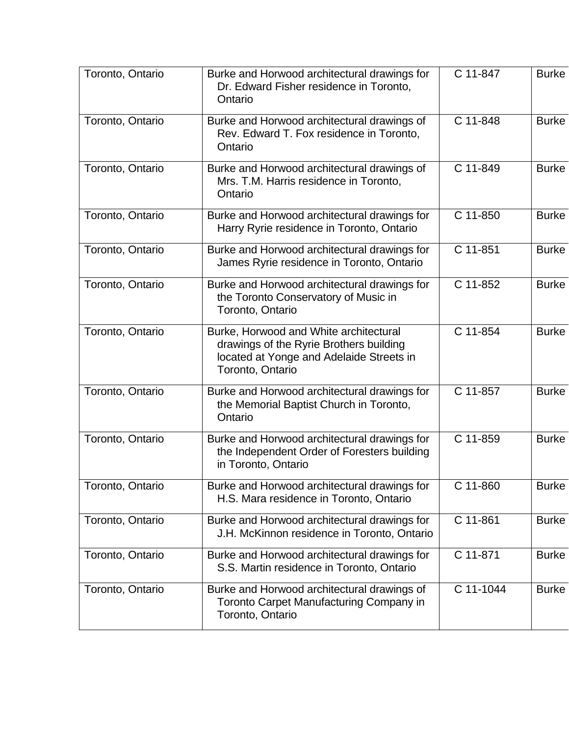| Toronto, Ontario | Burke and Horwood architectural drawings for<br>Dr. Edward Fisher residence in Toronto,<br>Ontario                                                | C 11-847  | <b>Burke</b> |
|------------------|---------------------------------------------------------------------------------------------------------------------------------------------------|-----------|--------------|
| Toronto, Ontario | Burke and Horwood architectural drawings of<br>Rev. Edward T. Fox residence in Toronto,<br>Ontario                                                | C 11-848  | <b>Burke</b> |
| Toronto, Ontario | Burke and Horwood architectural drawings of<br>Mrs. T.M. Harris residence in Toronto,<br>Ontario                                                  | C 11-849  | <b>Burke</b> |
| Toronto, Ontario | Burke and Horwood architectural drawings for<br>Harry Ryrie residence in Toronto, Ontario                                                         | C 11-850  | <b>Burke</b> |
| Toronto, Ontario | Burke and Horwood architectural drawings for<br>James Ryrie residence in Toronto, Ontario                                                         | C 11-851  | <b>Burke</b> |
| Toronto, Ontario | Burke and Horwood architectural drawings for<br>the Toronto Conservatory of Music in<br>Toronto, Ontario                                          | C 11-852  | <b>Burke</b> |
| Toronto, Ontario | Burke, Horwood and White architectural<br>drawings of the Ryrie Brothers building<br>located at Yonge and Adelaide Streets in<br>Toronto, Ontario | C 11-854  | <b>Burke</b> |
| Toronto, Ontario | Burke and Horwood architectural drawings for<br>the Memorial Baptist Church in Toronto,<br>Ontario                                                | C 11-857  | <b>Burke</b> |
| Toronto, Ontario | Burke and Horwood architectural drawings for<br>the Independent Order of Foresters building<br>in Toronto, Ontario                                | C 11-859  | <b>Burke</b> |
| Toronto, Ontario | Burke and Horwood architectural drawings for<br>H.S. Mara residence in Toronto, Ontario                                                           | C 11-860  | <b>Burke</b> |
| Toronto, Ontario | Burke and Horwood architectural drawings for<br>J.H. McKinnon residence in Toronto, Ontario                                                       | C 11-861  | <b>Burke</b> |
| Toronto, Ontario | Burke and Horwood architectural drawings for<br>S.S. Martin residence in Toronto, Ontario                                                         | C 11-871  | <b>Burke</b> |
| Toronto, Ontario | Burke and Horwood architectural drawings of<br>Toronto Carpet Manufacturing Company in<br>Toronto, Ontario                                        | C 11-1044 | <b>Burke</b> |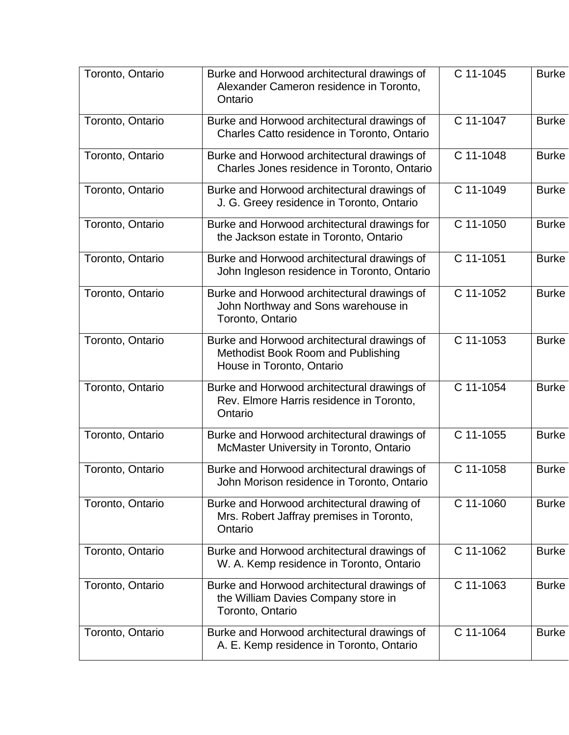| Toronto, Ontario | Burke and Horwood architectural drawings of<br>Alexander Cameron residence in Toronto,<br>Ontario              | C 11-1045 | <b>Burke</b> |
|------------------|----------------------------------------------------------------------------------------------------------------|-----------|--------------|
| Toronto, Ontario | Burke and Horwood architectural drawings of<br>Charles Catto residence in Toronto, Ontario                     | C 11-1047 | <b>Burke</b> |
| Toronto, Ontario | Burke and Horwood architectural drawings of<br>Charles Jones residence in Toronto, Ontario                     | C 11-1048 | <b>Burke</b> |
| Toronto, Ontario | Burke and Horwood architectural drawings of<br>J. G. Greey residence in Toronto, Ontario                       | C 11-1049 | <b>Burke</b> |
| Toronto, Ontario | Burke and Horwood architectural drawings for<br>the Jackson estate in Toronto, Ontario                         | C 11-1050 | <b>Burke</b> |
| Toronto, Ontario | Burke and Horwood architectural drawings of<br>John Ingleson residence in Toronto, Ontario                     | C 11-1051 | <b>Burke</b> |
| Toronto, Ontario | Burke and Horwood architectural drawings of<br>John Northway and Sons warehouse in<br>Toronto, Ontario         | C 11-1052 | <b>Burke</b> |
| Toronto, Ontario | Burke and Horwood architectural drawings of<br>Methodist Book Room and Publishing<br>House in Toronto, Ontario | C 11-1053 | <b>Burke</b> |
| Toronto, Ontario | Burke and Horwood architectural drawings of<br>Rev. Elmore Harris residence in Toronto,<br>Ontario             | C 11-1054 | <b>Burke</b> |
| Toronto, Ontario | Burke and Horwood architectural drawings of<br>McMaster University in Toronto, Ontario                         | C 11-1055 | <b>Burke</b> |
| Toronto, Ontario | Burke and Horwood architectural drawings of<br>John Morison residence in Toronto, Ontario                      | C 11-1058 | <b>Burke</b> |
| Toronto, Ontario | Burke and Horwood architectural drawing of<br>Mrs. Robert Jaffray premises in Toronto,<br>Ontario              | C 11-1060 | <b>Burke</b> |
| Toronto, Ontario | Burke and Horwood architectural drawings of<br>W. A. Kemp residence in Toronto, Ontario                        | C 11-1062 | <b>Burke</b> |
| Toronto, Ontario | Burke and Horwood architectural drawings of<br>the William Davies Company store in<br>Toronto, Ontario         | C 11-1063 | <b>Burke</b> |
| Toronto, Ontario | Burke and Horwood architectural drawings of<br>A. E. Kemp residence in Toronto, Ontario                        | C 11-1064 | <b>Burke</b> |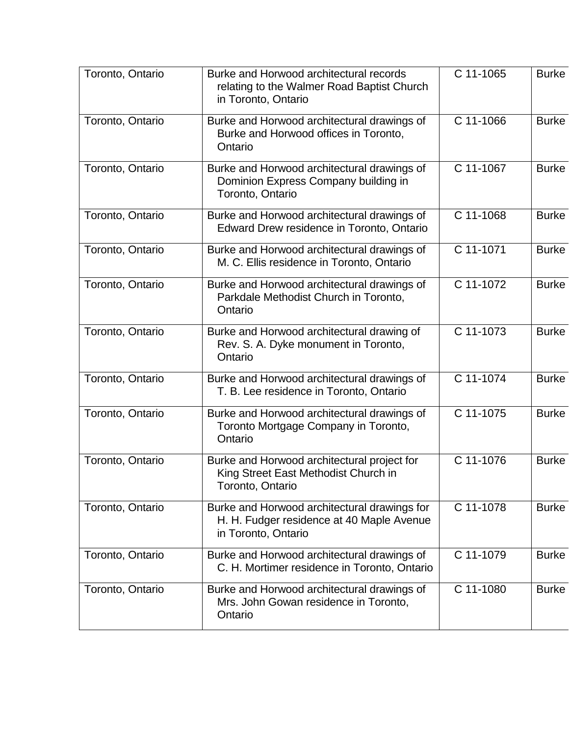| Toronto, Ontario | Burke and Horwood architectural records<br>relating to the Walmer Road Baptist Church<br>in Toronto, Ontario     | C 11-1065   | <b>Burke</b> |
|------------------|------------------------------------------------------------------------------------------------------------------|-------------|--------------|
| Toronto, Ontario | Burke and Horwood architectural drawings of<br>Burke and Horwood offices in Toronto,<br>Ontario                  | C 11-1066   | <b>Burke</b> |
| Toronto, Ontario | Burke and Horwood architectural drawings of<br>Dominion Express Company building in<br>Toronto, Ontario          | C 11-1067   | <b>Burke</b> |
| Toronto, Ontario | Burke and Horwood architectural drawings of<br>Edward Drew residence in Toronto, Ontario                         | C 11-1068   | <b>Burke</b> |
| Toronto, Ontario | Burke and Horwood architectural drawings of<br>M. C. Ellis residence in Toronto, Ontario                         | C 11-1071   | <b>Burke</b> |
| Toronto, Ontario | Burke and Horwood architectural drawings of<br>Parkdale Methodist Church in Toronto,<br>Ontario                  | $C$ 11-1072 | <b>Burke</b> |
| Toronto, Ontario | Burke and Horwood architectural drawing of<br>Rev. S. A. Dyke monument in Toronto,<br>Ontario                    | C 11-1073   | <b>Burke</b> |
| Toronto, Ontario | Burke and Horwood architectural drawings of<br>T. B. Lee residence in Toronto, Ontario                           | C 11-1074   | <b>Burke</b> |
| Toronto, Ontario | Burke and Horwood architectural drawings of<br>Toronto Mortgage Company in Toronto,<br>Ontario                   | C 11-1075   | <b>Burke</b> |
| Toronto, Ontario | Burke and Horwood architectural project for<br>King Street East Methodist Church in<br>Toronto, Ontario          | C 11-1076   | <b>Burke</b> |
| Toronto, Ontario | Burke and Horwood architectural drawings for<br>H. H. Fudger residence at 40 Maple Avenue<br>in Toronto, Ontario | C 11-1078   | <b>Burke</b> |
| Toronto, Ontario | Burke and Horwood architectural drawings of<br>C. H. Mortimer residence in Toronto, Ontario                      | C 11-1079   | <b>Burke</b> |
| Toronto, Ontario | Burke and Horwood architectural drawings of<br>Mrs. John Gowan residence in Toronto,<br>Ontario                  | C 11-1080   | <b>Burke</b> |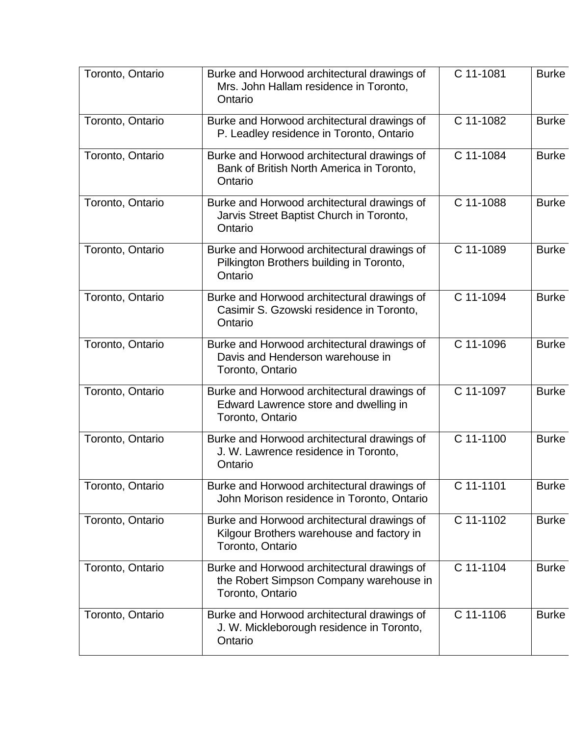| Toronto, Ontario | Burke and Horwood architectural drawings of<br>Mrs. John Hallam residence in Toronto,<br>Ontario             | C 11-1081 | <b>Burke</b> |
|------------------|--------------------------------------------------------------------------------------------------------------|-----------|--------------|
| Toronto, Ontario | Burke and Horwood architectural drawings of<br>P. Leadley residence in Toronto, Ontario                      | C 11-1082 | <b>Burke</b> |
| Toronto, Ontario | Burke and Horwood architectural drawings of<br>Bank of British North America in Toronto,<br>Ontario          | C 11-1084 | <b>Burke</b> |
| Toronto, Ontario | Burke and Horwood architectural drawings of<br>Jarvis Street Baptist Church in Toronto,<br>Ontario           | C 11-1088 | <b>Burke</b> |
| Toronto, Ontario | Burke and Horwood architectural drawings of<br>Pilkington Brothers building in Toronto,<br>Ontario           | C 11-1089 | <b>Burke</b> |
| Toronto, Ontario | Burke and Horwood architectural drawings of<br>Casimir S. Gzowski residence in Toronto,<br>Ontario           | C 11-1094 | <b>Burke</b> |
| Toronto, Ontario | Burke and Horwood architectural drawings of<br>Davis and Henderson warehouse in<br>Toronto, Ontario          | C 11-1096 | <b>Burke</b> |
| Toronto, Ontario | Burke and Horwood architectural drawings of<br>Edward Lawrence store and dwelling in<br>Toronto, Ontario     | C 11-1097 | <b>Burke</b> |
| Toronto, Ontario | Burke and Horwood architectural drawings of<br>J. W. Lawrence residence in Toronto,<br>Ontario               | C 11-1100 | <b>Burke</b> |
| Toronto, Ontario | Burke and Horwood architectural drawings of<br>John Morison residence in Toronto, Ontario                    | C 11-1101 | <b>Burke</b> |
| Toronto, Ontario | Burke and Horwood architectural drawings of<br>Kilgour Brothers warehouse and factory in<br>Toronto, Ontario | C 11-1102 | <b>Burke</b> |
| Toronto, Ontario | Burke and Horwood architectural drawings of<br>the Robert Simpson Company warehouse in<br>Toronto, Ontario   | C 11-1104 | <b>Burke</b> |
| Toronto, Ontario | Burke and Horwood architectural drawings of<br>J. W. Mickleborough residence in Toronto,<br>Ontario          | C 11-1106 | <b>Burke</b> |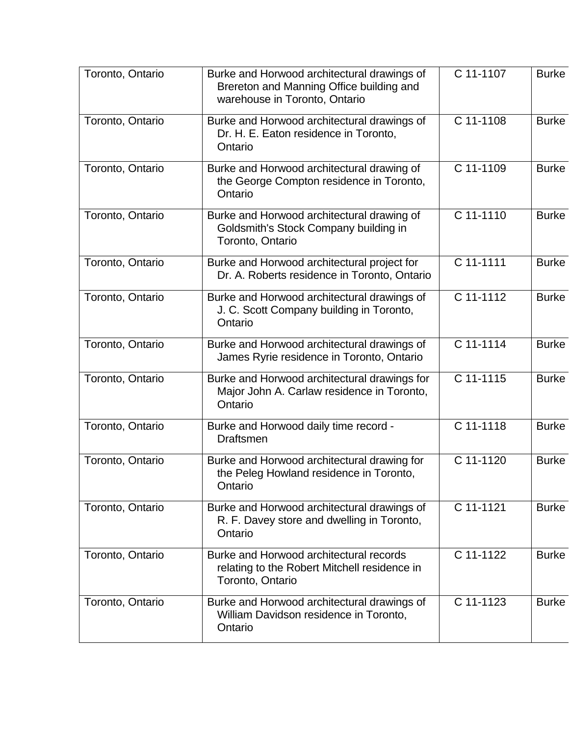| Toronto, Ontario | Burke and Horwood architectural drawings of<br>Brereton and Manning Office building and<br>warehouse in Toronto, Ontario | C 11-1107   | <b>Burke</b> |
|------------------|--------------------------------------------------------------------------------------------------------------------------|-------------|--------------|
| Toronto, Ontario | Burke and Horwood architectural drawings of<br>Dr. H. E. Eaton residence in Toronto,<br>Ontario                          | C 11-1108   | <b>Burke</b> |
| Toronto, Ontario | Burke and Horwood architectural drawing of<br>the George Compton residence in Toronto,<br>Ontario                        | C 11-1109   | <b>Burke</b> |
| Toronto, Ontario | Burke and Horwood architectural drawing of<br>Goldsmith's Stock Company building in<br>Toronto, Ontario                  | C 11-1110   | <b>Burke</b> |
| Toronto, Ontario | Burke and Horwood architectural project for<br>Dr. A. Roberts residence in Toronto, Ontario                              | C 11-1111   | <b>Burke</b> |
| Toronto, Ontario | Burke and Horwood architectural drawings of<br>J. C. Scott Company building in Toronto,<br>Ontario                       | $C$ 11-1112 | <b>Burke</b> |
| Toronto, Ontario | Burke and Horwood architectural drawings of<br>James Ryrie residence in Toronto, Ontario                                 | C 11-1114   | <b>Burke</b> |
| Toronto, Ontario | Burke and Horwood architectural drawings for<br>Major John A. Carlaw residence in Toronto,<br>Ontario                    | C 11-1115   | <b>Burke</b> |
| Toronto, Ontario | Burke and Horwood daily time record -<br><b>Draftsmen</b>                                                                | C 11-1118   | <b>Burke</b> |
| Toronto, Ontario | Burke and Horwood architectural drawing for<br>the Peleg Howland residence in Toronto,<br>Ontario                        | C 11-1120   | <b>Burke</b> |
| Toronto, Ontario | Burke and Horwood architectural drawings of<br>R. F. Davey store and dwelling in Toronto,<br>Ontario                     | C 11-1121   | <b>Burke</b> |
| Toronto, Ontario | Burke and Horwood architectural records<br>relating to the Robert Mitchell residence in<br>Toronto, Ontario              | C 11-1122   | <b>Burke</b> |
| Toronto, Ontario | Burke and Horwood architectural drawings of<br>William Davidson residence in Toronto,<br>Ontario                         | C 11-1123   | <b>Burke</b> |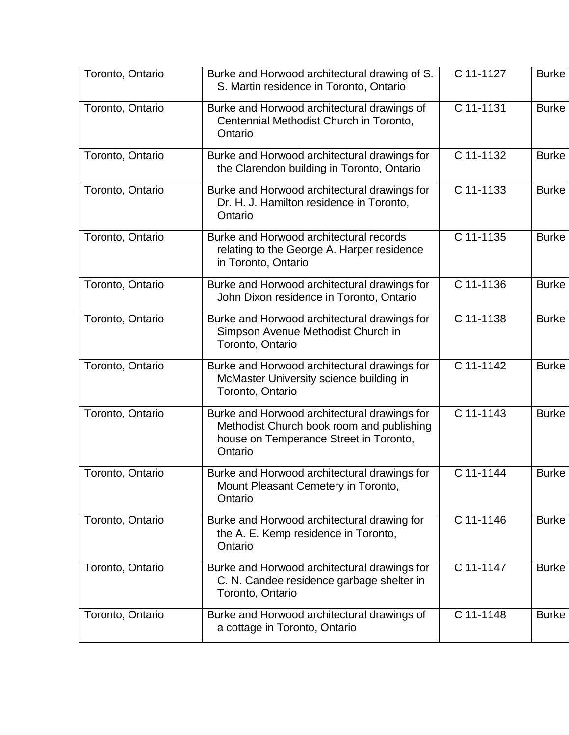| Toronto, Ontario | Burke and Horwood architectural drawing of S.<br>S. Martin residence in Toronto, Ontario                                                       | C 11-1127   | <b>Burke</b> |
|------------------|------------------------------------------------------------------------------------------------------------------------------------------------|-------------|--------------|
| Toronto, Ontario | Burke and Horwood architectural drawings of<br>Centennial Methodist Church in Toronto,<br>Ontario                                              | C 11-1131   | <b>Burke</b> |
| Toronto, Ontario | Burke and Horwood architectural drawings for<br>the Clarendon building in Toronto, Ontario                                                     | C 11-1132   | <b>Burke</b> |
| Toronto, Ontario | Burke and Horwood architectural drawings for<br>Dr. H. J. Hamilton residence in Toronto,<br>Ontario                                            | C 11-1133   | <b>Burke</b> |
| Toronto, Ontario | Burke and Horwood architectural records<br>relating to the George A. Harper residence<br>in Toronto, Ontario                                   | C 11-1135   | <b>Burke</b> |
| Toronto, Ontario | Burke and Horwood architectural drawings for<br>John Dixon residence in Toronto, Ontario                                                       | C 11-1136   | <b>Burke</b> |
| Toronto, Ontario | Burke and Horwood architectural drawings for<br>Simpson Avenue Methodist Church in<br>Toronto, Ontario                                         | C 11-1138   | <b>Burke</b> |
| Toronto, Ontario | Burke and Horwood architectural drawings for<br>McMaster University science building in<br>Toronto, Ontario                                    | C 11-1142   | <b>Burke</b> |
| Toronto, Ontario | Burke and Horwood architectural drawings for<br>Methodist Church book room and publishing<br>house on Temperance Street in Toronto,<br>Ontario | C 11-1143   | <b>Burke</b> |
| Toronto, Ontario | Burke and Horwood architectural drawings for<br>Mount Pleasant Cemetery in Toronto,<br>Ontario                                                 | C 11-1144   | <b>Burke</b> |
| Toronto, Ontario | Burke and Horwood architectural drawing for<br>the A. E. Kemp residence in Toronto,<br>Ontario                                                 | C 11-1146   | <b>Burke</b> |
| Toronto, Ontario | Burke and Horwood architectural drawings for<br>C. N. Candee residence garbage shelter in<br>Toronto, Ontario                                  | C 11-1147   | <b>Burke</b> |
| Toronto, Ontario | Burke and Horwood architectural drawings of<br>a cottage in Toronto, Ontario                                                                   | $C$ 11-1148 | <b>Burke</b> |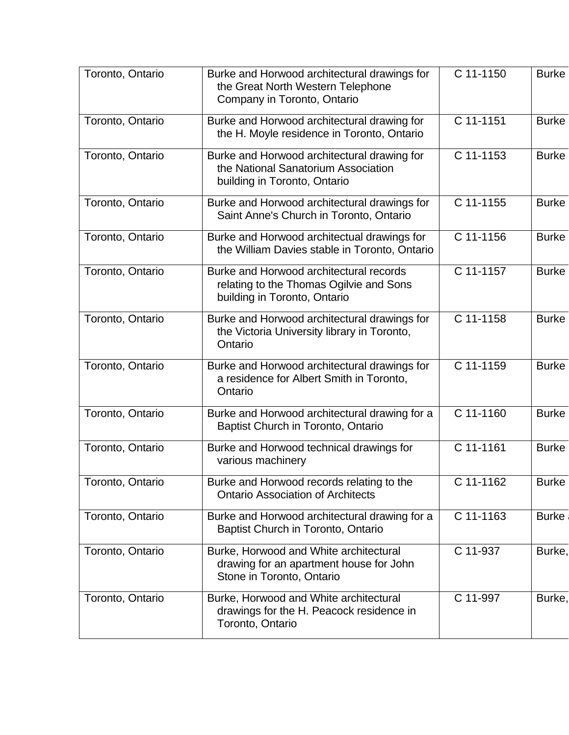| Toronto, Ontario | Burke and Horwood architectural drawings for<br>the Great North Western Telephone<br>Company in Toronto, Ontario   | C 11-1150   | <b>Burke</b> |
|------------------|--------------------------------------------------------------------------------------------------------------------|-------------|--------------|
| Toronto, Ontario | Burke and Horwood architectural drawing for<br>the H. Moyle residence in Toronto, Ontario                          | C 11-1151   | <b>Burke</b> |
| Toronto, Ontario | Burke and Horwood architectural drawing for<br>the National Sanatorium Association<br>building in Toronto, Ontario | C 11-1153   | <b>Burke</b> |
| Toronto, Ontario | Burke and Horwood architectural drawings for<br>Saint Anne's Church in Toronto, Ontario                            | C 11-1155   | <b>Burke</b> |
| Toronto, Ontario | Burke and Horwood architectual drawings for<br>the William Davies stable in Toronto, Ontario                       | C 11-1156   | <b>Burke</b> |
| Toronto, Ontario | Burke and Horwood architectural records<br>relating to the Thomas Ogilvie and Sons<br>building in Toronto, Ontario | C 11-1157   | <b>Burke</b> |
| Toronto, Ontario | Burke and Horwood architectural drawings for<br>the Victoria University library in Toronto,<br>Ontario             | C 11-1158   | <b>Burke</b> |
| Toronto, Ontario | Burke and Horwood architectural drawings for<br>a residence for Albert Smith in Toronto,<br>Ontario                | C 11-1159   | <b>Burke</b> |
| Toronto, Ontario | Burke and Horwood architectural drawing for a<br>Baptist Church in Toronto, Ontario                                | C 11-1160   | <b>Burke</b> |
| Toronto, Ontario | Burke and Horwood technical drawings for<br>various machinery                                                      | $C$ 11-1161 | <b>Burke</b> |
| Toronto, Ontario | Burke and Horwood records relating to the<br><b>Ontario Association of Architects</b>                              | C 11-1162   | <b>Burke</b> |
| Toronto, Ontario | Burke and Horwood architectural drawing for a<br>Baptist Church in Toronto, Ontario                                | C 11-1163   | <b>Burke</b> |
| Toronto, Ontario | Burke, Horwood and White architectural<br>drawing for an apartment house for John<br>Stone in Toronto, Ontario     | C 11-937    | Burke,       |
| Toronto, Ontario | Burke, Horwood and White architectural<br>drawings for the H. Peacock residence in<br>Toronto, Ontario             | C 11-997    | Burke,       |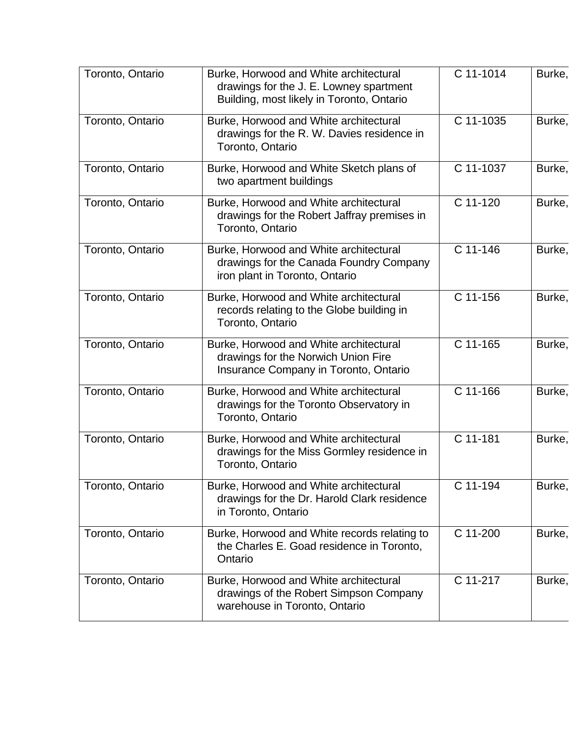| Toronto, Ontario | Burke, Horwood and White architectural<br>drawings for the J. E. Lowney spartment<br>Building, most likely in Toronto, Ontario | C 11-1014 | Burke, |
|------------------|--------------------------------------------------------------------------------------------------------------------------------|-----------|--------|
| Toronto, Ontario | Burke, Horwood and White architectural<br>drawings for the R. W. Davies residence in<br>Toronto, Ontario                       | C 11-1035 | Burke, |
| Toronto, Ontario | Burke, Horwood and White Sketch plans of<br>two apartment buildings                                                            | C 11-1037 | Burke, |
| Toronto, Ontario | Burke, Horwood and White architectural<br>drawings for the Robert Jaffray premises in<br>Toronto, Ontario                      | C 11-120  | Burke, |
| Toronto, Ontario | Burke, Horwood and White architectural<br>drawings for the Canada Foundry Company<br>iron plant in Toronto, Ontario            | C 11-146  | Burke, |
| Toronto, Ontario | Burke, Horwood and White architectural<br>records relating to the Globe building in<br>Toronto, Ontario                        | C 11-156  | Burke, |
| Toronto, Ontario | Burke, Horwood and White architectural<br>drawings for the Norwich Union Fire<br>Insurance Company in Toronto, Ontario         | C 11-165  | Burke, |
| Toronto, Ontario | Burke, Horwood and White architectural<br>drawings for the Toronto Observatory in<br>Toronto, Ontario                          | C 11-166  | Burke, |
| Toronto, Ontario | Burke, Horwood and White architectural<br>drawings for the Miss Gormley residence in<br>Toronto, Ontario                       | C 11-181  | Burke, |
| Toronto, Ontario | Burke, Horwood and White architectural<br>drawings for the Dr. Harold Clark residence<br>in Toronto, Ontario                   | C 11-194  | Burke, |
| Toronto, Ontario | Burke, Horwood and White records relating to<br>the Charles E. Goad residence in Toronto,<br>Ontario                           | C 11-200  | Burke, |
| Toronto, Ontario | Burke, Horwood and White architectural<br>drawings of the Robert Simpson Company<br>warehouse in Toronto, Ontario              | C 11-217  | Burke, |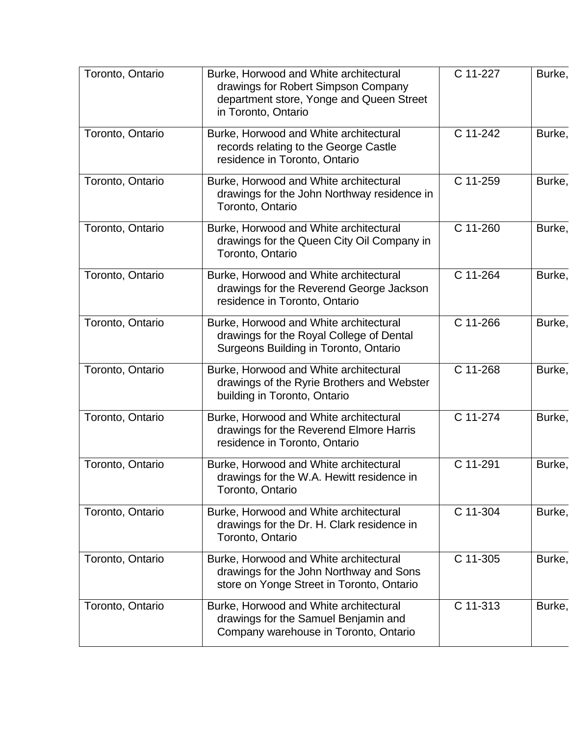| Toronto, Ontario | Burke, Horwood and White architectural<br>drawings for Robert Simpson Company<br>department store, Yonge and Queen Street<br>in Toronto, Ontario | C 11-227 | Burke, |
|------------------|--------------------------------------------------------------------------------------------------------------------------------------------------|----------|--------|
| Toronto, Ontario | Burke, Horwood and White architectural<br>records relating to the George Castle<br>residence in Toronto, Ontario                                 | C 11-242 | Burke, |
| Toronto, Ontario | Burke, Horwood and White architectural<br>drawings for the John Northway residence in<br>Toronto, Ontario                                        | C 11-259 | Burke, |
| Toronto, Ontario | Burke, Horwood and White architectural<br>drawings for the Queen City Oil Company in<br>Toronto, Ontario                                         | C 11-260 | Burke, |
| Toronto, Ontario | Burke, Horwood and White architectural<br>drawings for the Reverend George Jackson<br>residence in Toronto, Ontario                              | C 11-264 | Burke, |
| Toronto, Ontario | Burke, Horwood and White architectural<br>drawings for the Royal College of Dental<br>Surgeons Building in Toronto, Ontario                      | C 11-266 | Burke, |
| Toronto, Ontario | Burke, Horwood and White architectural<br>drawings of the Ryrie Brothers and Webster<br>building in Toronto, Ontario                             | C 11-268 | Burke, |
| Toronto, Ontario | Burke, Horwood and White architectural<br>drawings for the Reverend Elmore Harris<br>residence in Toronto, Ontario                               | C 11-274 | Burke, |
| Toronto, Ontario | Burke, Horwood and White architectural<br>drawings for the W.A. Hewitt residence in<br>Toronto, Ontario                                          | C 11-291 | Burke, |
| Toronto, Ontario | Burke, Horwood and White architectural<br>drawings for the Dr. H. Clark residence in<br>Toronto, Ontario                                         | C 11-304 | Burke, |
| Toronto, Ontario | Burke, Horwood and White architectural<br>drawings for the John Northway and Sons<br>store on Yonge Street in Toronto, Ontario                   | C 11-305 | Burke, |
| Toronto, Ontario | Burke, Horwood and White architectural<br>drawings for the Samuel Benjamin and<br>Company warehouse in Toronto, Ontario                          | C 11-313 | Burke, |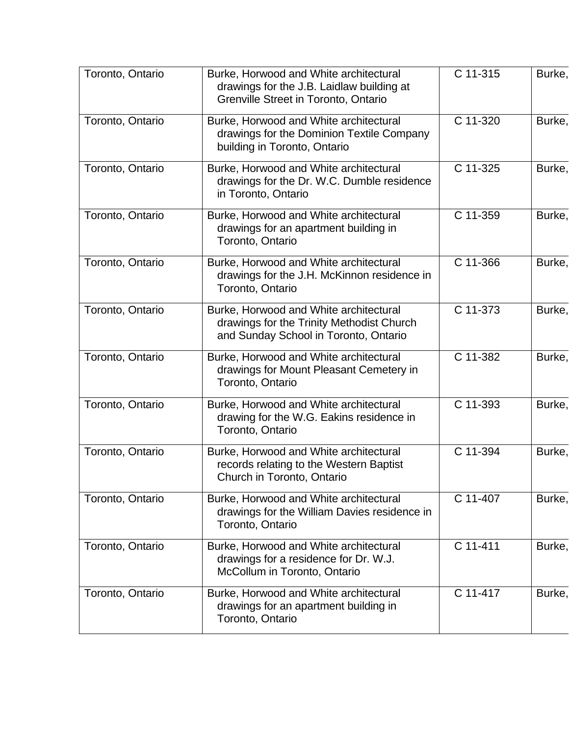| Toronto, Ontario | Burke, Horwood and White architectural<br>drawings for the J.B. Laidlaw building at<br>Grenville Street in Toronto, Ontario  | C 11-315 | Burke, |
|------------------|------------------------------------------------------------------------------------------------------------------------------|----------|--------|
| Toronto, Ontario | Burke, Horwood and White architectural<br>drawings for the Dominion Textile Company<br>building in Toronto, Ontario          | C 11-320 | Burke, |
| Toronto, Ontario | Burke, Horwood and White architectural<br>drawings for the Dr. W.C. Dumble residence<br>in Toronto, Ontario                  | C 11-325 | Burke, |
| Toronto, Ontario | Burke, Horwood and White architectural<br>drawings for an apartment building in<br>Toronto, Ontario                          | C 11-359 | Burke, |
| Toronto, Ontario | Burke, Horwood and White architectural<br>drawings for the J.H. McKinnon residence in<br>Toronto, Ontario                    | C 11-366 | Burke, |
| Toronto, Ontario | Burke, Horwood and White architectural<br>drawings for the Trinity Methodist Church<br>and Sunday School in Toronto, Ontario | C 11-373 | Burke, |
| Toronto, Ontario | Burke, Horwood and White architectural<br>drawings for Mount Pleasant Cemetery in<br>Toronto, Ontario                        | C 11-382 | Burke, |
| Toronto, Ontario | Burke, Horwood and White architectural<br>drawing for the W.G. Eakins residence in<br>Toronto, Ontario                       | C 11-393 | Burke, |
| Toronto, Ontario | Burke, Horwood and White architectural<br>records relating to the Western Baptist<br>Church in Toronto, Ontario              | C 11-394 | Burke, |
| Toronto, Ontario | Burke, Horwood and White architectural<br>drawings for the William Davies residence in<br>Toronto, Ontario                   | C 11-407 | Burke, |
| Toronto, Ontario | Burke, Horwood and White architectural<br>drawings for a residence for Dr. W.J.<br>McCollum in Toronto, Ontario              | C 11-411 | Burke, |
| Toronto, Ontario | Burke, Horwood and White architectural<br>drawings for an apartment building in<br>Toronto, Ontario                          | C 11-417 | Burke, |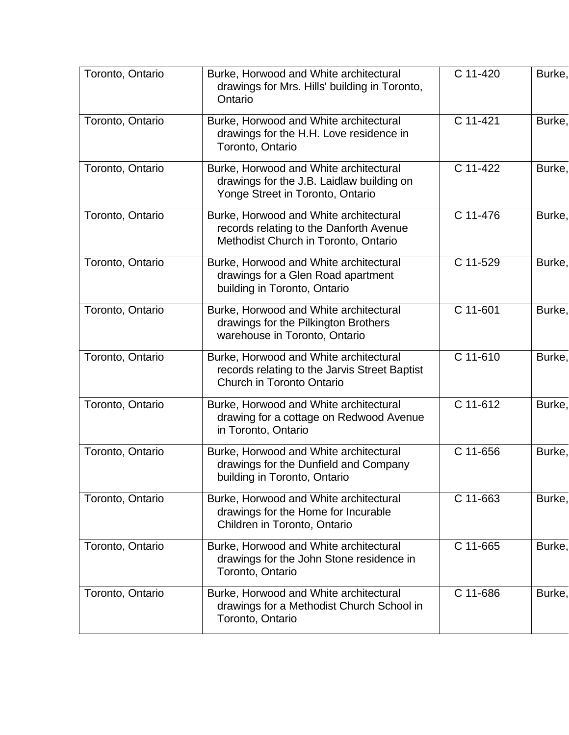| Toronto, Ontario | Burke, Horwood and White architectural<br>drawings for Mrs. Hills' building in Toronto,<br>Ontario                        | C 11-420 | Burke, |
|------------------|---------------------------------------------------------------------------------------------------------------------------|----------|--------|
| Toronto, Ontario | Burke, Horwood and White architectural<br>drawings for the H.H. Love residence in<br>Toronto, Ontario                     | C 11-421 | Burke, |
| Toronto, Ontario | Burke, Horwood and White architectural<br>drawings for the J.B. Laidlaw building on<br>Yonge Street in Toronto, Ontario   | C 11-422 | Burke, |
| Toronto, Ontario | Burke, Horwood and White architectural<br>records relating to the Danforth Avenue<br>Methodist Church in Toronto, Ontario | C 11-476 | Burke, |
| Toronto, Ontario | Burke, Horwood and White architectural<br>drawings for a Glen Road apartment<br>building in Toronto, Ontario              | C 11-529 | Burke, |
| Toronto, Ontario | Burke, Horwood and White architectural<br>drawings for the Pilkington Brothers<br>warehouse in Toronto, Ontario           | C 11-601 | Burke, |
| Toronto, Ontario | Burke, Horwood and White architectural<br>records relating to the Jarvis Street Baptist<br>Church in Toronto Ontario      | C 11-610 | Burke, |
| Toronto, Ontario | Burke, Horwood and White architectural<br>drawing for a cottage on Redwood Avenue<br>in Toronto, Ontario                  | C 11-612 | Burke, |
| Toronto, Ontario | Burke, Horwood and White architectural<br>drawings for the Dunfield and Company<br>building in Toronto, Ontario           | C 11-656 | Burke, |
| Toronto, Ontario | Burke, Horwood and White architectural<br>drawings for the Home for Incurable<br>Children in Toronto, Ontario             | C 11-663 | Burke, |
| Toronto, Ontario | Burke, Horwood and White architectural<br>drawings for the John Stone residence in<br>Toronto, Ontario                    | C 11-665 | Burke, |
| Toronto, Ontario | Burke, Horwood and White architectural<br>drawings for a Methodist Church School in<br>Toronto, Ontario                   | C 11-686 | Burke, |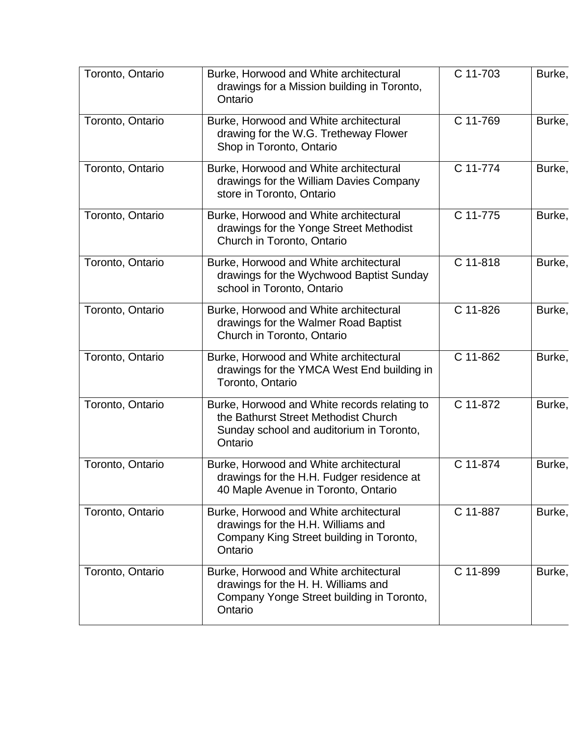| Toronto, Ontario | Burke, Horwood and White architectural<br>drawings for a Mission building in Toronto,<br>Ontario                                            | C 11-703 | Burke, |
|------------------|---------------------------------------------------------------------------------------------------------------------------------------------|----------|--------|
| Toronto, Ontario | Burke, Horwood and White architectural<br>drawing for the W.G. Tretheway Flower<br>Shop in Toronto, Ontario                                 | C 11-769 | Burke, |
| Toronto, Ontario | Burke, Horwood and White architectural<br>drawings for the William Davies Company<br>store in Toronto, Ontario                              | C 11-774 | Burke, |
| Toronto, Ontario | Burke, Horwood and White architectural<br>drawings for the Yonge Street Methodist<br>Church in Toronto, Ontario                             | C 11-775 | Burke, |
| Toronto, Ontario | Burke, Horwood and White architectural<br>drawings for the Wychwood Baptist Sunday<br>school in Toronto, Ontario                            | C 11-818 | Burke, |
| Toronto, Ontario | Burke, Horwood and White architectural<br>drawings for the Walmer Road Baptist<br>Church in Toronto, Ontario                                | C 11-826 | Burke, |
| Toronto, Ontario | Burke, Horwood and White architectural<br>drawings for the YMCA West End building in<br>Toronto, Ontario                                    | C 11-862 | Burke, |
| Toronto, Ontario | Burke, Horwood and White records relating to<br>the Bathurst Street Methodist Church<br>Sunday school and auditorium in Toronto,<br>Ontario | C 11-872 | Burke, |
| Toronto, Ontario | Burke, Horwood and White architectural<br>drawings for the H.H. Fudger residence at<br>40 Maple Avenue in Toronto, Ontario                  | C 11-874 | Burke, |
| Toronto, Ontario | Burke, Horwood and White architectural<br>drawings for the H.H. Williams and<br>Company King Street building in Toronto,<br>Ontario         | C 11-887 | Burke, |
| Toronto, Ontario | Burke, Horwood and White architectural<br>drawings for the H. H. Williams and<br>Company Yonge Street building in Toronto,<br>Ontario       | C 11-899 | Burke, |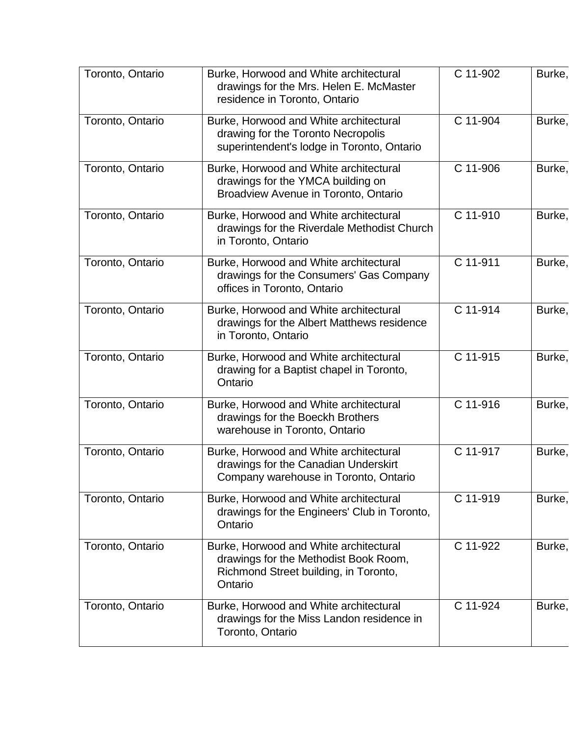| Toronto, Ontario | Burke, Horwood and White architectural<br>drawings for the Mrs. Helen E. McMaster<br>residence in Toronto, Ontario                  | C 11-902   | Burke, |
|------------------|-------------------------------------------------------------------------------------------------------------------------------------|------------|--------|
| Toronto, Ontario | Burke, Horwood and White architectural<br>drawing for the Toronto Necropolis<br>superintendent's lodge in Toronto, Ontario          | C 11-904   | Burke, |
| Toronto, Ontario | Burke, Horwood and White architectural<br>drawings for the YMCA building on<br>Broadview Avenue in Toronto, Ontario                 | C 11-906   | Burke, |
| Toronto, Ontario | Burke, Horwood and White architectural<br>drawings for the Riverdale Methodist Church<br>in Toronto, Ontario                        | C 11-910   | Burke, |
| Toronto, Ontario | Burke, Horwood and White architectural<br>drawings for the Consumers' Gas Company<br>offices in Toronto, Ontario                    | C 11-911   | Burke, |
| Toronto, Ontario | Burke, Horwood and White architectural<br>drawings for the Albert Matthews residence<br>in Toronto, Ontario                         | C 11-914   | Burke, |
| Toronto, Ontario | Burke, Horwood and White architectural<br>drawing for a Baptist chapel in Toronto,<br>Ontario                                       | C 11-915   | Burke, |
| Toronto, Ontario | Burke, Horwood and White architectural<br>drawings for the Boeckh Brothers<br>warehouse in Toronto, Ontario                         | C 11-916   | Burke, |
| Toronto, Ontario | Burke, Horwood and White architectural<br>drawings for the Canadian Underskirt<br>Company warehouse in Toronto, Ontario             | C 11-917   | Burke, |
| Toronto, Ontario | Burke, Horwood and White architectural<br>drawings for the Engineers' Club in Toronto,<br>Ontario                                   | $C$ 11-919 | Burke, |
| Toronto, Ontario | Burke, Horwood and White architectural<br>drawings for the Methodist Book Room,<br>Richmond Street building, in Toronto,<br>Ontario | C 11-922   | Burke, |
| Toronto, Ontario | Burke, Horwood and White architectural<br>drawings for the Miss Landon residence in<br>Toronto, Ontario                             | C 11-924   | Burke, |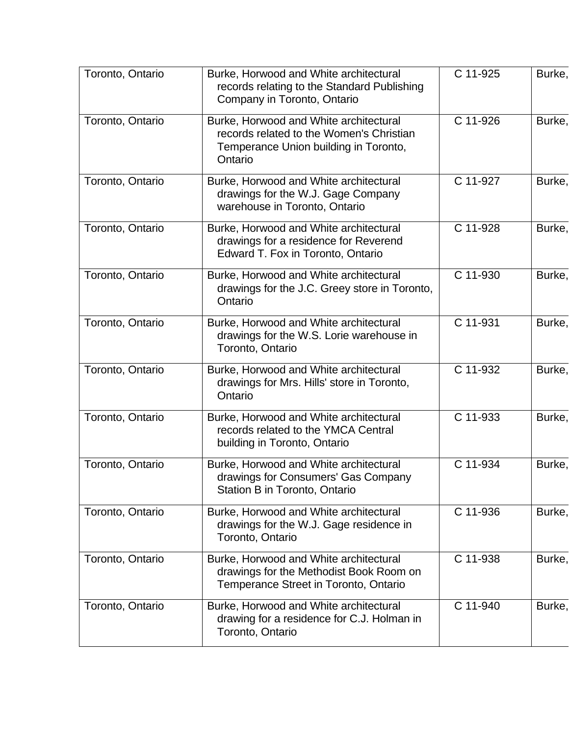| Toronto, Ontario | Burke, Horwood and White architectural<br>records relating to the Standard Publishing<br>Company in Toronto, Ontario                   | C 11-925 | Burke, |
|------------------|----------------------------------------------------------------------------------------------------------------------------------------|----------|--------|
| Toronto, Ontario | Burke, Horwood and White architectural<br>records related to the Women's Christian<br>Temperance Union building in Toronto,<br>Ontario | C 11-926 | Burke, |
| Toronto, Ontario | Burke, Horwood and White architectural<br>drawings for the W.J. Gage Company<br>warehouse in Toronto, Ontario                          | C 11-927 | Burke, |
| Toronto, Ontario | Burke, Horwood and White architectural<br>drawings for a residence for Reverend<br>Edward T. Fox in Toronto, Ontario                   | C 11-928 | Burke, |
| Toronto, Ontario | Burke, Horwood and White architectural<br>drawings for the J.C. Greey store in Toronto,<br>Ontario                                     | C 11-930 | Burke, |
| Toronto, Ontario | Burke, Horwood and White architectural<br>drawings for the W.S. Lorie warehouse in<br>Toronto, Ontario                                 | C 11-931 | Burke, |
| Toronto, Ontario | Burke, Horwood and White architectural<br>drawings for Mrs. Hills' store in Toronto,<br>Ontario                                        | C 11-932 | Burke, |
| Toronto, Ontario | Burke, Horwood and White architectural<br>records related to the YMCA Central<br>building in Toronto, Ontario                          | C 11-933 | Burke, |
| Toronto, Ontario | Burke, Horwood and White architectural<br>drawings for Consumers' Gas Company<br>Station B in Toronto, Ontario                         | C 11-934 | Burke, |
| Toronto, Ontario | Burke, Horwood and White architectural<br>drawings for the W.J. Gage residence in<br>Toronto, Ontario                                  | C 11-936 | Burke, |
| Toronto, Ontario | Burke, Horwood and White architectural<br>drawings for the Methodist Book Room on<br>Temperance Street in Toronto, Ontario             | C 11-938 | Burke, |
| Toronto, Ontario | Burke, Horwood and White architectural<br>drawing for a residence for C.J. Holman in<br>Toronto, Ontario                               | C 11-940 | Burke, |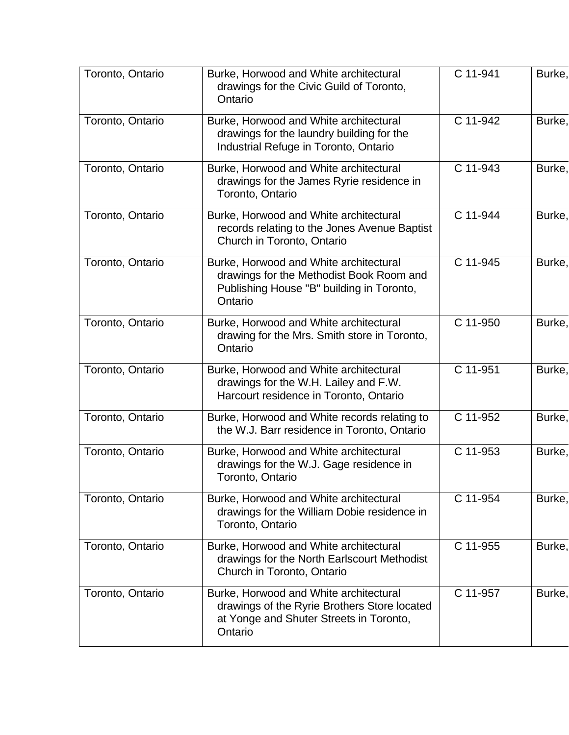| Toronto, Ontario | Burke, Horwood and White architectural<br>drawings for the Civic Guild of Toronto,<br>Ontario                                                | C 11-941 | Burke, |
|------------------|----------------------------------------------------------------------------------------------------------------------------------------------|----------|--------|
| Toronto, Ontario | Burke, Horwood and White architectural<br>drawings for the laundry building for the<br>Industrial Refuge in Toronto, Ontario                 | C 11-942 | Burke, |
| Toronto, Ontario | Burke, Horwood and White architectural<br>drawings for the James Ryrie residence in<br>Toronto, Ontario                                      | C 11-943 | Burke, |
| Toronto, Ontario | Burke, Horwood and White architectural<br>records relating to the Jones Avenue Baptist<br>Church in Toronto, Ontario                         | C 11-944 | Burke, |
| Toronto, Ontario | Burke, Horwood and White architectural<br>drawings for the Methodist Book Room and<br>Publishing House "B" building in Toronto,<br>Ontario   | C 11-945 | Burke, |
| Toronto, Ontario | Burke, Horwood and White architectural<br>drawing for the Mrs. Smith store in Toronto,<br>Ontario                                            | C 11-950 | Burke, |
| Toronto, Ontario | Burke, Horwood and White architectural<br>drawings for the W.H. Lailey and F.W.<br>Harcourt residence in Toronto, Ontario                    | C 11-951 | Burke, |
| Toronto, Ontario | Burke, Horwood and White records relating to<br>the W.J. Barr residence in Toronto, Ontario                                                  | C 11-952 | Burke, |
| Toronto, Ontario | Burke, Horwood and White architectural<br>drawings for the W.J. Gage residence in<br>Toronto, Ontario                                        | C 11-953 | Burke, |
| Toronto, Ontario | Burke, Horwood and White architectural<br>drawings for the William Dobie residence in<br>Toronto, Ontario                                    | C 11-954 | Burke, |
| Toronto, Ontario | Burke, Horwood and White architectural<br>drawings for the North Earlscourt Methodist<br>Church in Toronto, Ontario                          | C 11-955 | Burke, |
| Toronto, Ontario | Burke, Horwood and White architectural<br>drawings of the Ryrie Brothers Store located<br>at Yonge and Shuter Streets in Toronto,<br>Ontario | C 11-957 | Burke, |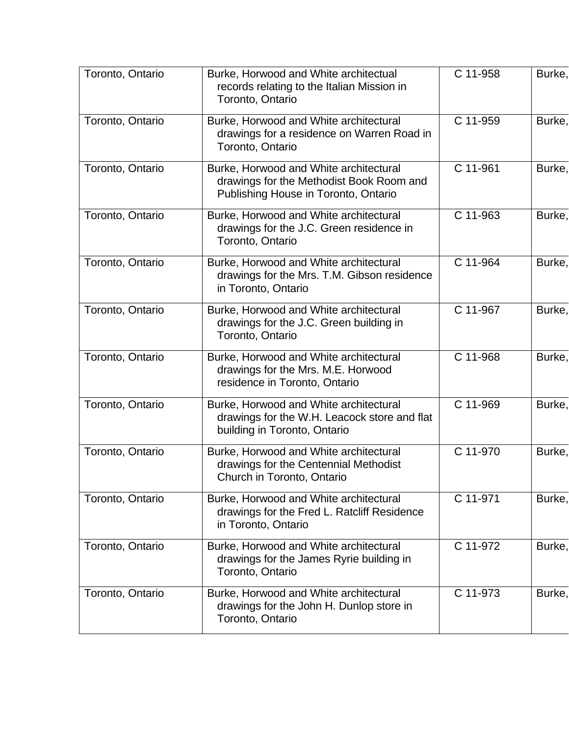| Toronto, Ontario | Burke, Horwood and White architectual<br>records relating to the Italian Mission in<br>Toronto, Ontario                    | C 11-958 | Burke, |
|------------------|----------------------------------------------------------------------------------------------------------------------------|----------|--------|
| Toronto, Ontario | Burke, Horwood and White architectural<br>drawings for a residence on Warren Road in<br>Toronto, Ontario                   | C 11-959 | Burke, |
| Toronto, Ontario | Burke, Horwood and White architectural<br>drawings for the Methodist Book Room and<br>Publishing House in Toronto, Ontario | C 11-961 | Burke, |
| Toronto, Ontario | Burke, Horwood and White architectural<br>drawings for the J.C. Green residence in<br>Toronto, Ontario                     | C 11-963 | Burke, |
| Toronto, Ontario | Burke, Horwood and White architectural<br>drawings for the Mrs. T.M. Gibson residence<br>in Toronto, Ontario               | C 11-964 | Burke, |
| Toronto, Ontario | Burke, Horwood and White architectural<br>drawings for the J.C. Green building in<br>Toronto, Ontario                      | C 11-967 | Burke, |
| Toronto, Ontario | Burke, Horwood and White architectural<br>drawings for the Mrs. M.E. Horwood<br>residence in Toronto, Ontario              | C 11-968 | Burke, |
| Toronto, Ontario | Burke, Horwood and White architectural<br>drawings for the W.H. Leacock store and flat<br>building in Toronto, Ontario     | C 11-969 | Burke, |
| Toronto, Ontario | Burke, Horwood and White architectural<br>drawings for the Centennial Methodist<br>Church in Toronto, Ontario              | C 11-970 | Burke, |
| Toronto, Ontario | Burke, Horwood and White architectural<br>drawings for the Fred L. Ratcliff Residence<br>in Toronto, Ontario               | C 11-971 | Burke, |
| Toronto, Ontario | Burke, Horwood and White architectural<br>drawings for the James Ryrie building in<br>Toronto, Ontario                     | C 11-972 | Burke, |
| Toronto, Ontario | Burke, Horwood and White architectural<br>drawings for the John H. Dunlop store in<br>Toronto, Ontario                     | C 11-973 | Burke, |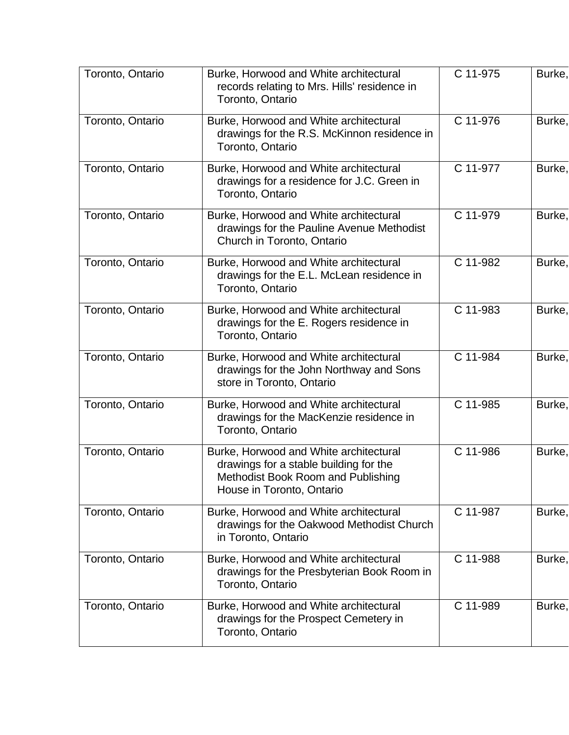| Toronto, Ontario | Burke, Horwood and White architectural<br>records relating to Mrs. Hills' residence in<br>Toronto, Ontario                                          | C 11-975 | Burke, |
|------------------|-----------------------------------------------------------------------------------------------------------------------------------------------------|----------|--------|
| Toronto, Ontario | Burke, Horwood and White architectural<br>drawings for the R.S. McKinnon residence in<br>Toronto, Ontario                                           | C 11-976 | Burke, |
| Toronto, Ontario | Burke, Horwood and White architectural<br>drawings for a residence for J.C. Green in<br>Toronto, Ontario                                            | C 11-977 | Burke, |
| Toronto, Ontario | Burke, Horwood and White architectural<br>drawings for the Pauline Avenue Methodist<br>Church in Toronto, Ontario                                   | C 11-979 | Burke, |
| Toronto, Ontario | Burke, Horwood and White architectural<br>drawings for the E.L. McLean residence in<br>Toronto, Ontario                                             | C 11-982 | Burke, |
| Toronto, Ontario | Burke, Horwood and White architectural<br>drawings for the E. Rogers residence in<br>Toronto, Ontario                                               | C 11-983 | Burke, |
| Toronto, Ontario | Burke, Horwood and White architectural<br>drawings for the John Northway and Sons<br>store in Toronto, Ontario                                      | C 11-984 | Burke, |
| Toronto, Ontario | Burke, Horwood and White architectural<br>drawings for the MacKenzie residence in<br>Toronto, Ontario                                               | C 11-985 | Burke, |
| Toronto, Ontario | Burke, Horwood and White architectural<br>drawings for a stable building for the<br>Methodist Book Room and Publishing<br>House in Toronto, Ontario | C 11-986 | Burke, |
| Toronto, Ontario | Burke, Horwood and White architectural<br>drawings for the Oakwood Methodist Church<br>in Toronto, Ontario                                          | C 11-987 | Burke, |
| Toronto, Ontario | Burke, Horwood and White architectural<br>drawings for the Presbyterian Book Room in<br>Toronto, Ontario                                            | C 11-988 | Burke, |
| Toronto, Ontario | Burke, Horwood and White architectural<br>drawings for the Prospect Cemetery in<br>Toronto, Ontario                                                 | C 11-989 | Burke, |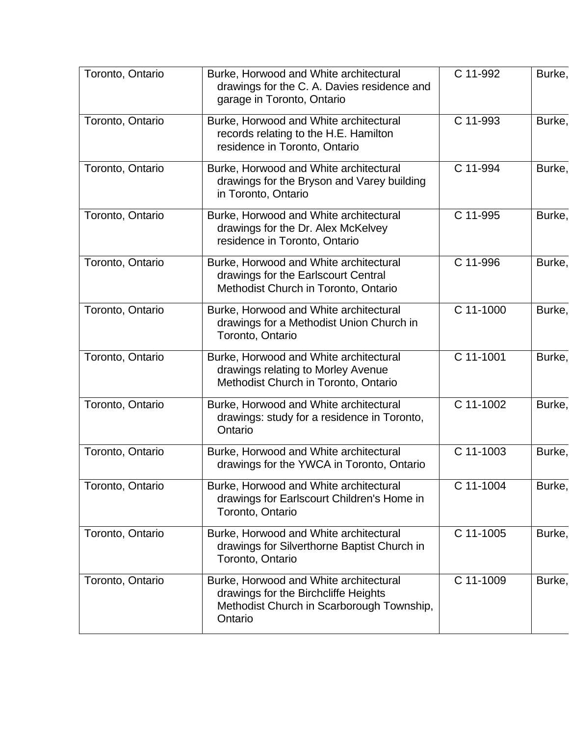| Toronto, Ontario | Burke, Horwood and White architectural<br>drawings for the C. A. Davies residence and<br>garage in Toronto, Ontario                    | C 11-992  | Burke, |
|------------------|----------------------------------------------------------------------------------------------------------------------------------------|-----------|--------|
| Toronto, Ontario | Burke, Horwood and White architectural<br>records relating to the H.E. Hamilton<br>residence in Toronto, Ontario                       | C 11-993  | Burke, |
| Toronto, Ontario | Burke, Horwood and White architectural<br>drawings for the Bryson and Varey building<br>in Toronto, Ontario                            | C 11-994  | Burke, |
| Toronto, Ontario | Burke, Horwood and White architectural<br>drawings for the Dr. Alex McKelvey<br>residence in Toronto, Ontario                          | C 11-995  | Burke, |
| Toronto, Ontario | Burke, Horwood and White architectural<br>drawings for the Earlscourt Central<br>Methodist Church in Toronto, Ontario                  | C 11-996  | Burke, |
| Toronto, Ontario | Burke, Horwood and White architectural<br>drawings for a Methodist Union Church in<br>Toronto, Ontario                                 | C 11-1000 | Burke, |
| Toronto, Ontario | Burke, Horwood and White architectural<br>drawings relating to Morley Avenue<br>Methodist Church in Toronto, Ontario                   | C 11-1001 | Burke, |
| Toronto, Ontario | Burke, Horwood and White architectural<br>drawings: study for a residence in Toronto,<br>Ontario                                       | C 11-1002 | Burke, |
| Toronto, Ontario | Burke, Horwood and White architectural<br>drawings for the YWCA in Toronto, Ontario                                                    | C 11-1003 | Burke, |
| Toronto, Ontario | Burke, Horwood and White architectural<br>drawings for Earlscourt Children's Home in<br>Toronto, Ontario                               | C 11-1004 | Burke, |
| Toronto, Ontario | Burke, Horwood and White architectural<br>drawings for Silverthorne Baptist Church in<br>Toronto, Ontario                              | C 11-1005 | Burke, |
| Toronto, Ontario | Burke, Horwood and White architectural<br>drawings for the Birchcliffe Heights<br>Methodist Church in Scarborough Township,<br>Ontario | C 11-1009 | Burke, |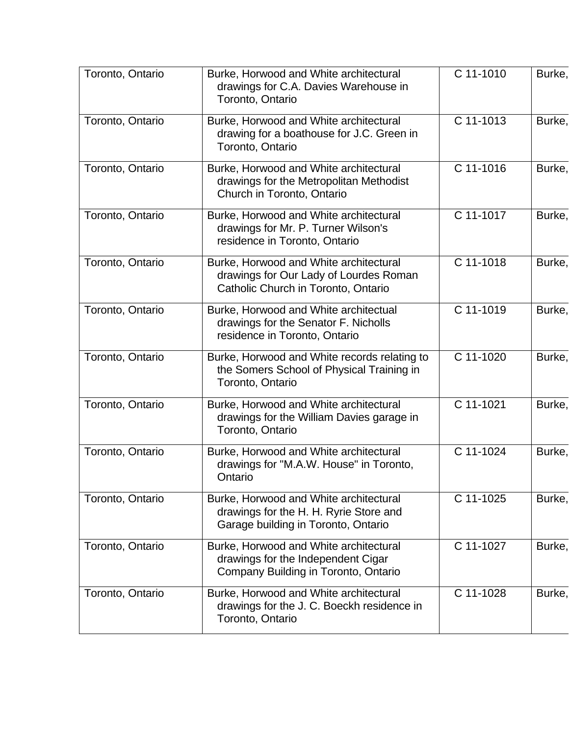| Toronto, Ontario | Burke, Horwood and White architectural<br>drawings for C.A. Davies Warehouse in<br>Toronto, Ontario                     | C 11-1010   | Burke, |
|------------------|-------------------------------------------------------------------------------------------------------------------------|-------------|--------|
| Toronto, Ontario | Burke, Horwood and White architectural<br>drawing for a boathouse for J.C. Green in<br>Toronto, Ontario                 | C 11-1013   | Burke, |
| Toronto, Ontario | Burke, Horwood and White architectural<br>drawings for the Metropolitan Methodist<br>Church in Toronto, Ontario         | C 11-1016   | Burke, |
| Toronto, Ontario | Burke, Horwood and White architectural<br>drawings for Mr. P. Turner Wilson's<br>residence in Toronto, Ontario          | C 11-1017   | Burke, |
| Toronto, Ontario | Burke, Horwood and White architectural<br>drawings for Our Lady of Lourdes Roman<br>Catholic Church in Toronto, Ontario | C 11-1018   | Burke, |
| Toronto, Ontario | Burke, Horwood and White architectual<br>drawings for the Senator F. Nicholls<br>residence in Toronto, Ontario          | C 11-1019   | Burke, |
| Toronto, Ontario | Burke, Horwood and White records relating to<br>the Somers School of Physical Training in<br>Toronto, Ontario           | C 11-1020   | Burke, |
| Toronto, Ontario | Burke, Horwood and White architectural<br>drawings for the William Davies garage in<br>Toronto, Ontario                 | C 11-1021   | Burke, |
| Toronto, Ontario | Burke, Horwood and White architectural<br>drawings for "M.A.W. House" in Toronto,<br>Ontario                            | C 11-1024   | Burke, |
| Toronto, Ontario | Burke, Horwood and White architectural<br>drawings for the H. H. Ryrie Store and<br>Garage building in Toronto, Ontario | $C$ 11-1025 | Burke, |
| Toronto, Ontario | Burke, Horwood and White architectural<br>drawings for the Independent Cigar<br>Company Building in Toronto, Ontario    | C 11-1027   | Burke, |
| Toronto, Ontario | Burke, Horwood and White architectural<br>drawings for the J. C. Boeckh residence in<br>Toronto, Ontario                | C 11-1028   | Burke, |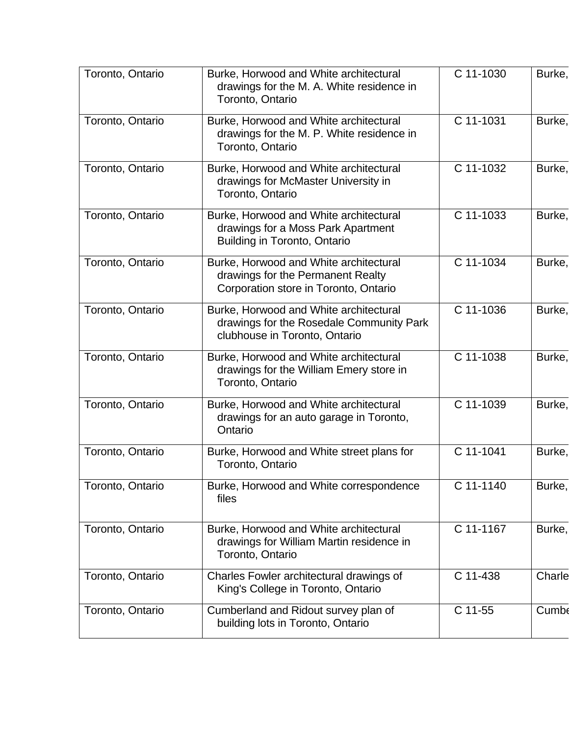| Toronto, Ontario | Burke, Horwood and White architectural<br>drawings for the M. A. White residence in<br>Toronto, Ontario              | C 11-1030  | Burke, |
|------------------|----------------------------------------------------------------------------------------------------------------------|------------|--------|
| Toronto, Ontario | Burke, Horwood and White architectural<br>drawings for the M. P. White residence in<br>Toronto, Ontario              | C 11-1031  | Burke, |
| Toronto, Ontario | Burke, Horwood and White architectural<br>drawings for McMaster University in<br>Toronto, Ontario                    | C 11-1032  | Burke, |
| Toronto, Ontario | Burke, Horwood and White architectural<br>drawings for a Moss Park Apartment<br><b>Building in Toronto, Ontario</b>  | C 11-1033  | Burke, |
| Toronto, Ontario | Burke, Horwood and White architectural<br>drawings for the Permanent Realty<br>Corporation store in Toronto, Ontario | C 11-1034  | Burke, |
| Toronto, Ontario | Burke, Horwood and White architectural<br>drawings for the Rosedale Community Park<br>clubhouse in Toronto, Ontario  | C 11-1036  | Burke, |
| Toronto, Ontario | Burke, Horwood and White architectural<br>drawings for the William Emery store in<br>Toronto, Ontario                | C 11-1038  | Burke, |
| Toronto, Ontario | Burke, Horwood and White architectural<br>drawings for an auto garage in Toronto,<br>Ontario                         | C 11-1039  | Burke, |
| Toronto, Ontario | Burke, Horwood and White street plans for<br>Toronto, Ontario                                                        | C 11-1041  | Burke, |
| Toronto, Ontario | Burke, Horwood and White correspondence<br>files                                                                     | C 11-1140  | Burke, |
| Toronto, Ontario | Burke, Horwood and White architectural<br>drawings for William Martin residence in<br>Toronto, Ontario               | C 11-1167  | Burke, |
| Toronto, Ontario | Charles Fowler architectural drawings of<br>King's College in Toronto, Ontario                                       | $C$ 11-438 | Charle |
| Toronto, Ontario | Cumberland and Ridout survey plan of<br>building lots in Toronto, Ontario                                            | C 11-55    | Cumbe  |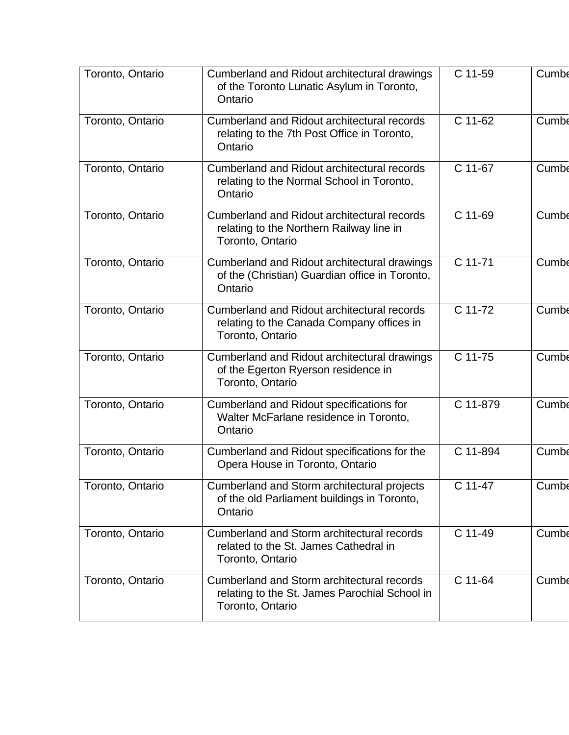| Toronto, Ontario | Cumberland and Ridout architectural drawings<br>of the Toronto Lunatic Asylum in Toronto,<br>Ontario               | C 11-59  | Cumbe        |
|------------------|--------------------------------------------------------------------------------------------------------------------|----------|--------------|
| Toronto, Ontario | Cumberland and Ridout architectural records<br>relating to the 7th Post Office in Toronto,<br>Ontario              | C 11-62  | Cumbe        |
| Toronto, Ontario | Cumberland and Ridout architectural records<br>relating to the Normal School in Toronto,<br>Ontario                | C 11-67  | Cumbe        |
| Toronto, Ontario | <b>Cumberland and Ridout architectural records</b><br>relating to the Northern Railway line in<br>Toronto, Ontario | C 11-69  | <b>Cumbe</b> |
| Toronto, Ontario | Cumberland and Ridout architectural drawings<br>of the (Christian) Guardian office in Toronto,<br>Ontario          | C 11-71  | Cumbe        |
| Toronto, Ontario | Cumberland and Ridout architectural records<br>relating to the Canada Company offices in<br>Toronto, Ontario       | C 11-72  | Cumbe        |
| Toronto, Ontario | Cumberland and Ridout architectural drawings<br>of the Egerton Ryerson residence in<br>Toronto, Ontario            | C 11-75  | Cumbe        |
| Toronto, Ontario | Cumberland and Ridout specifications for<br>Walter McFarlane residence in Toronto,<br>Ontario                      | C 11-879 | Cumbe        |
| Toronto, Ontario | Cumberland and Ridout specifications for the<br>Opera House in Toronto, Ontario                                    | C 11-894 | Cumbe        |
| Toronto, Ontario | Cumberland and Storm architectural projects<br>of the old Parliament buildings in Toronto,<br>Ontario              | C 11-47  | Cumbe        |
| Toronto, Ontario | Cumberland and Storm architectural records<br>related to the St. James Cathedral in<br>Toronto, Ontario            | C 11-49  | Cumbe        |
| Toronto, Ontario | Cumberland and Storm architectural records<br>relating to the St. James Parochial School in<br>Toronto, Ontario    | C 11-64  | Cumbe        |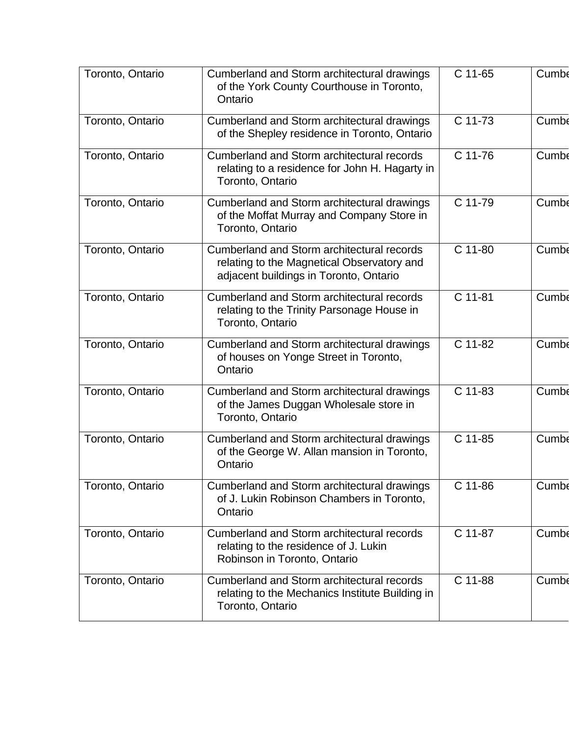| Toronto, Ontario | Cumberland and Storm architectural drawings<br>of the York County Courthouse in Toronto,<br>Ontario                                | C 11-65 | Cumbe        |
|------------------|------------------------------------------------------------------------------------------------------------------------------------|---------|--------------|
| Toronto, Ontario | Cumberland and Storm architectural drawings<br>of the Shepley residence in Toronto, Ontario                                        | C 11-73 | Cumbe        |
| Toronto, Ontario | Cumberland and Storm architectural records<br>relating to a residence for John H. Hagarty in<br>Toronto, Ontario                   | C 11-76 | Cumbe        |
| Toronto, Ontario | Cumberland and Storm architectural drawings<br>of the Moffat Murray and Company Store in<br>Toronto, Ontario                       | C 11-79 | Cumbe        |
| Toronto, Ontario | Cumberland and Storm architectural records<br>relating to the Magnetical Observatory and<br>adjacent buildings in Toronto, Ontario | C 11-80 | Cumbe        |
| Toronto, Ontario | <b>Cumberland and Storm architectural records</b><br>relating to the Trinity Parsonage House in<br>Toronto, Ontario                | C 11-81 | Cumbe        |
| Toronto, Ontario | Cumberland and Storm architectural drawings<br>of houses on Yonge Street in Toronto,<br>Ontario                                    | C 11-82 | Cumbe        |
| Toronto, Ontario | Cumberland and Storm architectural drawings<br>of the James Duggan Wholesale store in<br>Toronto, Ontario                          | C 11-83 | Cumbe        |
| Toronto, Ontario | Cumberland and Storm architectural drawings<br>of the George W. Allan mansion in Toronto,<br>Ontario                               | C 11-85 | <b>Cumbe</b> |
| Toronto, Ontario | Cumberland and Storm architectural drawings<br>of J. Lukin Robinson Chambers in Toronto,<br>Ontario                                | C 11-86 | <b>Cumbe</b> |
| Toronto, Ontario | Cumberland and Storm architectural records<br>relating to the residence of J. Lukin<br>Robinson in Toronto, Ontario                | C 11-87 | Cumbe        |
| Toronto, Ontario | Cumberland and Storm architectural records<br>relating to the Mechanics Institute Building in<br>Toronto, Ontario                  | C 11-88 | Cumbe        |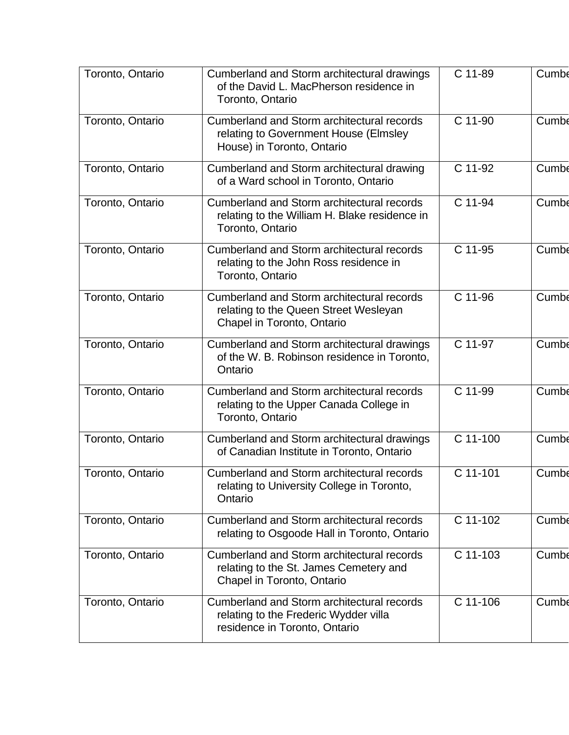| Toronto, Ontario | Cumberland and Storm architectural drawings<br>of the David L. MacPherson residence in<br>Toronto, Ontario               | C 11-89  | Cumbe        |
|------------------|--------------------------------------------------------------------------------------------------------------------------|----------|--------------|
| Toronto, Ontario | <b>Cumberland and Storm architectural records</b><br>relating to Government House (Elmsley<br>House) in Toronto, Ontario | C 11-90  | Cumbe        |
| Toronto, Ontario | Cumberland and Storm architectural drawing<br>of a Ward school in Toronto, Ontario                                       | C 11-92  | Cumbe        |
| Toronto, Ontario | Cumberland and Storm architectural records<br>relating to the William H. Blake residence in<br>Toronto, Ontario          | C 11-94  | Cumbe        |
| Toronto, Ontario | <b>Cumberland and Storm architectural records</b><br>relating to the John Ross residence in<br>Toronto, Ontario          | C 11-95  | Cumbe        |
| Toronto, Ontario | Cumberland and Storm architectural records<br>relating to the Queen Street Wesleyan<br>Chapel in Toronto, Ontario        | C 11-96  | Cumbe        |
| Toronto, Ontario | Cumberland and Storm architectural drawings<br>of the W. B. Robinson residence in Toronto,<br>Ontario                    | C 11-97  | Cumbe        |
| Toronto, Ontario | Cumberland and Storm architectural records<br>relating to the Upper Canada College in<br>Toronto, Ontario                | C 11-99  | Cumbe        |
| Toronto, Ontario | Cumberland and Storm architectural drawings<br>of Canadian Institute in Toronto, Ontario                                 | C 11-100 | Cumbe        |
| Toronto, Ontario | Cumberland and Storm architectural records<br>relating to University College in Toronto,<br>Ontario                      | C 11-101 | <b>Cumbe</b> |
| Toronto, Ontario | <b>Cumberland and Storm architectural records</b><br>relating to Osgoode Hall in Toronto, Ontario                        | C 11-102 | Cumbe        |
| Toronto, Ontario | Cumberland and Storm architectural records<br>relating to the St. James Cemetery and<br>Chapel in Toronto, Ontario       | C 11-103 | <b>Cumbe</b> |
| Toronto, Ontario | Cumberland and Storm architectural records<br>relating to the Frederic Wydder villa<br>residence in Toronto, Ontario     | C 11-106 | Cumbe        |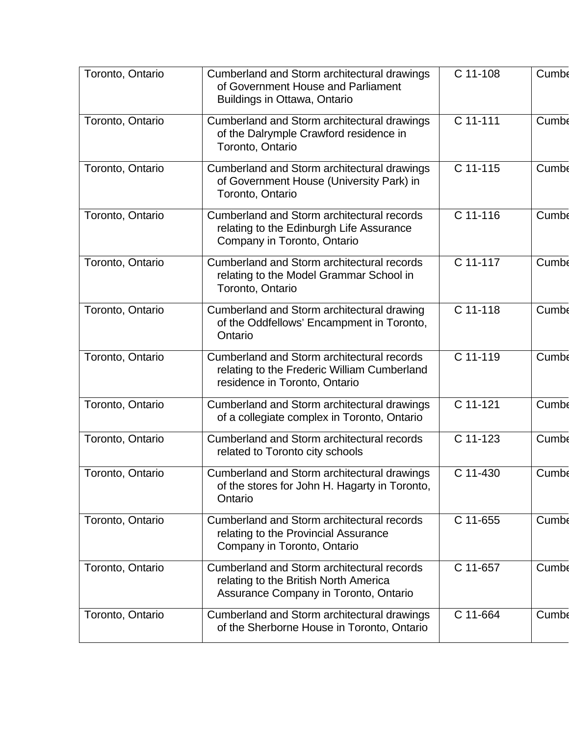| Toronto, Ontario | Cumberland and Storm architectural drawings<br>of Government House and Parliament<br>Buildings in Ottawa, Ontario                 | C 11-108   | Cumbe |
|------------------|-----------------------------------------------------------------------------------------------------------------------------------|------------|-------|
| Toronto, Ontario | Cumberland and Storm architectural drawings<br>of the Dalrymple Crawford residence in<br>Toronto, Ontario                         | C 11-111   | Cumbe |
| Toronto, Ontario | Cumberland and Storm architectural drawings<br>of Government House (University Park) in<br>Toronto, Ontario                       | C 11-115   | Cumbe |
| Toronto, Ontario | <b>Cumberland and Storm architectural records</b><br>relating to the Edinburgh Life Assurance<br>Company in Toronto, Ontario      | $C$ 11-116 | Cumbe |
| Toronto, Ontario | <b>Cumberland and Storm architectural records</b><br>relating to the Model Grammar School in<br>Toronto, Ontario                  | C 11-117   | Cumbe |
| Toronto, Ontario | Cumberland and Storm architectural drawing<br>of the Oddfellows' Encampment in Toronto,<br>Ontario                                | C 11-118   | Cumbe |
| Toronto, Ontario | <b>Cumberland and Storm architectural records</b><br>relating to the Frederic William Cumberland<br>residence in Toronto, Ontario | C 11-119   | Cumbe |
| Toronto, Ontario | Cumberland and Storm architectural drawings<br>of a collegiate complex in Toronto, Ontario                                        | $C$ 11-121 | Cumbe |
| Toronto, Ontario | Cumberland and Storm architectural records<br>related to Toronto city schools                                                     | C 11-123   | Cumbe |
| Toronto, Ontario | Cumberland and Storm architectural drawings<br>of the stores for John H. Hagarty in Toronto,<br>Ontario                           | C 11-430   | Cumbe |
| Toronto, Ontario | Cumberland and Storm architectural records<br>relating to the Provincial Assurance<br>Company in Toronto, Ontario                 | C 11-655   | Cumbe |
| Toronto, Ontario | Cumberland and Storm architectural records<br>relating to the British North America<br>Assurance Company in Toronto, Ontario      | C 11-657   | Cumbe |
| Toronto, Ontario | Cumberland and Storm architectural drawings<br>of the Sherborne House in Toronto, Ontario                                         | C 11-664   | Cumbe |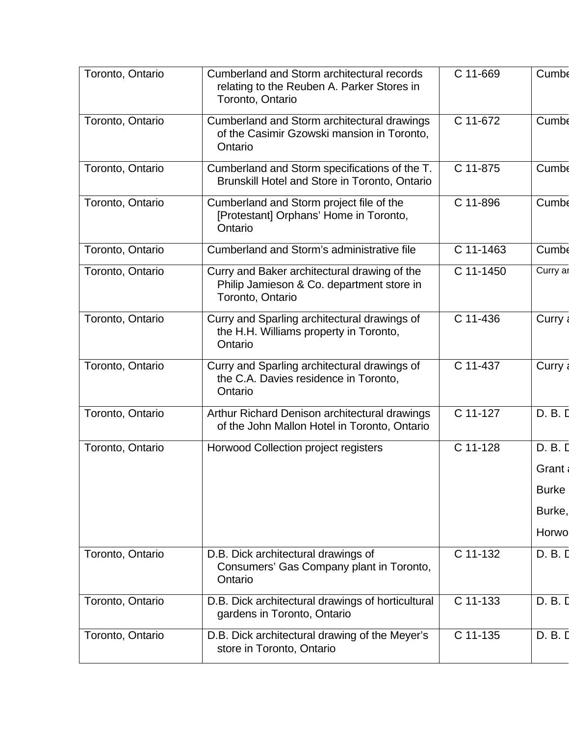| Toronto, Ontario | Cumberland and Storm architectural records<br>relating to the Reuben A. Parker Stores in<br>Toronto, Ontario  | C 11-669    | Cumbe        |
|------------------|---------------------------------------------------------------------------------------------------------------|-------------|--------------|
| Toronto, Ontario | Cumberland and Storm architectural drawings<br>of the Casimir Gzowski mansion in Toronto,<br>Ontario          | C 11-672    | Cumbe        |
| Toronto, Ontario | Cumberland and Storm specifications of the T.<br>Brunskill Hotel and Store in Toronto, Ontario                | C 11-875    | Cumbe        |
| Toronto, Ontario | Cumberland and Storm project file of the<br>[Protestant] Orphans' Home in Toronto,<br>Ontario                 | C 11-896    | Cumbe        |
| Toronto, Ontario | Cumberland and Storm's administrative file                                                                    | $C$ 11-1463 | Cumbe        |
| Toronto, Ontario | Curry and Baker architectural drawing of the<br>Philip Jamieson & Co. department store in<br>Toronto, Ontario | C 11-1450   | Curry ar     |
| Toronto, Ontario | Curry and Sparling architectural drawings of<br>the H.H. Williams property in Toronto,<br>Ontario             | C 11-436    | Curry        |
| Toronto, Ontario | Curry and Sparling architectural drawings of<br>the C.A. Davies residence in Toronto,<br>Ontario              | C 11-437    | Curry        |
| Toronto, Ontario | Arthur Richard Denison architectural drawings<br>of the John Mallon Hotel in Toronto, Ontario                 | C 11-127    | D. B. D      |
| Toronto, Ontario | <b>Horwood Collection project registers</b>                                                                   | $C$ 11-128  | D. B. D      |
|                  |                                                                                                               |             | Grant        |
|                  |                                                                                                               |             | <b>Burke</b> |
|                  |                                                                                                               |             | Burke,       |
|                  |                                                                                                               |             | Horwo        |
| Toronto, Ontario | D.B. Dick architectural drawings of<br>Consumers' Gas Company plant in Toronto,<br>Ontario                    | C 11-132    | D. B. D      |
| Toronto, Ontario | D.B. Dick architectural drawings of horticultural<br>gardens in Toronto, Ontario                              | $C$ 11-133  | D. B. D      |
| Toronto, Ontario | D.B. Dick architectural drawing of the Meyer's<br>store in Toronto, Ontario                                   | C 11-135    | D. B. I      |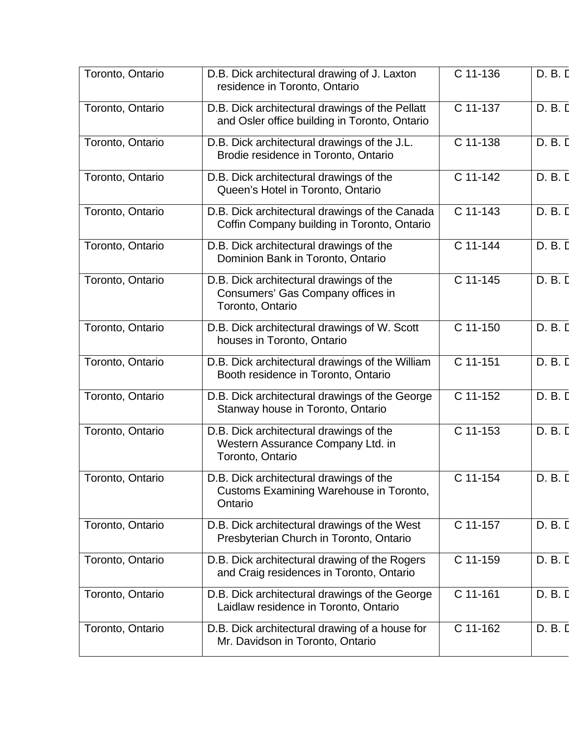| Toronto, Ontario | D.B. Dick architectural drawing of J. Laxton<br>residence in Toronto, Ontario                    | C 11-136 | D. B. D |
|------------------|--------------------------------------------------------------------------------------------------|----------|---------|
| Toronto, Ontario | D.B. Dick architectural drawings of the Pellatt<br>and Osler office building in Toronto, Ontario | C 11-137 | D. B. D |
| Toronto, Ontario | D.B. Dick architectural drawings of the J.L.<br>Brodie residence in Toronto, Ontario             | C 11-138 | D. B. D |
| Toronto, Ontario | D.B. Dick architectural drawings of the<br>Queen's Hotel in Toronto, Ontario                     | C 11-142 | D. B. D |
| Toronto, Ontario | D.B. Dick architectural drawings of the Canada<br>Coffin Company building in Toronto, Ontario    | C 11-143 | D. B. D |
| Toronto, Ontario | D.B. Dick architectural drawings of the<br>Dominion Bank in Toronto, Ontario                     | C 11-144 | D. B. D |
| Toronto, Ontario | D.B. Dick architectural drawings of the<br>Consumers' Gas Company offices in<br>Toronto, Ontario | C 11-145 | D. B. D |
| Toronto, Ontario | D.B. Dick architectural drawings of W. Scott<br>houses in Toronto, Ontario                       | C 11-150 | D. B. D |
| Toronto, Ontario | D.B. Dick architectural drawings of the William<br>Booth residence in Toronto, Ontario           | C 11-151 | D. B. D |
| Toronto, Ontario | D.B. Dick architectural drawings of the George<br>Stanway house in Toronto, Ontario              | C 11-152 | D. B. D |
| Toronto, Ontario | D.B. Dick architectural drawings of the<br>Western Assurance Company Ltd. in<br>Toronto, Ontario | C 11-153 | D. B. D |
| Toronto, Ontario | D.B. Dick architectural drawings of the<br>Customs Examining Warehouse in Toronto,<br>Ontario    | C 11-154 | D. B. D |
| Toronto, Ontario | D.B. Dick architectural drawings of the West<br>Presbyterian Church in Toronto, Ontario          | C 11-157 | D. B. D |
| Toronto, Ontario | D.B. Dick architectural drawing of the Rogers<br>and Craig residences in Toronto, Ontario        | C 11-159 | D. B. D |
| Toronto, Ontario | D.B. Dick architectural drawings of the George<br>Laidlaw residence in Toronto, Ontario          | C 11-161 | D. B. D |
| Toronto, Ontario | D.B. Dick architectural drawing of a house for<br>Mr. Davidson in Toronto, Ontario               | C 11-162 | D. B. D |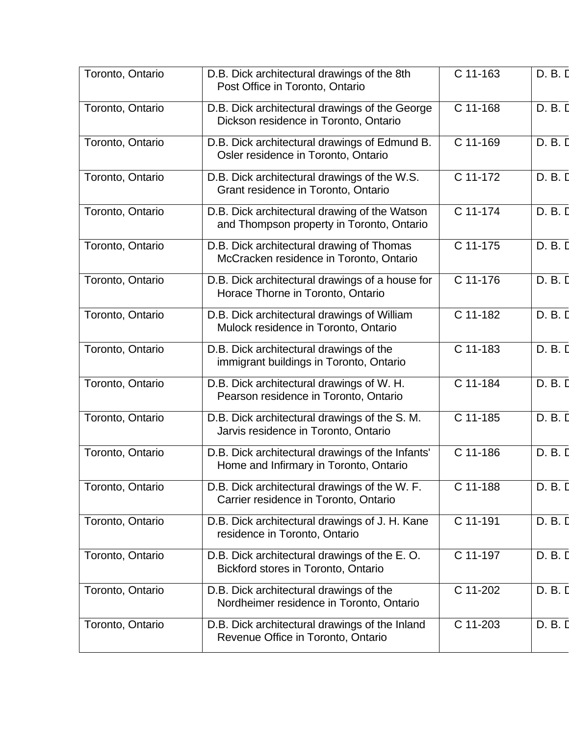| Toronto, Ontario | D.B. Dick architectural drawings of the 8th<br>Post Office in Toronto, Ontario             | C 11-163   | D. B. D |
|------------------|--------------------------------------------------------------------------------------------|------------|---------|
| Toronto, Ontario | D.B. Dick architectural drawings of the George<br>Dickson residence in Toronto, Ontario    | C 11-168   | D. B. D |
| Toronto, Ontario | D.B. Dick architectural drawings of Edmund B.<br>Osler residence in Toronto, Ontario       | C 11-169   | D. B. D |
| Toronto, Ontario | D.B. Dick architectural drawings of the W.S.<br>Grant residence in Toronto, Ontario        | C 11-172   | D. B. D |
| Toronto, Ontario | D.B. Dick architectural drawing of the Watson<br>and Thompson property in Toronto, Ontario | C 11-174   | D. B. D |
| Toronto, Ontario | D.B. Dick architectural drawing of Thomas<br>McCracken residence in Toronto, Ontario       | C 11-175   | D. B. D |
| Toronto, Ontario | D.B. Dick architectural drawings of a house for<br>Horace Thorne in Toronto, Ontario       | C 11-176   | D. B. D |
| Toronto, Ontario | D.B. Dick architectural drawings of William<br>Mulock residence in Toronto, Ontario        | $C$ 11-182 | D. B. D |
| Toronto, Ontario | D.B. Dick architectural drawings of the<br>immigrant buildings in Toronto, Ontario         | C 11-183   | D. B. D |
| Toronto, Ontario | D.B. Dick architectural drawings of W. H.<br>Pearson residence in Toronto, Ontario         | C 11-184   | D. B. D |
| Toronto, Ontario | D.B. Dick architectural drawings of the S.M.<br>Jarvis residence in Toronto, Ontario       | C 11-185   | D. B. D |
| Toronto, Ontario | D.B. Dick architectural drawings of the Infants'<br>Home and Infirmary in Toronto, Ontario | C 11-186   | D. B. D |
| Toronto, Ontario | D.B. Dick architectural drawings of the W.F.<br>Carrier residence in Toronto, Ontario      | C 11-188   | D. B. D |
| Toronto, Ontario | D.B. Dick architectural drawings of J. H. Kane<br>residence in Toronto, Ontario            | C 11-191   | D. B. I |
| Toronto, Ontario | D.B. Dick architectural drawings of the E.O.<br>Bickford stores in Toronto, Ontario        | C 11-197   | D. B. D |
| Toronto, Ontario | D.B. Dick architectural drawings of the<br>Nordheimer residence in Toronto, Ontario        | C 11-202   | D. B. D |
| Toronto, Ontario | D.B. Dick architectural drawings of the Inland<br>Revenue Office in Toronto, Ontario       | C 11-203   | D. B. D |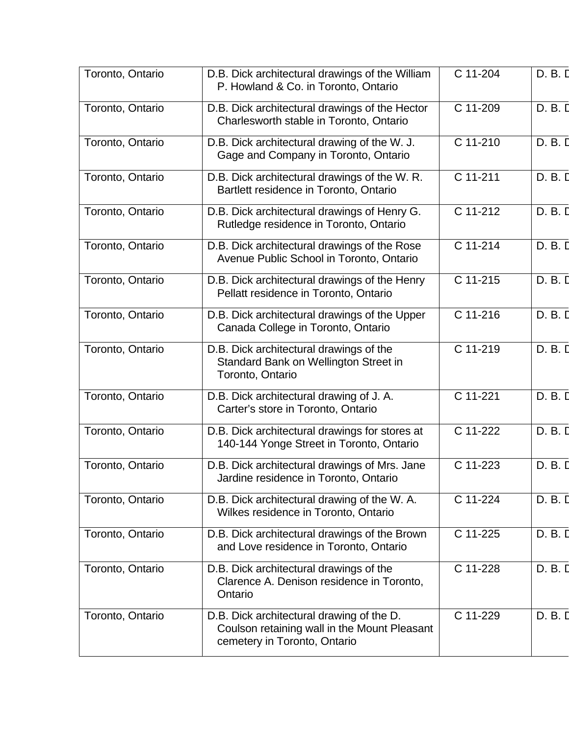| Toronto, Ontario | D.B. Dick architectural drawings of the William<br>P. Howland & Co. in Toronto, Ontario                                   | C 11-204 | D. B. D |
|------------------|---------------------------------------------------------------------------------------------------------------------------|----------|---------|
| Toronto, Ontario | D.B. Dick architectural drawings of the Hector<br>Charlesworth stable in Toronto, Ontario                                 | C 11-209 | D. B. D |
| Toronto, Ontario | D.B. Dick architectural drawing of the W. J.<br>Gage and Company in Toronto, Ontario                                      | C 11-210 | D. B. D |
| Toronto, Ontario | D.B. Dick architectural drawings of the W.R.<br>Bartlett residence in Toronto, Ontario                                    | C 11-211 | D. B. D |
| Toronto, Ontario | D.B. Dick architectural drawings of Henry G.<br>Rutledge residence in Toronto, Ontario                                    | C 11-212 | D. B. D |
| Toronto, Ontario | D.B. Dick architectural drawings of the Rose<br>Avenue Public School in Toronto, Ontario                                  | C 11-214 | D. B. D |
| Toronto, Ontario | D.B. Dick architectural drawings of the Henry<br>Pellatt residence in Toronto, Ontario                                    | C 11-215 | D. B. D |
| Toronto, Ontario | D.B. Dick architectural drawings of the Upper<br>Canada College in Toronto, Ontario                                       | C 11-216 | D. B. D |
| Toronto, Ontario | D.B. Dick architectural drawings of the<br>Standard Bank on Wellington Street in<br>Toronto, Ontario                      | C 11-219 | D. B. D |
| Toronto, Ontario | D.B. Dick architectural drawing of J. A.<br>Carter's store in Toronto, Ontario                                            | C 11-221 | D. B. D |
| Toronto, Ontario | D.B. Dick architectural drawings for stores at<br>140-144 Yonge Street in Toronto, Ontario                                | C 11-222 | D. B. D |
| Toronto, Ontario | D.B. Dick architectural drawings of Mrs. Jane<br>Jardine residence in Toronto, Ontario                                    | C 11-223 | D. B. D |
| Toronto, Ontario | D.B. Dick architectural drawing of the W.A.<br>Wilkes residence in Toronto, Ontario                                       | C 11-224 | D. B. D |
| Toronto, Ontario | D.B. Dick architectural drawings of the Brown<br>and Love residence in Toronto, Ontario                                   | C 11-225 | D. B. D |
| Toronto, Ontario | D.B. Dick architectural drawings of the<br>Clarence A. Denison residence in Toronto,<br>Ontario                           | C 11-228 | D. B. D |
| Toronto, Ontario | D.B. Dick architectural drawing of the D.<br>Coulson retaining wall in the Mount Pleasant<br>cemetery in Toronto, Ontario | C 11-229 | D. B. D |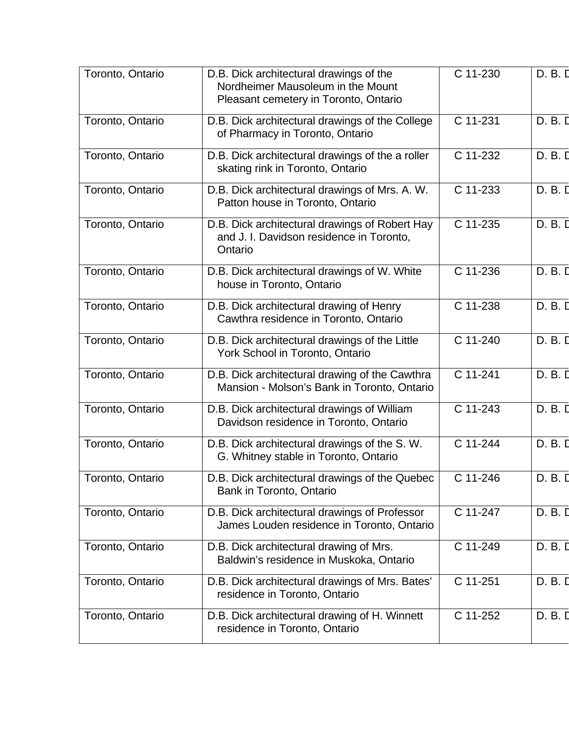| Toronto, Ontario | D.B. Dick architectural drawings of the<br>Nordheimer Mausoleum in the Mount<br>Pleasant cemetery in Toronto, Ontario | C 11-230 | D. B. D |
|------------------|-----------------------------------------------------------------------------------------------------------------------|----------|---------|
| Toronto, Ontario | D.B. Dick architectural drawings of the College<br>of Pharmacy in Toronto, Ontario                                    | C 11-231 | D. B. D |
| Toronto, Ontario | D.B. Dick architectural drawings of the a roller<br>skating rink in Toronto, Ontario                                  | C 11-232 | D. B. D |
| Toronto, Ontario | D.B. Dick architectural drawings of Mrs. A. W.<br>Patton house in Toronto, Ontario                                    | C 11-233 | D. B. D |
| Toronto, Ontario | D.B. Dick architectural drawings of Robert Hay<br>and J. I. Davidson residence in Toronto,<br>Ontario                 | C 11-235 | D. B. D |
| Toronto, Ontario | D.B. Dick architectural drawings of W. White<br>house in Toronto, Ontario                                             | C 11-236 | D. B. D |
| Toronto, Ontario | D.B. Dick architectural drawing of Henry<br>Cawthra residence in Toronto, Ontario                                     | C 11-238 | D. B. D |
| Toronto, Ontario | D.B. Dick architectural drawings of the Little<br>York School in Toronto, Ontario                                     | C 11-240 | D. B. D |
| Toronto, Ontario | D.B. Dick architectural drawing of the Cawthra<br>Mansion - Molson's Bank in Toronto, Ontario                         | C 11-241 | D. B. D |
| Toronto, Ontario | D.B. Dick architectural drawings of William<br>Davidson residence in Toronto, Ontario                                 | C 11-243 | D. B. D |
| Toronto, Ontario | D.B. Dick architectural drawings of the S.W.<br>G. Whitney stable in Toronto, Ontario                                 | C 11-244 | D. B. D |
| Toronto, Ontario | D.B. Dick architectural drawings of the Quebec<br>Bank in Toronto, Ontario                                            | C 11-246 | D. B. D |
| Toronto, Ontario | D.B. Dick architectural drawings of Professor<br>James Louden residence in Toronto, Ontario                           | C 11-247 | D. B. D |
| Toronto, Ontario | D.B. Dick architectural drawing of Mrs.<br>Baldwin's residence in Muskoka, Ontario                                    | C 11-249 | D. B. D |
| Toronto, Ontario | D.B. Dick architectural drawings of Mrs. Bates'<br>residence in Toronto, Ontario                                      | C 11-251 | D. B. D |
| Toronto, Ontario | D.B. Dick architectural drawing of H. Winnett<br>residence in Toronto, Ontario                                        | C 11-252 | D. B. D |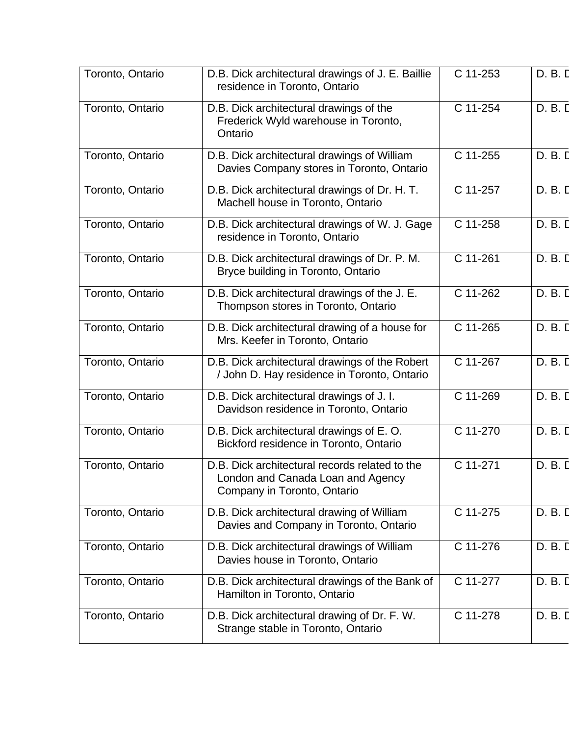| Toronto, Ontario | D.B. Dick architectural drawings of J. E. Baillie<br>residence in Toronto, Ontario                                 | C 11-253              | D. B. D |
|------------------|--------------------------------------------------------------------------------------------------------------------|-----------------------|---------|
| Toronto, Ontario | D.B. Dick architectural drawings of the<br>Frederick Wyld warehouse in Toronto,<br>Ontario                         | C 11-254              | D. B. D |
| Toronto, Ontario | D.B. Dick architectural drawings of William<br>Davies Company stores in Toronto, Ontario                           | C 11-255              | D. B. I |
| Toronto, Ontario | D.B. Dick architectural drawings of Dr. H. T.<br>Machell house in Toronto, Ontario                                 | C 11-257              | D. B. D |
| Toronto, Ontario | D.B. Dick architectural drawings of W. J. Gage<br>residence in Toronto, Ontario                                    | C 11-258              | D. B. D |
| Toronto, Ontario | D.B. Dick architectural drawings of Dr. P. M.<br>Bryce building in Toronto, Ontario                                | $C$ 11-261            | D. B. D |
| Toronto, Ontario | D.B. Dick architectural drawings of the J. E.<br>Thompson stores in Toronto, Ontario                               | C 11-262              | D. B. D |
| Toronto, Ontario | D.B. Dick architectural drawing of a house for<br>Mrs. Keefer in Toronto, Ontario                                  | C 11-265              | D. B. D |
| Toronto, Ontario | D.B. Dick architectural drawings of the Robert<br>/ John D. Hay residence in Toronto, Ontario                      | C 11-267              | D. B. D |
| Toronto, Ontario | D.B. Dick architectural drawings of J. I.<br>Davidson residence in Toronto, Ontario                                | C 11-269              | D. B. D |
| Toronto, Ontario | D.B. Dick architectural drawings of E.O.<br>Bickford residence in Toronto, Ontario                                 | C 11-270              | D. B. D |
| Toronto, Ontario | D.B. Dick architectural records related to the<br>London and Canada Loan and Agency<br>Company in Toronto, Ontario | $\overline{C}$ 11-271 | D. B. D |
| Toronto, Ontario | D.B. Dick architectural drawing of William<br>Davies and Company in Toronto, Ontario                               | C 11-275              | D. B. D |
| Toronto, Ontario | D.B. Dick architectural drawings of William<br>Davies house in Toronto, Ontario                                    | C 11-276              | D. B. D |
| Toronto, Ontario | D.B. Dick architectural drawings of the Bank of<br>Hamilton in Toronto, Ontario                                    | C 11-277              | D. B. D |
| Toronto, Ontario | D.B. Dick architectural drawing of Dr. F. W.<br>Strange stable in Toronto, Ontario                                 | C 11-278              | D. B. D |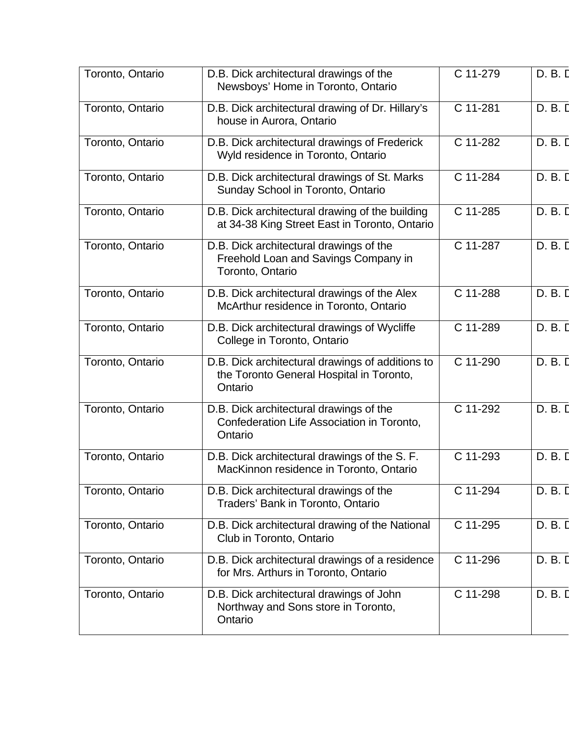| Toronto, Ontario | D.B. Dick architectural drawings of the<br>Newsboys' Home in Toronto, Ontario                           | C 11-279 | D. B. D |
|------------------|---------------------------------------------------------------------------------------------------------|----------|---------|
| Toronto, Ontario | D.B. Dick architectural drawing of Dr. Hillary's<br>house in Aurora, Ontario                            | C 11-281 | D. B. D |
| Toronto, Ontario | D.B. Dick architectural drawings of Frederick<br>Wyld residence in Toronto, Ontario                     | C 11-282 | D. B. D |
| Toronto, Ontario | D.B. Dick architectural drawings of St. Marks<br>Sunday School in Toronto, Ontario                      | C 11-284 | D. B. D |
| Toronto, Ontario | D.B. Dick architectural drawing of the building<br>at 34-38 King Street East in Toronto, Ontario        | C 11-285 | D. B. D |
| Toronto, Ontario | D.B. Dick architectural drawings of the<br>Freehold Loan and Savings Company in<br>Toronto, Ontario     | C 11-287 | D. B. D |
| Toronto, Ontario | D.B. Dick architectural drawings of the Alex<br>McArthur residence in Toronto, Ontario                  | C 11-288 | D. B. D |
| Toronto, Ontario | D.B. Dick architectural drawings of Wycliffe<br>College in Toronto, Ontario                             | C 11-289 | D. B. D |
| Toronto, Ontario | D.B. Dick architectural drawings of additions to<br>the Toronto General Hospital in Toronto,<br>Ontario | C 11-290 | D. B. D |
| Toronto, Ontario | D.B. Dick architectural drawings of the<br>Confederation Life Association in Toronto,<br>Ontario        | C 11-292 | D. B. D |
| Toronto, Ontario | D.B. Dick architectural drawings of the S. F.<br>MacKinnon residence in Toronto, Ontario                | C 11-293 | D. B. D |
| Toronto, Ontario | D.B. Dick architectural drawings of the<br>Traders' Bank in Toronto, Ontario                            | C 11-294 | D. B. D |
| Toronto, Ontario | D.B. Dick architectural drawing of the National<br>Club in Toronto, Ontario                             | C 11-295 | D. B. D |
| Toronto, Ontario | D.B. Dick architectural drawings of a residence<br>for Mrs. Arthurs in Toronto, Ontario                 | C 11-296 | D. B. D |
| Toronto, Ontario | D.B. Dick architectural drawings of John<br>Northway and Sons store in Toronto,<br>Ontario              | C 11-298 | D. B. D |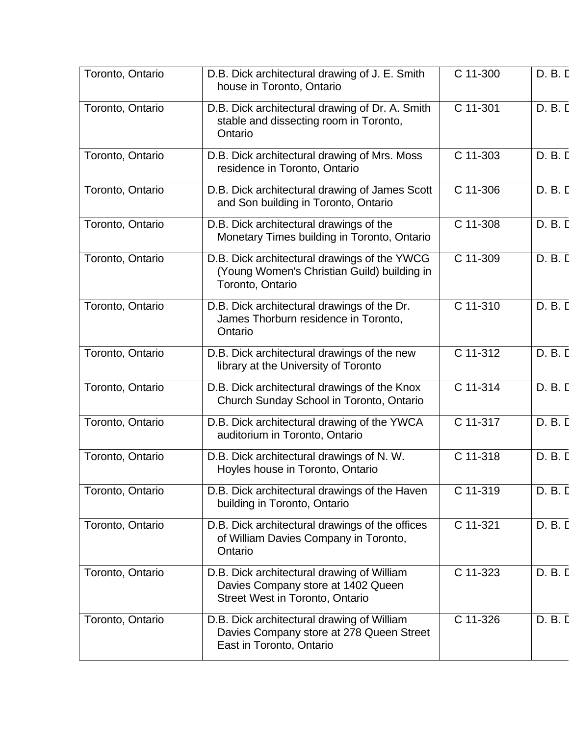| Toronto, Ontario | D.B. Dick architectural drawing of J. E. Smith<br>house in Toronto, Ontario                                                | C 11-300   | D. B. D |
|------------------|----------------------------------------------------------------------------------------------------------------------------|------------|---------|
| Toronto, Ontario | D.B. Dick architectural drawing of Dr. A. Smith<br>stable and dissecting room in Toronto,<br>Ontario                       | C 11-301   | D. B. D |
| Toronto, Ontario | D.B. Dick architectural drawing of Mrs. Moss<br>residence in Toronto, Ontario                                              | C 11-303   | D. B. D |
| Toronto, Ontario | D.B. Dick architectural drawing of James Scott<br>and Son building in Toronto, Ontario                                     | $C$ 11-306 | D. B. D |
| Toronto, Ontario | D.B. Dick architectural drawings of the<br>Monetary Times building in Toronto, Ontario                                     | C 11-308   | D. B. I |
| Toronto, Ontario | D.B. Dick architectural drawings of the YWCG<br>(Young Women's Christian Guild) building in<br>Toronto, Ontario            | C 11-309   | D. B. D |
| Toronto, Ontario | D.B. Dick architectural drawings of the Dr.<br>James Thorburn residence in Toronto,<br>Ontario                             | C 11-310   | D. B. D |
| Toronto, Ontario | D.B. Dick architectural drawings of the new<br>library at the University of Toronto                                        | $C$ 11-312 | D. B. D |
| Toronto, Ontario | D.B. Dick architectural drawings of the Knox<br>Church Sunday School in Toronto, Ontario                                   | C 11-314   | D. B. D |
| Toronto, Ontario | D.B. Dick architectural drawing of the YWCA<br>auditorium in Toronto, Ontario                                              | C 11-317   | D. B. D |
| Toronto, Ontario | D.B. Dick architectural drawings of N.W.<br>Hoyles house in Toronto, Ontario                                               | C 11-318   | D. B. D |
| Toronto, Ontario | D.B. Dick architectural drawings of the Haven<br>building in Toronto, Ontario                                              | C 11-319   | D. B. D |
| Toronto, Ontario | D.B. Dick architectural drawings of the offices<br>of William Davies Company in Toronto,<br>Ontario                        | C 11-321   | D. B. D |
| Toronto, Ontario | D.B. Dick architectural drawing of William<br>Davies Company store at 1402 Queen<br><b>Street West in Toronto, Ontario</b> | C 11-323   | D. B. D |
| Toronto, Ontario | D.B. Dick architectural drawing of William<br>Davies Company store at 278 Queen Street<br>East in Toronto, Ontario         | C 11-326   | D. B. D |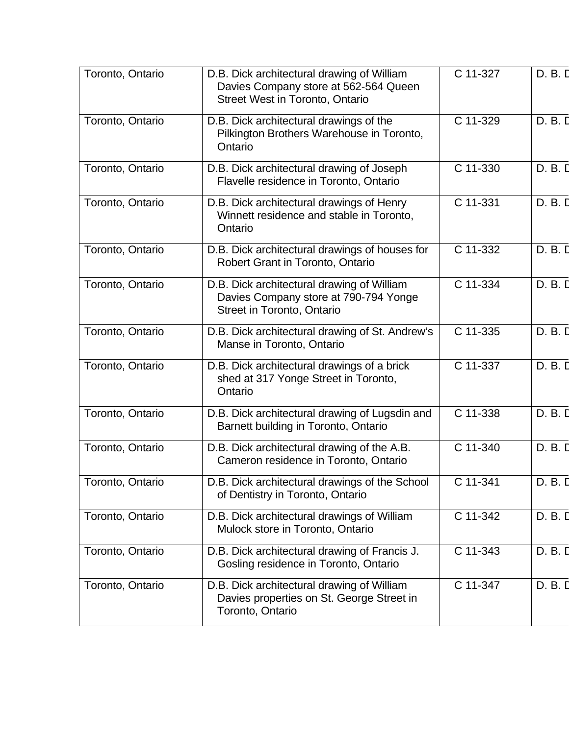| Toronto, Ontario | D.B. Dick architectural drawing of William<br>Davies Company store at 562-564 Queen<br><b>Street West in Toronto, Ontario</b> | C 11-327 | D. B. D |
|------------------|-------------------------------------------------------------------------------------------------------------------------------|----------|---------|
| Toronto, Ontario | D.B. Dick architectural drawings of the<br>Pilkington Brothers Warehouse in Toronto,<br>Ontario                               | C 11-329 | D. B. D |
| Toronto, Ontario | D.B. Dick architectural drawing of Joseph<br>Flavelle residence in Toronto, Ontario                                           | C 11-330 | D. B. D |
| Toronto, Ontario | D.B. Dick architectural drawings of Henry<br>Winnett residence and stable in Toronto,<br>Ontario                              | C 11-331 | D. B. D |
| Toronto, Ontario | D.B. Dick architectural drawings of houses for<br>Robert Grant in Toronto, Ontario                                            | C 11-332 | D. B. D |
| Toronto, Ontario | D.B. Dick architectural drawing of William<br>Davies Company store at 790-794 Yonge<br>Street in Toronto, Ontario             | C 11-334 | D. B. D |
| Toronto, Ontario | D.B. Dick architectural drawing of St. Andrew's<br>Manse in Toronto, Ontario                                                  | C 11-335 | D. B. D |
| Toronto, Ontario | D.B. Dick architectural drawings of a brick<br>shed at 317 Yonge Street in Toronto,<br>Ontario                                | C 11-337 | D. B. D |
| Toronto, Ontario | D.B. Dick architectural drawing of Lugsdin and<br>Barnett building in Toronto, Ontario                                        | C 11-338 | D. B. D |
| Toronto, Ontario | D.B. Dick architectural drawing of the A.B.<br>Cameron residence in Toronto, Ontario                                          | C 11-340 | D. B. D |
| Toronto, Ontario | D.B. Dick architectural drawings of the School<br>of Dentistry in Toronto, Ontario                                            | C 11-341 | D. B. D |
| Toronto, Ontario | D.B. Dick architectural drawings of William<br>Mulock store in Toronto, Ontario                                               | C 11-342 | D. B. D |
| Toronto, Ontario | D.B. Dick architectural drawing of Francis J.<br>Gosling residence in Toronto, Ontario                                        | C 11-343 | D. B. D |
| Toronto, Ontario | D.B. Dick architectural drawing of William<br>Davies properties on St. George Street in<br>Toronto, Ontario                   | C 11-347 | D. B. D |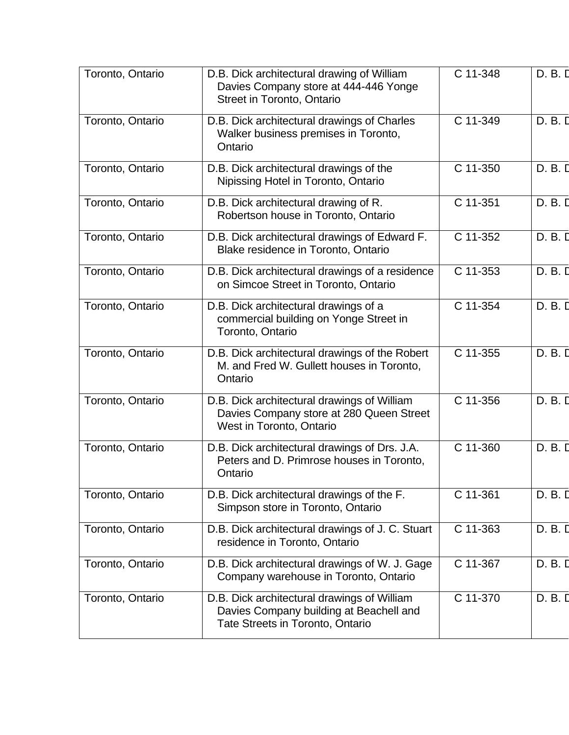| Toronto, Ontario | D.B. Dick architectural drawing of William<br>Davies Company store at 444-446 Yonge<br>Street in Toronto, Ontario          | C 11-348 | D. B. D |
|------------------|----------------------------------------------------------------------------------------------------------------------------|----------|---------|
| Toronto, Ontario | D.B. Dick architectural drawings of Charles<br>Walker business premises in Toronto,<br>Ontario                             | C 11-349 | D. B. D |
| Toronto, Ontario | D.B. Dick architectural drawings of the<br>Nipissing Hotel in Toronto, Ontario                                             | C 11-350 | D. B. D |
| Toronto, Ontario | D.B. Dick architectural drawing of R.<br>Robertson house in Toronto, Ontario                                               | C 11-351 | D. B. D |
| Toronto, Ontario | D.B. Dick architectural drawings of Edward F.<br>Blake residence in Toronto, Ontario                                       | C 11-352 | D. B. D |
| Toronto, Ontario | D.B. Dick architectural drawings of a residence<br>on Simcoe Street in Toronto, Ontario                                    | C 11-353 | D. B. D |
| Toronto, Ontario | D.B. Dick architectural drawings of a<br>commercial building on Yonge Street in<br>Toronto, Ontario                        | C 11-354 | D. B. D |
| Toronto, Ontario | D.B. Dick architectural drawings of the Robert<br>M. and Fred W. Gullett houses in Toronto,<br>Ontario                     | C 11-355 | D. B. D |
| Toronto, Ontario | D.B. Dick architectural drawings of William<br>Davies Company store at 280 Queen Street<br>West in Toronto, Ontario        | C 11-356 | D. B. D |
| Toronto, Ontario | D.B. Dick architectural drawings of Drs. J.A.<br>Peters and D. Primrose houses in Toronto,<br>Ontario                      | C 11-360 | D. B. D |
| Toronto, Ontario | D.B. Dick architectural drawings of the F.<br>Simpson store in Toronto, Ontario                                            | C 11-361 | D. B. D |
| Toronto, Ontario | D.B. Dick architectural drawings of J. C. Stuart<br>residence in Toronto, Ontario                                          | C 11-363 | D. B. D |
| Toronto, Ontario | D.B. Dick architectural drawings of W. J. Gage<br>Company warehouse in Toronto, Ontario                                    | C 11-367 | D. B. D |
| Toronto, Ontario | D.B. Dick architectural drawings of William<br>Davies Company building at Beachell and<br>Tate Streets in Toronto, Ontario | C 11-370 | D. B. D |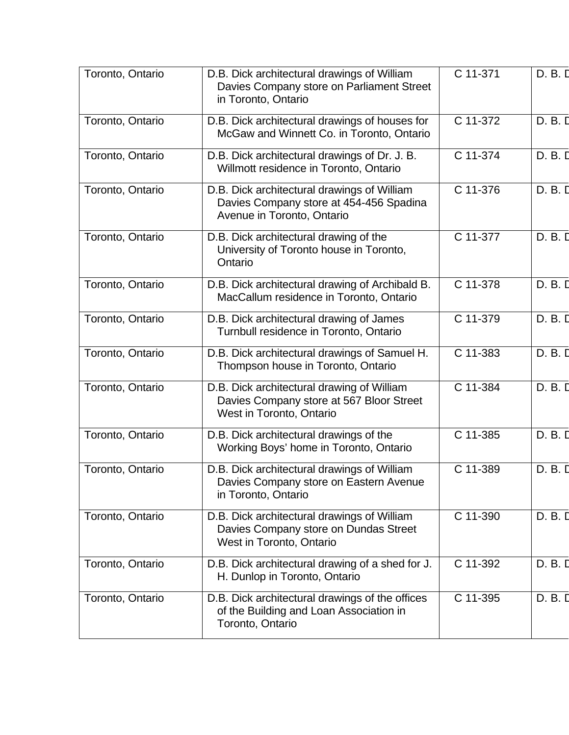| Toronto, Ontario | D.B. Dick architectural drawings of William<br>Davies Company store on Parliament Street<br>in Toronto, Ontario      | C 11-371 | D. B. D |
|------------------|----------------------------------------------------------------------------------------------------------------------|----------|---------|
| Toronto, Ontario | D.B. Dick architectural drawings of houses for<br>McGaw and Winnett Co. in Toronto, Ontario                          | C 11-372 | D. B. D |
| Toronto, Ontario | D.B. Dick architectural drawings of Dr. J. B.<br>Willmott residence in Toronto, Ontario                              | C 11-374 | D. B. D |
| Toronto, Ontario | D.B. Dick architectural drawings of William<br>Davies Company store at 454-456 Spadina<br>Avenue in Toronto, Ontario | C 11-376 | D. B. D |
| Toronto, Ontario | D.B. Dick architectural drawing of the<br>University of Toronto house in Toronto,<br>Ontario                         | C 11-377 | D. B. D |
| Toronto, Ontario | D.B. Dick architectural drawing of Archibald B.<br>MacCallum residence in Toronto, Ontario                           | C 11-378 | D. B. D |
| Toronto, Ontario | D.B. Dick architectural drawing of James<br>Turnbull residence in Toronto, Ontario                                   | C 11-379 | D. B. D |
| Toronto, Ontario | D.B. Dick architectural drawings of Samuel H.<br>Thompson house in Toronto, Ontario                                  | C 11-383 | D. B. D |
| Toronto, Ontario | D.B. Dick architectural drawing of William<br>Davies Company store at 567 Bloor Street<br>West in Toronto, Ontario   | C 11-384 | D. B. D |
| Toronto, Ontario | D.B. Dick architectural drawings of the<br>Working Boys' home in Toronto, Ontario                                    | C 11-385 | D. B. D |
| Toronto, Ontario | D.B. Dick architectural drawings of William<br>Davies Company store on Eastern Avenue<br>in Toronto, Ontario         | C 11-389 | D. B. D |
| Toronto, Ontario | D.B. Dick architectural drawings of William<br>Davies Company store on Dundas Street<br>West in Toronto, Ontario     | C 11-390 | D. B. D |
| Toronto, Ontario | D.B. Dick architectural drawing of a shed for J.<br>H. Dunlop in Toronto, Ontario                                    | C 11-392 | D. B. I |
| Toronto, Ontario | D.B. Dick architectural drawings of the offices<br>of the Building and Loan Association in<br>Toronto, Ontario       | C 11-395 | D. B. D |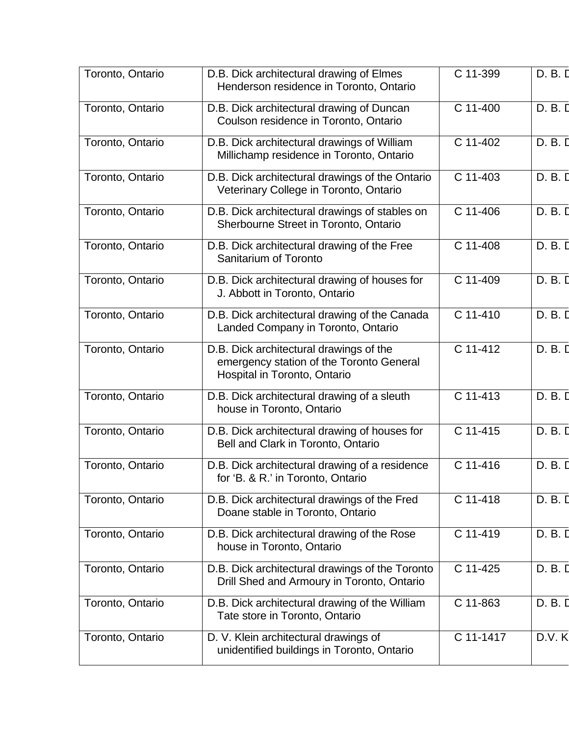| Toronto, Ontario | D.B. Dick architectural drawing of Elmes<br>Henderson residence in Toronto, Ontario                                 | C 11-399              | D. B. D |
|------------------|---------------------------------------------------------------------------------------------------------------------|-----------------------|---------|
| Toronto, Ontario | D.B. Dick architectural drawing of Duncan<br>Coulson residence in Toronto, Ontario                                  | $C$ 11-400            | D. B. D |
| Toronto, Ontario | D.B. Dick architectural drawings of William<br>Millichamp residence in Toronto, Ontario                             | $\overline{C}$ 11-402 | D. B. D |
| Toronto, Ontario | D.B. Dick architectural drawings of the Ontario<br>Veterinary College in Toronto, Ontario                           | C 11-403              | D. B. D |
| Toronto, Ontario | D.B. Dick architectural drawings of stables on<br>Sherbourne Street in Toronto, Ontario                             | C 11-406              | D. B. D |
| Toronto, Ontario | D.B. Dick architectural drawing of the Free<br>Sanitarium of Toronto                                                | C 11-408              | D. B. D |
| Toronto, Ontario | D.B. Dick architectural drawing of houses for<br>J. Abbott in Toronto, Ontario                                      | C 11-409              | D. B. D |
| Toronto, Ontario | D.B. Dick architectural drawing of the Canada<br>Landed Company in Toronto, Ontario                                 | $C$ 11-410            | D. B. D |
| Toronto, Ontario | D.B. Dick architectural drawings of the<br>emergency station of the Toronto General<br>Hospital in Toronto, Ontario | C 11-412              | D. B. D |
| Toronto, Ontario | D.B. Dick architectural drawing of a sleuth<br>house in Toronto, Ontario                                            | C 11-413              | D. B. D |
| Toronto, Ontario | D.B. Dick architectural drawing of houses for<br>Bell and Clark in Toronto, Ontario                                 | C 11-415              | D. B. D |
| Toronto, Ontario | D.B. Dick architectural drawing of a residence<br>for 'B. & R.' in Toronto, Ontario                                 | C 11-416              | D. B. D |
| Toronto, Ontario | D.B. Dick architectural drawings of the Fred<br>Doane stable in Toronto, Ontario                                    | C 11-418              | D. B. D |
| Toronto, Ontario | D.B. Dick architectural drawing of the Rose<br>house in Toronto, Ontario                                            | C 11-419              | D. B. D |
| Toronto, Ontario | D.B. Dick architectural drawings of the Toronto<br>Drill Shed and Armoury in Toronto, Ontario                       | C 11-425              | D. B. D |
| Toronto, Ontario | D.B. Dick architectural drawing of the William<br>Tate store in Toronto, Ontario                                    | C 11-863              | D. B. D |
| Toronto, Ontario | D. V. Klein architectural drawings of<br>unidentified buildings in Toronto, Ontario                                 | C 11-1417             | D.V.K   |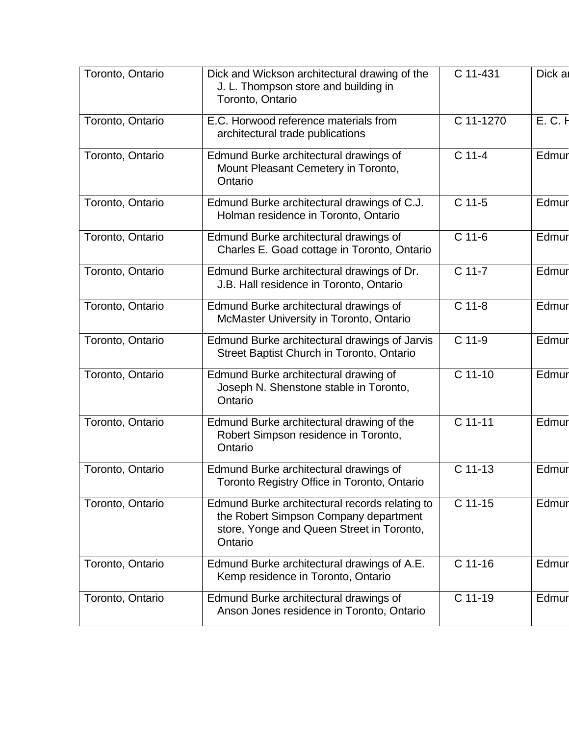| Toronto, Ontario | Dick and Wickson architectural drawing of the<br>J. L. Thompson store and building in<br>Toronto, Ontario                                       | C 11-431            | Dick a  |
|------------------|-------------------------------------------------------------------------------------------------------------------------------------------------|---------------------|---------|
| Toronto, Ontario | E.C. Horwood reference materials from<br>architectural trade publications                                                                       | C 11-1270           | E. C. H |
| Toronto, Ontario | Edmund Burke architectural drawings of<br>Mount Pleasant Cemetery in Toronto,<br>Ontario                                                        | $C$ 11-4            | Edmur   |
| Toronto, Ontario | Edmund Burke architectural drawings of C.J.<br>Holman residence in Toronto, Ontario                                                             | C 11-5              | Edmur   |
| Toronto, Ontario | Edmund Burke architectural drawings of<br>Charles E. Goad cottage in Toronto, Ontario                                                           | $\overline{C}$ 11-6 | Edmur   |
| Toronto, Ontario | Edmund Burke architectural drawings of Dr.<br>J.B. Hall residence in Toronto, Ontario                                                           | $C$ 11-7            | Edmur   |
| Toronto, Ontario | Edmund Burke architectural drawings of<br>McMaster University in Toronto, Ontario                                                               | $C$ 11-8            | Edmur   |
| Toronto, Ontario | Edmund Burke architectural drawings of Jarvis<br>Street Baptist Church in Toronto, Ontario                                                      | C 11-9              | Edmur   |
| Toronto, Ontario | Edmund Burke architectural drawing of<br>Joseph N. Shenstone stable in Toronto,<br>Ontario                                                      | $C$ 11-10           | Edmur   |
| Toronto, Ontario | Edmund Burke architectural drawing of the<br>Robert Simpson residence in Toronto,<br>Ontario                                                    | C 11-11             | Edmur   |
| Toronto, Ontario | Edmund Burke architectural drawings of<br>Toronto Registry Office in Toronto, Ontario                                                           | C 11-13             | Edmur   |
| Toronto, Ontario | Edmund Burke architectural records relating to<br>the Robert Simpson Company department<br>store, Yonge and Queen Street in Toronto,<br>Ontario | $C$ 11-15           | Edmur   |
| Toronto, Ontario | Edmund Burke architectural drawings of A.E.<br>Kemp residence in Toronto, Ontario                                                               | $C$ 11-16           | Edmur   |
| Toronto, Ontario | Edmund Burke architectural drawings of<br>Anson Jones residence in Toronto, Ontario                                                             | C 11-19             | Edmur   |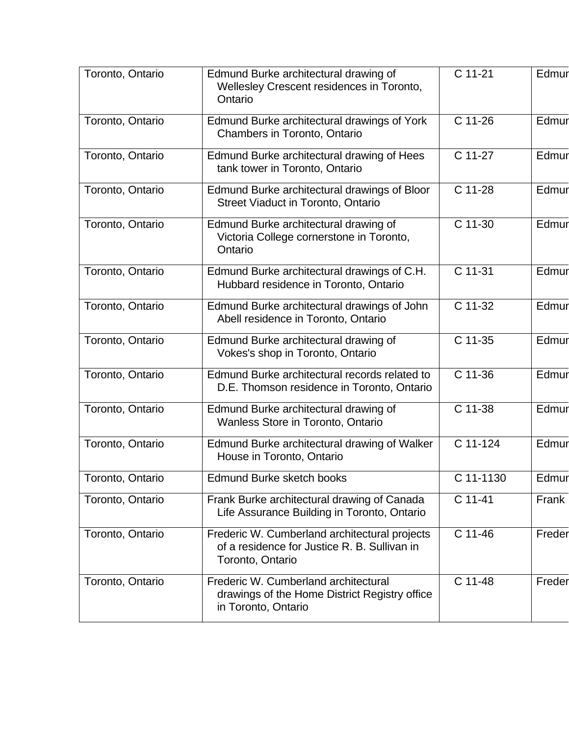| Toronto, Ontario | Edmund Burke architectural drawing of<br>Wellesley Crescent residences in Toronto,<br>Ontario                     | C 11-21              | Edmur  |
|------------------|-------------------------------------------------------------------------------------------------------------------|----------------------|--------|
| Toronto, Ontario | Edmund Burke architectural drawings of York<br>Chambers in Toronto, Ontario                                       | C 11-26              | Edmur  |
| Toronto, Ontario | Edmund Burke architectural drawing of Hees<br>tank tower in Toronto, Ontario                                      | C 11-27              | Edmur  |
| Toronto, Ontario | Edmund Burke architectural drawings of Bloor<br>Street Viaduct in Toronto, Ontario                                | C 11-28              | Edmur  |
| Toronto, Ontario | Edmund Burke architectural drawing of<br>Victoria College cornerstone in Toronto,<br>Ontario                      | C 11-30              | Edmur  |
| Toronto, Ontario | Edmund Burke architectural drawings of C.H.<br>Hubbard residence in Toronto, Ontario                              | C 11-31              | Edmur  |
| Toronto, Ontario | Edmund Burke architectural drawings of John<br>Abell residence in Toronto, Ontario                                | C 11-32              | Edmur  |
| Toronto, Ontario | Edmund Burke architectural drawing of<br>Vokes's shop in Toronto, Ontario                                         | C 11-35              | Edmur  |
| Toronto, Ontario | Edmund Burke architectural records related to<br>D.E. Thomson residence in Toronto, Ontario                       | C 11-36              | Edmur  |
| Toronto, Ontario | Edmund Burke architectural drawing of<br>Wanless Store in Toronto, Ontario                                        | $\overline{C}$ 11-38 | Edmur  |
| Toronto, Ontario | Edmund Burke architectural drawing of Walker<br>House in Toronto, Ontario                                         | C 11-124             | Edmur  |
| Toronto, Ontario | Edmund Burke sketch books                                                                                         | C 11-1130            | Edmur  |
| Toronto, Ontario | Frank Burke architectural drawing of Canada<br>Life Assurance Building in Toronto, Ontario                        | C 11-41              | Frank  |
| Toronto, Ontario | Frederic W. Cumberland architectural projects<br>of a residence for Justice R. B. Sullivan in<br>Toronto, Ontario | C 11-46              | Freder |
| Toronto, Ontario | Frederic W. Cumberland architectural<br>drawings of the Home District Registry office<br>in Toronto, Ontario      | C 11-48              | Freder |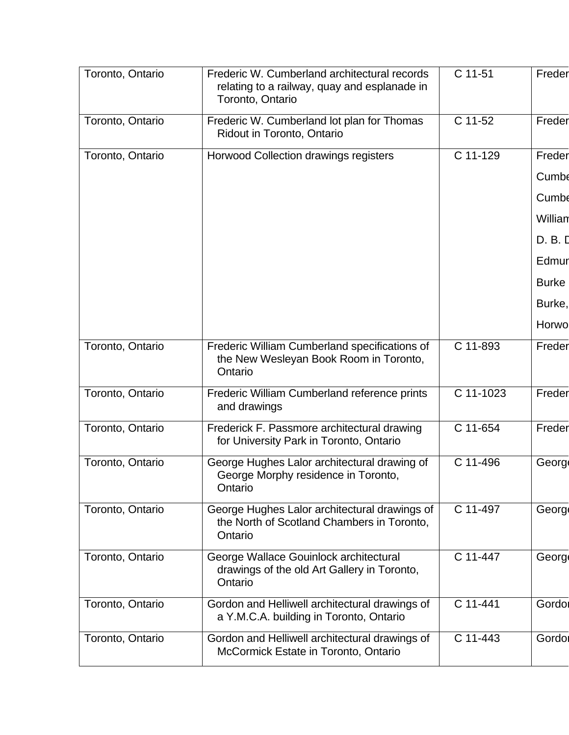| Toronto, Ontario | Frederic W. Cumberland architectural records<br>relating to a railway, quay and esplanade in<br>Toronto, Ontario | C 11-51   | Freder       |
|------------------|------------------------------------------------------------------------------------------------------------------|-----------|--------------|
| Toronto, Ontario | Frederic W. Cumberland lot plan for Thomas<br>Ridout in Toronto, Ontario                                         | C 11-52   | Freder       |
| Toronto, Ontario | <b>Horwood Collection drawings registers</b>                                                                     | C 11-129  | Freder       |
|                  |                                                                                                                  |           | Cumbe        |
|                  |                                                                                                                  |           | Cumbe        |
|                  |                                                                                                                  |           | Willian      |
|                  |                                                                                                                  |           | D. B. D      |
|                  |                                                                                                                  |           | Edmur        |
|                  |                                                                                                                  |           | <b>Burke</b> |
|                  |                                                                                                                  |           | Burke,       |
|                  |                                                                                                                  |           | Horwo        |
| Toronto, Ontario | Frederic William Cumberland specifications of<br>the New Wesleyan Book Room in Toronto,<br>Ontario               | C 11-893  | Freder       |
| Toronto, Ontario | Frederic William Cumberland reference prints<br>and drawings                                                     | C 11-1023 | Freder       |
| Toronto, Ontario | Frederick F. Passmore architectural drawing<br>for University Park in Toronto, Ontario                           | C 11-654  | Freder       |
| Toronto, Ontario | George Hughes Lalor architectural drawing of<br>George Morphy residence in Toronto,<br>Ontario                   | C 11-496  | Georg        |
| Toronto, Ontario | George Hughes Lalor architectural drawings of<br>the North of Scotland Chambers in Toronto,<br>Ontario           | C 11-497  | <b>Georg</b> |
| Toronto, Ontario | George Wallace Gouinlock architectural<br>drawings of the old Art Gallery in Toronto,<br>Ontario                 | C 11-447  | Georg        |
| Toronto, Ontario | Gordon and Helliwell architectural drawings of<br>a Y.M.C.A. building in Toronto, Ontario                        | C 11-441  | Gordol       |
| Toronto, Ontario | Gordon and Helliwell architectural drawings of<br>McCormick Estate in Toronto, Ontario                           | C 11-443  | Gordol       |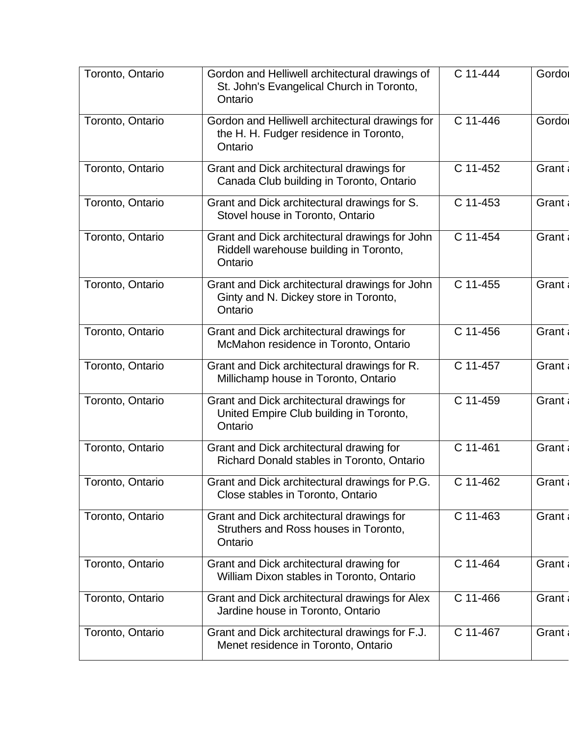| Toronto, Ontario | Gordon and Helliwell architectural drawings of<br>St. John's Evangelical Church in Toronto,<br>Ontario | C 11-444 | Gordor  |
|------------------|--------------------------------------------------------------------------------------------------------|----------|---------|
| Toronto, Ontario | Gordon and Helliwell architectural drawings for<br>the H. H. Fudger residence in Toronto,<br>Ontario   | C 11-446 | Gordol  |
| Toronto, Ontario | Grant and Dick architectural drawings for<br>Canada Club building in Toronto, Ontario                  | C 11-452 | Grant   |
| Toronto, Ontario | Grant and Dick architectural drawings for S.<br>Stovel house in Toronto, Ontario                       | C 11-453 | Grant   |
| Toronto, Ontario | Grant and Dick architectural drawings for John<br>Riddell warehouse building in Toronto,<br>Ontario    | C 11-454 | Grant   |
| Toronto, Ontario | Grant and Dick architectural drawings for John<br>Ginty and N. Dickey store in Toronto,<br>Ontario     | C 11-455 | Grant   |
| Toronto, Ontario | Grant and Dick architectural drawings for<br>McMahon residence in Toronto, Ontario                     | C 11-456 | Grant   |
| Toronto, Ontario | Grant and Dick architectural drawings for R.<br>Millichamp house in Toronto, Ontario                   | C 11-457 | Grant   |
| Toronto, Ontario | Grant and Dick architectural drawings for<br>United Empire Club building in Toronto,<br>Ontario        | C 11-459 | Grant   |
| Toronto, Ontario | Grant and Dick architectural drawing for<br>Richard Donald stables in Toronto, Ontario                 | C 11-461 | Grant   |
| Toronto, Ontario | Grant and Dick architectural drawings for P.G.<br>Close stables in Toronto, Ontario                    | C 11-462 | Grant a |
| Toronto, Ontario | Grant and Dick architectural drawings for<br>Struthers and Ross houses in Toronto,<br>Ontario          | C 11-463 | Grant   |
| Toronto, Ontario | Grant and Dick architectural drawing for<br>William Dixon stables in Toronto, Ontario                  | C 11-464 | Grant   |
| Toronto, Ontario | Grant and Dick architectural drawings for Alex<br>Jardine house in Toronto, Ontario                    | C 11-466 | Grant   |
| Toronto, Ontario | Grant and Dick architectural drawings for F.J.<br>Menet residence in Toronto, Ontario                  | C 11-467 | Grant   |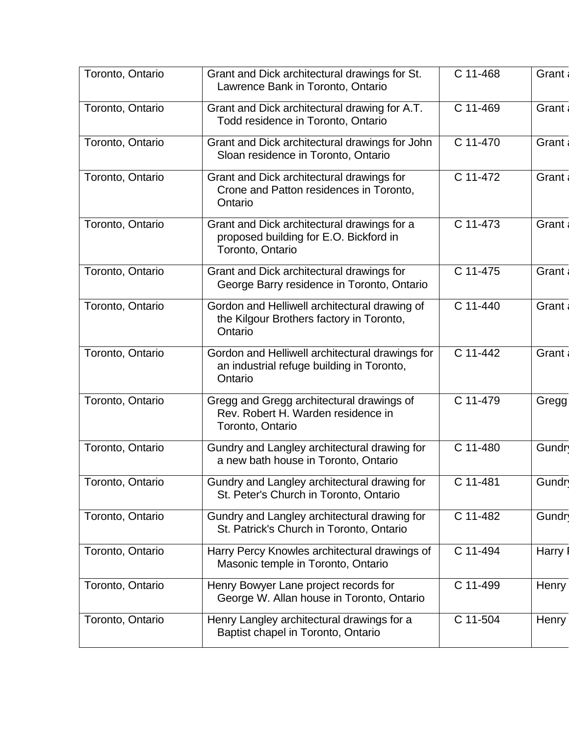| Toronto, Ontario | Grant and Dick architectural drawings for St.<br>Lawrence Bank in Toronto, Ontario                        | C 11-468   | Grant |
|------------------|-----------------------------------------------------------------------------------------------------------|------------|-------|
| Toronto, Ontario | Grant and Dick architectural drawing for A.T.<br>Todd residence in Toronto, Ontario                       | C 11-469   | Grant |
| Toronto, Ontario | Grant and Dick architectural drawings for John<br>Sloan residence in Toronto, Ontario                     | C 11-470   | Grant |
| Toronto, Ontario | Grant and Dick architectural drawings for<br>Crone and Patton residences in Toronto,<br>Ontario           | C 11-472   | Grant |
| Toronto, Ontario | Grant and Dick architectural drawings for a<br>proposed building for E.O. Bickford in<br>Toronto, Ontario | C 11-473   | Grant |
| Toronto, Ontario | Grant and Dick architectural drawings for<br>George Barry residence in Toronto, Ontario                   | C 11-475   | Grant |
| Toronto, Ontario | Gordon and Helliwell architectural drawing of<br>the Kilgour Brothers factory in Toronto,<br>Ontario      | C 11-440   | Grant |
| Toronto, Ontario | Gordon and Helliwell architectural drawings for<br>an industrial refuge building in Toronto,<br>Ontario   | C 11-442   | Grant |
| Toronto, Ontario | Gregg and Gregg architectural drawings of<br>Rev. Robert H. Warden residence in<br>Toronto, Ontario       | C 11-479   | Gregg |
| Toronto, Ontario | Gundry and Langley architectural drawing for<br>a new bath house in Toronto, Ontario                      | C 11-480   | Gundr |
| Toronto, Ontario | Gundry and Langley architectural drawing for<br>St. Peter's Church in Toronto, Ontario                    | C 11-481   | Gundr |
| Toronto, Ontario | Gundry and Langley architectural drawing for<br>St. Patrick's Church in Toronto, Ontario                  | C 11-482   | Gundr |
| Toronto, Ontario | Harry Percy Knowles architectural drawings of<br>Masonic temple in Toronto, Ontario                       | C 11-494   | Harry |
| Toronto, Ontario | Henry Bowyer Lane project records for<br>George W. Allan house in Toronto, Ontario                        | C 11-499   | Henry |
| Toronto, Ontario | Henry Langley architectural drawings for a<br>Baptist chapel in Toronto, Ontario                          | $C$ 11-504 | Henry |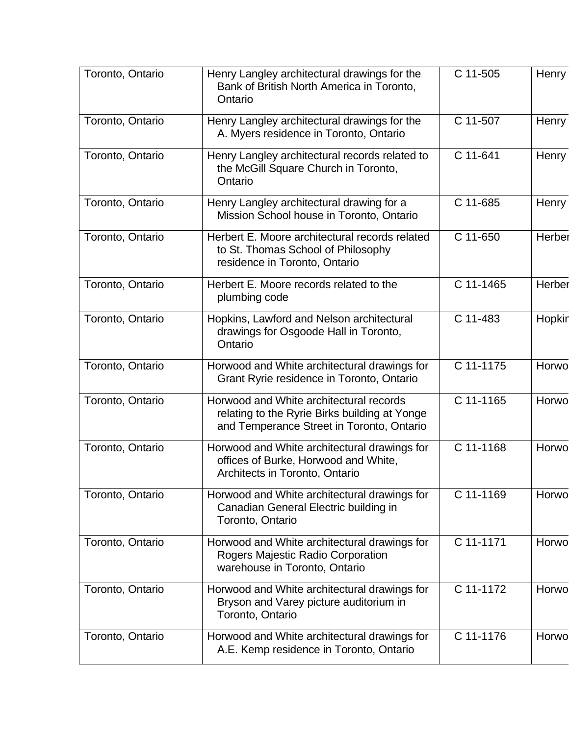| Toronto, Ontario | Henry Langley architectural drawings for the<br>Bank of British North America in Toronto,<br>Ontario                                  | C 11-505    | <b>Henry</b> |
|------------------|---------------------------------------------------------------------------------------------------------------------------------------|-------------|--------------|
| Toronto, Ontario | Henry Langley architectural drawings for the<br>A. Myers residence in Toronto, Ontario                                                | C 11-507    | Henry        |
| Toronto, Ontario | Henry Langley architectural records related to<br>the McGill Square Church in Toronto,<br>Ontario                                     | C 11-641    | Henry        |
| Toronto, Ontario | Henry Langley architectural drawing for a<br>Mission School house in Toronto, Ontario                                                 | C 11-685    | <b>Henry</b> |
| Toronto, Ontario | Herbert E. Moore architectural records related<br>to St. Thomas School of Philosophy<br>residence in Toronto, Ontario                 | C 11-650    | Herber       |
| Toronto, Ontario | Herbert E. Moore records related to the<br>plumbing code                                                                              | C 11-1465   | Herber       |
| Toronto, Ontario | Hopkins, Lawford and Nelson architectural<br>drawings for Osgoode Hall in Toronto,<br>Ontario                                         | C 11-483    | Hopkir       |
| Toronto, Ontario | Horwood and White architectural drawings for<br>Grant Ryrie residence in Toronto, Ontario                                             | C 11-1175   | Horwo        |
| Toronto, Ontario | Horwood and White architectural records<br>relating to the Ryrie Birks building at Yonge<br>and Temperance Street in Toronto, Ontario | C 11-1165   | Horwo        |
| Toronto, Ontario | Horwood and White architectural drawings for<br>offices of Burke, Horwood and White,<br>Architects in Toronto, Ontario                | $C$ 11-1168 | Horwo        |
| Toronto, Ontario | Horwood and White architectural drawings for<br>Canadian General Electric building in<br>Toronto, Ontario                             | C 11-1169   | Horwo        |
| Toronto, Ontario | Horwood and White architectural drawings for<br>Rogers Majestic Radio Corporation<br>warehouse in Toronto, Ontario                    | C 11-1171   | Horwo        |
| Toronto, Ontario | Horwood and White architectural drawings for<br>Bryson and Varey picture auditorium in<br>Toronto, Ontario                            | C 11-1172   | Horwo        |
| Toronto, Ontario | Horwood and White architectural drawings for<br>A.E. Kemp residence in Toronto, Ontario                                               | C 11-1176   | Horwo        |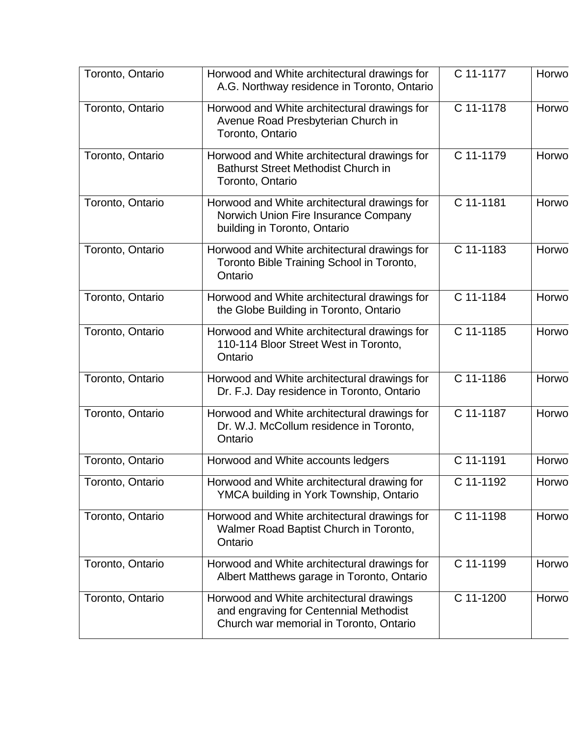| Toronto, Ontario | Horwood and White architectural drawings for<br>A.G. Northway residence in Toronto, Ontario                                   | C 11-1177 | Horwo |
|------------------|-------------------------------------------------------------------------------------------------------------------------------|-----------|-------|
| Toronto, Ontario | Horwood and White architectural drawings for<br>Avenue Road Presbyterian Church in<br>Toronto, Ontario                        | C 11-1178 | Horwo |
| Toronto, Ontario | Horwood and White architectural drawings for<br><b>Bathurst Street Methodist Church in</b><br>Toronto, Ontario                | C 11-1179 | Horwo |
| Toronto, Ontario | Horwood and White architectural drawings for<br>Norwich Union Fire Insurance Company<br>building in Toronto, Ontario          | C 11-1181 | Horwo |
| Toronto, Ontario | Horwood and White architectural drawings for<br>Toronto Bible Training School in Toronto,<br>Ontario                          | C 11-1183 | Horwo |
| Toronto, Ontario | Horwood and White architectural drawings for<br>the Globe Building in Toronto, Ontario                                        | C 11-1184 | Horwo |
| Toronto, Ontario | Horwood and White architectural drawings for<br>110-114 Bloor Street West in Toronto,<br>Ontario                              | C 11-1185 | Horwo |
| Toronto, Ontario | Horwood and White architectural drawings for<br>Dr. F.J. Day residence in Toronto, Ontario                                    | C 11-1186 | Horwo |
| Toronto, Ontario | Horwood and White architectural drawings for<br>Dr. W.J. McCollum residence in Toronto,<br>Ontario                            | C 11-1187 | Horwo |
| Toronto, Ontario | Horwood and White accounts ledgers                                                                                            | C 11-1191 | Horwo |
| Toronto, Ontario | Horwood and White architectural drawing for<br>YMCA building in York Township, Ontario                                        | C 11-1192 | Horwo |
| Toronto, Ontario | Horwood and White architectural drawings for<br>Walmer Road Baptist Church in Toronto,<br>Ontario                             | C 11-1198 | Horwo |
| Toronto, Ontario | Horwood and White architectural drawings for<br>Albert Matthews garage in Toronto, Ontario                                    | C 11-1199 | Horwo |
| Toronto, Ontario | Horwood and White architectural drawings<br>and engraving for Centennial Methodist<br>Church war memorial in Toronto, Ontario | C 11-1200 | Horwo |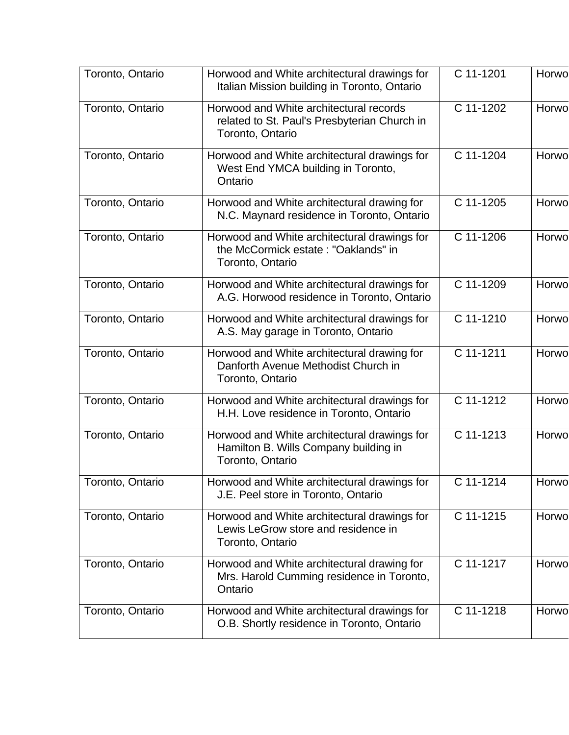| Toronto, Ontario | Horwood and White architectural drawings for<br>Italian Mission building in Toronto, Ontario                | C 11-1201   | Horwo |
|------------------|-------------------------------------------------------------------------------------------------------------|-------------|-------|
| Toronto, Ontario | Horwood and White architectural records<br>related to St. Paul's Presbyterian Church in<br>Toronto, Ontario | C 11-1202   | Horwo |
| Toronto, Ontario | Horwood and White architectural drawings for<br>West End YMCA building in Toronto,<br>Ontario               | C 11-1204   | Horwo |
| Toronto, Ontario | Horwood and White architectural drawing for<br>N.C. Maynard residence in Toronto, Ontario                   | C 11-1205   | Horwo |
| Toronto, Ontario | Horwood and White architectural drawings for<br>the McCormick estate: "Oaklands" in<br>Toronto, Ontario     | C 11-1206   | Horwo |
| Toronto, Ontario | Horwood and White architectural drawings for<br>A.G. Horwood residence in Toronto, Ontario                  | C 11-1209   | Horwo |
| Toronto, Ontario | Horwood and White architectural drawings for<br>A.S. May garage in Toronto, Ontario                         | C 11-1210   | Horwo |
| Toronto, Ontario | Horwood and White architectural drawing for<br>Danforth Avenue Methodist Church in<br>Toronto, Ontario      | $C$ 11-1211 | Horwo |
| Toronto, Ontario | Horwood and White architectural drawings for<br>H.H. Love residence in Toronto, Ontario                     | C 11-1212   | Horwo |
| Toronto, Ontario | Horwood and White architectural drawings for<br>Hamilton B. Wills Company building in<br>Toronto, Ontario   | C 11-1213   | Horwo |
| Toronto, Ontario | Horwood and White architectural drawings for<br>J.E. Peel store in Toronto, Ontario                         | C 11-1214   | Horwo |
| Toronto, Ontario | Horwood and White architectural drawings for<br>Lewis LeGrow store and residence in<br>Toronto, Ontario     | C 11-1215   | Horwo |
| Toronto, Ontario | Horwood and White architectural drawing for<br>Mrs. Harold Cumming residence in Toronto,<br>Ontario         | C 11-1217   | Horwo |
| Toronto, Ontario | Horwood and White architectural drawings for<br>O.B. Shortly residence in Toronto, Ontario                  | C 11-1218   | Horwo |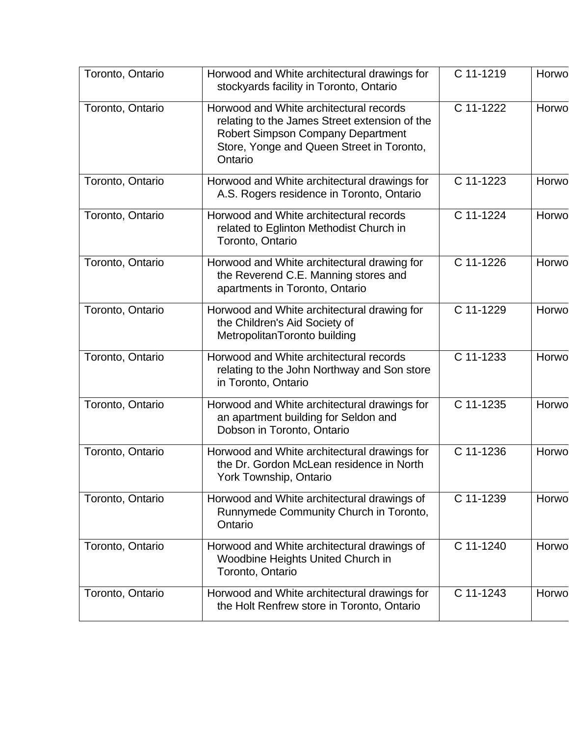| Toronto, Ontario | Horwood and White architectural drawings for<br>stockyards facility in Toronto, Ontario                                                                                                      | C 11-1219 | Horwo |
|------------------|----------------------------------------------------------------------------------------------------------------------------------------------------------------------------------------------|-----------|-------|
| Toronto, Ontario | Horwood and White architectural records<br>relating to the James Street extension of the<br><b>Robert Simpson Company Department</b><br>Store, Yonge and Queen Street in Toronto,<br>Ontario | C 11-1222 | Horwo |
| Toronto, Ontario | Horwood and White architectural drawings for<br>A.S. Rogers residence in Toronto, Ontario                                                                                                    | C 11-1223 | Horwo |
| Toronto, Ontario | Horwood and White architectural records<br>related to Eglinton Methodist Church in<br>Toronto, Ontario                                                                                       | C 11-1224 | Horwo |
| Toronto, Ontario | Horwood and White architectural drawing for<br>the Reverend C.E. Manning stores and<br>apartments in Toronto, Ontario                                                                        | C 11-1226 | Horwo |
| Toronto, Ontario | Horwood and White architectural drawing for<br>the Children's Aid Society of<br>MetropolitanToronto building                                                                                 | C 11-1229 | Horwo |
| Toronto, Ontario | Horwood and White architectural records<br>relating to the John Northway and Son store<br>in Toronto, Ontario                                                                                | C 11-1233 | Horwo |
| Toronto, Ontario | Horwood and White architectural drawings for<br>an apartment building for Seldon and<br>Dobson in Toronto, Ontario                                                                           | C 11-1235 | Horwo |
| Toronto, Ontario | Horwood and White architectural drawings for<br>the Dr. Gordon McLean residence in North<br>York Township, Ontario                                                                           | C 11-1236 | Horwo |
| Toronto, Ontario | Horwood and White architectural drawings of<br>Runnymede Community Church in Toronto,<br>Ontario                                                                                             | C 11-1239 | Horwo |
| Toronto, Ontario | Horwood and White architectural drawings of<br>Woodbine Heights United Church in<br>Toronto, Ontario                                                                                         | C 11-1240 | Horwo |
| Toronto, Ontario | Horwood and White architectural drawings for<br>the Holt Renfrew store in Toronto, Ontario                                                                                                   | C 11-1243 | Horwo |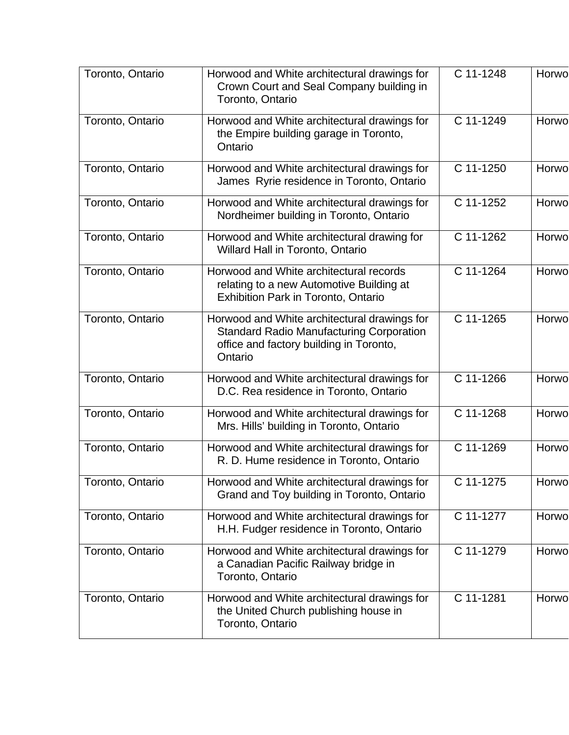| Toronto, Ontario | Horwood and White architectural drawings for<br>Crown Court and Seal Company building in<br>Toronto, Ontario                                          | C 11-1248 | Horwo |
|------------------|-------------------------------------------------------------------------------------------------------------------------------------------------------|-----------|-------|
| Toronto, Ontario | Horwood and White architectural drawings for<br>the Empire building garage in Toronto,<br>Ontario                                                     | C 11-1249 | Horwo |
| Toronto, Ontario | Horwood and White architectural drawings for<br>James Ryrie residence in Toronto, Ontario                                                             | C 11-1250 | Horwo |
| Toronto, Ontario | Horwood and White architectural drawings for<br>Nordheimer building in Toronto, Ontario                                                               | C 11-1252 | Horwo |
| Toronto, Ontario | Horwood and White architectural drawing for<br>Willard Hall in Toronto, Ontario                                                                       | C 11-1262 | Horwo |
| Toronto, Ontario | Horwood and White architectural records<br>relating to a new Automotive Building at<br>Exhibition Park in Toronto, Ontario                            | C 11-1264 | Horwo |
| Toronto, Ontario | Horwood and White architectural drawings for<br><b>Standard Radio Manufacturing Corporation</b><br>office and factory building in Toronto,<br>Ontario | C 11-1265 | Horwo |
| Toronto, Ontario | Horwood and White architectural drawings for<br>D.C. Rea residence in Toronto, Ontario                                                                | C 11-1266 | Horwo |
| Toronto, Ontario | Horwood and White architectural drawings for<br>Mrs. Hills' building in Toronto, Ontario                                                              | C 11-1268 | Horwo |
| Toronto, Ontario | Horwood and White architectural drawings for<br>R. D. Hume residence in Toronto, Ontario                                                              | C 11-1269 | Horwo |
| Toronto, Ontario | Horwood and White architectural drawings for<br>Grand and Toy building in Toronto, Ontario                                                            | C 11-1275 | Horwo |
| Toronto, Ontario | Horwood and White architectural drawings for<br>H.H. Fudger residence in Toronto, Ontario                                                             | C 11-1277 | Horwo |
| Toronto, Ontario | Horwood and White architectural drawings for<br>a Canadian Pacific Railway bridge in<br>Toronto, Ontario                                              | C 11-1279 | Horwo |
| Toronto, Ontario | Horwood and White architectural drawings for<br>the United Church publishing house in<br>Toronto, Ontario                                             | C 11-1281 | Horwo |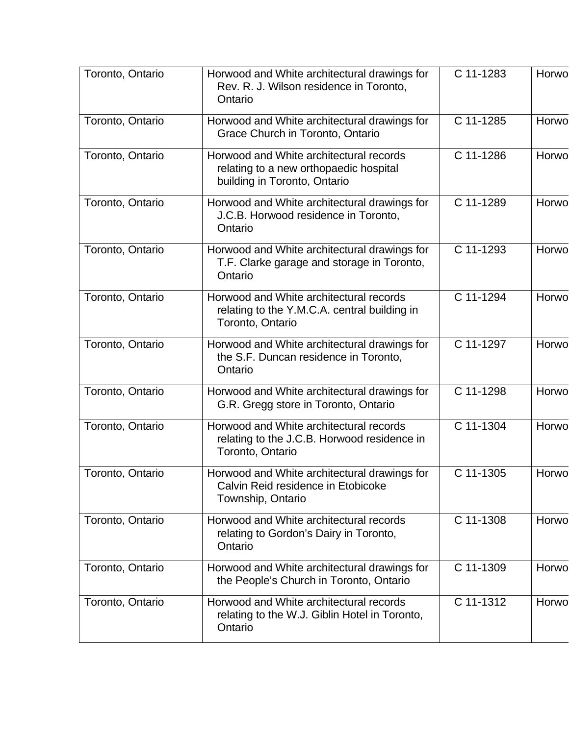| Toronto, Ontario | Horwood and White architectural drawings for<br>Rev. R. J. Wilson residence in Toronto,<br>Ontario                | C 11-1283 | Horwo |
|------------------|-------------------------------------------------------------------------------------------------------------------|-----------|-------|
| Toronto, Ontario | Horwood and White architectural drawings for<br>Grace Church in Toronto, Ontario                                  | C 11-1285 | Horwo |
| Toronto, Ontario | Horwood and White architectural records<br>relating to a new orthopaedic hospital<br>building in Toronto, Ontario | C 11-1286 | Horwo |
| Toronto, Ontario | Horwood and White architectural drawings for<br>J.C.B. Horwood residence in Toronto,<br>Ontario                   | C 11-1289 | Horwo |
| Toronto, Ontario | Horwood and White architectural drawings for<br>T.F. Clarke garage and storage in Toronto,<br>Ontario             | C 11-1293 | Horwo |
| Toronto, Ontario | Horwood and White architectural records<br>relating to the Y.M.C.A. central building in<br>Toronto, Ontario       | C 11-1294 | Horwo |
| Toronto, Ontario | Horwood and White architectural drawings for<br>the S.F. Duncan residence in Toronto,<br>Ontario                  | C 11-1297 | Horwo |
| Toronto, Ontario | Horwood and White architectural drawings for<br>G.R. Gregg store in Toronto, Ontario                              | C 11-1298 | Horwo |
| Toronto, Ontario | Horwood and White architectural records<br>relating to the J.C.B. Horwood residence in<br>Toronto, Ontario        | C 11-1304 | Horwo |
| Toronto, Ontario | Horwood and White architectural drawings for<br>Calvin Reid residence in Etobicoke<br>Township, Ontario           | C 11-1305 | Horwo |
| Toronto, Ontario | Horwood and White architectural records<br>relating to Gordon's Dairy in Toronto,<br>Ontario                      | C 11-1308 | Horwo |
| Toronto, Ontario | Horwood and White architectural drawings for<br>the People's Church in Toronto, Ontario                           | C 11-1309 | Horwo |
| Toronto, Ontario | Horwood and White architectural records<br>relating to the W.J. Giblin Hotel in Toronto,<br>Ontario               | C 11-1312 | Horwo |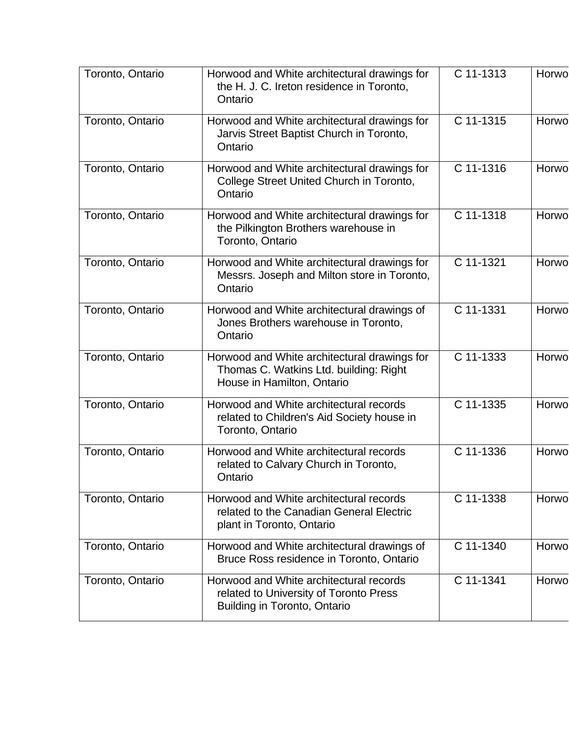| Toronto, Ontario | Horwood and White architectural drawings for<br>the H. J. C. Ireton residence in Toronto,<br>Ontario                 | C 11-1313              | Horwo |
|------------------|----------------------------------------------------------------------------------------------------------------------|------------------------|-------|
| Toronto, Ontario | Horwood and White architectural drawings for<br>Jarvis Street Baptist Church in Toronto,<br>Ontario                  | C 11-1315              | Horwo |
| Toronto, Ontario | Horwood and White architectural drawings for<br>College Street United Church in Toronto,<br>Ontario                  | C 11-1316              | Horwo |
| Toronto, Ontario | Horwood and White architectural drawings for<br>the Pilkington Brothers warehouse in<br>Toronto, Ontario             | $\overline{C}$ 11-1318 | Horwo |
| Toronto, Ontario | Horwood and White architectural drawings for<br>Messrs. Joseph and Milton store in Toronto,<br>Ontario               | C 11-1321              | Horwo |
| Toronto, Ontario | Horwood and White architectural drawings of<br>Jones Brothers warehouse in Toronto,<br>Ontario                       | C 11-1331              | Horwo |
| Toronto, Ontario | Horwood and White architectural drawings for<br>Thomas C. Watkins Ltd. building: Right<br>House in Hamilton, Ontario | C 11-1333              | Horwo |
| Toronto, Ontario | Horwood and White architectural records<br>related to Children's Aid Society house in<br>Toronto, Ontario            | C 11-1335              | Horwo |
| Toronto, Ontario | Horwood and White architectural records<br>related to Calvary Church in Toronto,<br>Ontario                          | C 11-1336              | Horwo |
| Toronto, Ontario | Horwood and White architectural records<br>related to the Canadian General Electric<br>plant in Toronto, Ontario     | C 11-1338              | Horwo |
| Toronto, Ontario | Horwood and White architectural drawings of<br>Bruce Ross residence in Toronto, Ontario                              | C 11-1340              | Horwo |
| Toronto, Ontario | Horwood and White architectural records<br>related to University of Toronto Press<br>Building in Toronto, Ontario    | C 11-1341              | Horwo |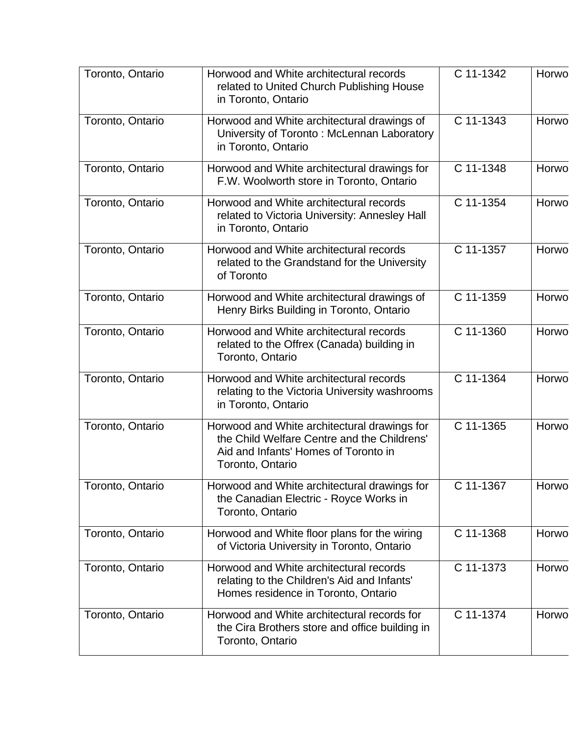| Toronto, Ontario | Horwood and White architectural records<br>related to United Church Publishing House<br>in Toronto, Ontario                                             | C 11-1342 | Horwo |
|------------------|---------------------------------------------------------------------------------------------------------------------------------------------------------|-----------|-------|
| Toronto, Ontario | Horwood and White architectural drawings of<br>University of Toronto: McLennan Laboratory<br>in Toronto, Ontario                                        | C 11-1343 | Horwo |
| Toronto, Ontario | Horwood and White architectural drawings for<br>F.W. Woolworth store in Toronto, Ontario                                                                | C 11-1348 | Horwo |
| Toronto, Ontario | Horwood and White architectural records<br>related to Victoria University: Annesley Hall<br>in Toronto, Ontario                                         | C 11-1354 | Horwo |
| Toronto, Ontario | Horwood and White architectural records<br>related to the Grandstand for the University<br>of Toronto                                                   | C 11-1357 | Horwo |
| Toronto, Ontario | Horwood and White architectural drawings of<br>Henry Birks Building in Toronto, Ontario                                                                 | C 11-1359 | Horwo |
| Toronto, Ontario | Horwood and White architectural records<br>related to the Offrex (Canada) building in<br>Toronto, Ontario                                               | C 11-1360 | Horwo |
| Toronto, Ontario | Horwood and White architectural records<br>relating to the Victoria University washrooms<br>in Toronto, Ontario                                         | C 11-1364 | Horwo |
| Toronto, Ontario | Horwood and White architectural drawings for<br>the Child Welfare Centre and the Childrens'<br>Aid and Infants' Homes of Toronto in<br>Toronto, Ontario | C 11-1365 | Horwo |
| Toronto, Ontario | Horwood and White architectural drawings for<br>the Canadian Electric - Royce Works in<br>Toronto, Ontario                                              | C 11-1367 | Horwo |
| Toronto, Ontario | Horwood and White floor plans for the wiring<br>of Victoria University in Toronto, Ontario                                                              | C 11-1368 | Horwo |
| Toronto, Ontario | Horwood and White architectural records<br>relating to the Children's Aid and Infants'<br>Homes residence in Toronto, Ontario                           | C 11-1373 | Horwo |
| Toronto, Ontario | Horwood and White architectural records for<br>the Cira Brothers store and office building in<br>Toronto, Ontario                                       | C 11-1374 | Horwo |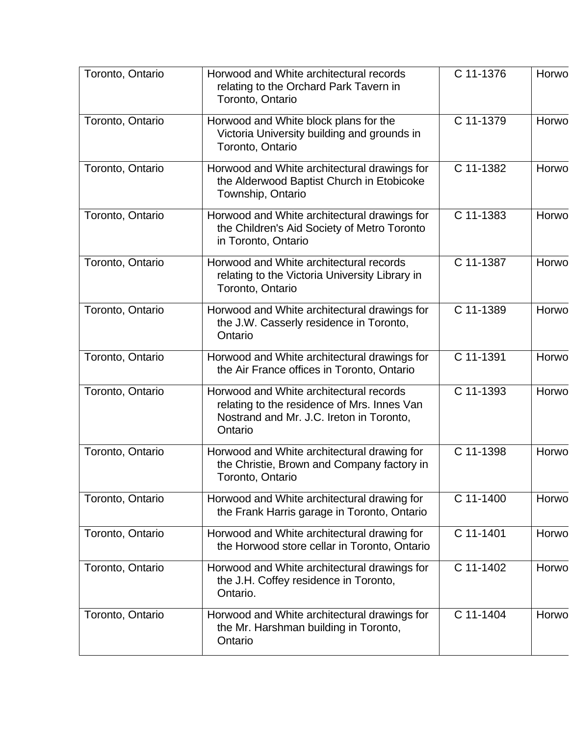| Toronto, Ontario | Horwood and White architectural records<br>relating to the Orchard Park Tavern in<br>Toronto, Ontario                                         | C 11-1376 | Horwo |
|------------------|-----------------------------------------------------------------------------------------------------------------------------------------------|-----------|-------|
| Toronto, Ontario | Horwood and White block plans for the<br>Victoria University building and grounds in<br>Toronto, Ontario                                      | C 11-1379 | Horwo |
| Toronto, Ontario | Horwood and White architectural drawings for<br>the Alderwood Baptist Church in Etobicoke<br>Township, Ontario                                | C 11-1382 | Horwo |
| Toronto, Ontario | Horwood and White architectural drawings for<br>the Children's Aid Society of Metro Toronto<br>in Toronto, Ontario                            | C 11-1383 | Horwo |
| Toronto, Ontario | Horwood and White architectural records<br>relating to the Victoria University Library in<br>Toronto, Ontario                                 | C 11-1387 | Horwo |
| Toronto, Ontario | Horwood and White architectural drawings for<br>the J.W. Casserly residence in Toronto,<br>Ontario                                            | C 11-1389 | Horwo |
| Toronto, Ontario | Horwood and White architectural drawings for<br>the Air France offices in Toronto, Ontario                                                    | C 11-1391 | Horwo |
| Toronto, Ontario | Horwood and White architectural records<br>relating to the residence of Mrs. Innes Van<br>Nostrand and Mr. J.C. Ireton in Toronto,<br>Ontario | C 11-1393 | Horwo |
| Toronto, Ontario | Horwood and White architectural drawing for<br>the Christie, Brown and Company factory in<br>Toronto, Ontario                                 | C 11-1398 | Horwo |
| Toronto, Ontario | Horwood and White architectural drawing for<br>the Frank Harris garage in Toronto, Ontario                                                    | C 11-1400 | Horwo |
| Toronto, Ontario | Horwood and White architectural drawing for<br>the Horwood store cellar in Toronto, Ontario                                                   | C 11-1401 | Horwo |
| Toronto, Ontario | Horwood and White architectural drawings for<br>the J.H. Coffey residence in Toronto,<br>Ontario.                                             | C 11-1402 | Horwo |
| Toronto, Ontario | Horwood and White architectural drawings for<br>the Mr. Harshman building in Toronto,<br>Ontario                                              | C 11-1404 | Horwo |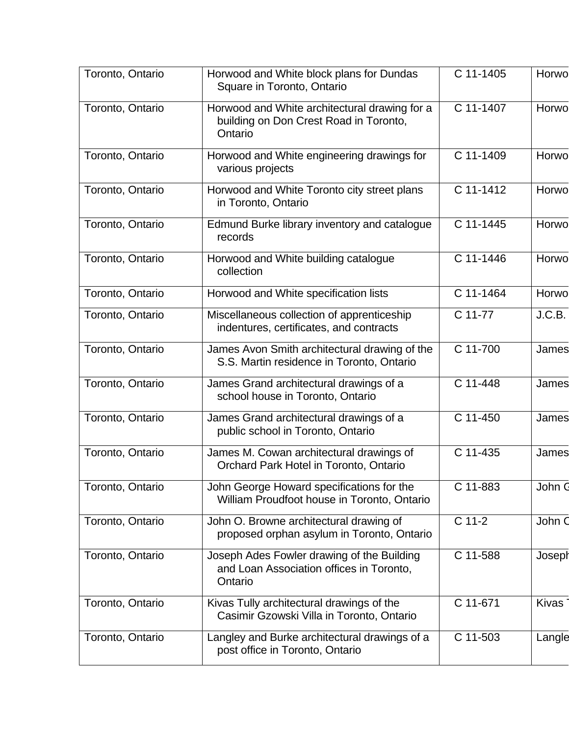| Toronto, Ontario | Horwood and White block plans for Dundas                                                           | C 11-1405           | Horwo        |
|------------------|----------------------------------------------------------------------------------------------------|---------------------|--------------|
|                  | Square in Toronto, Ontario                                                                         |                     |              |
| Toronto, Ontario | Horwood and White architectural drawing for a<br>building on Don Crest Road in Toronto,<br>Ontario | C 11-1407           | Horwo        |
| Toronto, Ontario | Horwood and White engineering drawings for<br>various projects                                     | C 11-1409           | Horwo        |
| Toronto, Ontario | Horwood and White Toronto city street plans<br>in Toronto, Ontario                                 | C 11-1412           | Horwo        |
| Toronto, Ontario | Edmund Burke library inventory and catalogue<br>records                                            | C 11-1445           | Horwo        |
| Toronto, Ontario | Horwood and White building catalogue<br>collection                                                 | C 11-1446           | Horwo        |
| Toronto, Ontario | Horwood and White specification lists                                                              | C 11-1464           | Horwo        |
| Toronto, Ontario | Miscellaneous collection of apprenticeship<br>indentures, certificates, and contracts              | C 11-77             | J.C.B.       |
| Toronto, Ontario | James Avon Smith architectural drawing of the<br>S.S. Martin residence in Toronto, Ontario         | C 11-700            | James        |
| Toronto, Ontario | James Grand architectural drawings of a<br>school house in Toronto, Ontario                        | C 11-448            | James        |
| Toronto, Ontario | James Grand architectural drawings of a<br>public school in Toronto, Ontario                       | C 11-450            | James        |
| Toronto, Ontario | James M. Cowan architectural drawings of<br>Orchard Park Hotel in Toronto, Ontario                 | C 11-435            | James        |
| Toronto, Ontario | John George Howard specifications for the<br>William Proudfoot house in Toronto, Ontario           | C 11-883            | John G       |
| Toronto, Ontario | John O. Browne architectural drawing of<br>proposed orphan asylum in Toronto, Ontario              | $\overline{C}$ 11-2 | John C       |
| Toronto, Ontario | Joseph Ades Fowler drawing of the Building<br>and Loan Association offices in Toronto,<br>Ontario  | C 11-588            | Joseph       |
| Toronto, Ontario | Kivas Tully architectural drawings of the<br>Casimir Gzowski Villa in Toronto, Ontario             | C 11-671            | <b>Kivas</b> |
| Toronto, Ontario | Langley and Burke architectural drawings of a<br>post office in Toronto, Ontario                   | C 11-503            | Langle       |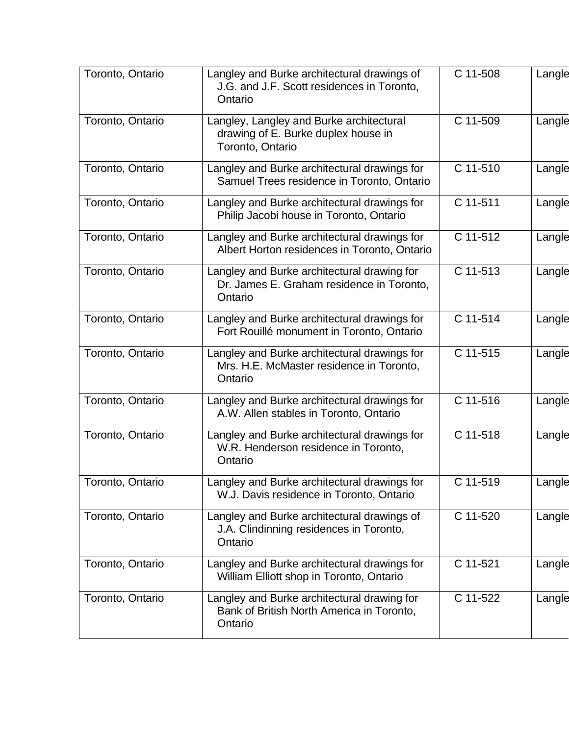| Toronto, Ontario | Langley and Burke architectural drawings of<br>J.G. and J.F. Scott residences in Toronto,<br>Ontario | C 11-508 | Langle |
|------------------|------------------------------------------------------------------------------------------------------|----------|--------|
| Toronto, Ontario | Langley, Langley and Burke architectural<br>drawing of E. Burke duplex house in<br>Toronto, Ontario  | C 11-509 | Langle |
| Toronto, Ontario | Langley and Burke architectural drawings for<br>Samuel Trees residence in Toronto, Ontario           | C 11-510 | Langle |
| Toronto, Ontario | Langley and Burke architectural drawings for<br>Philip Jacobi house in Toronto, Ontario              | C 11-511 | Langle |
| Toronto, Ontario | Langley and Burke architectural drawings for<br>Albert Horton residences in Toronto, Ontario         | C 11-512 | Langle |
| Toronto, Ontario | Langley and Burke architectural drawing for<br>Dr. James E. Graham residence in Toronto,<br>Ontario  | C 11-513 | Langle |
| Toronto, Ontario | Langley and Burke architectural drawings for<br>Fort Rouillé monument in Toronto, Ontario            | C 11-514 | Langle |
| Toronto, Ontario | Langley and Burke architectural drawings for<br>Mrs. H.E. McMaster residence in Toronto,<br>Ontario  | C 11-515 | Langle |
| Toronto, Ontario | Langley and Burke architectural drawings for<br>A.W. Allen stables in Toronto, Ontario               | C 11-516 | Langle |
| Toronto, Ontario | Langley and Burke architectural drawings for<br>W.R. Henderson residence in Toronto,<br>Ontario      | C 11-518 | Langle |
| Toronto, Ontario | Langley and Burke architectural drawings for<br>W.J. Davis residence in Toronto, Ontario             | C 11-519 | Langle |
| Toronto, Ontario | Langley and Burke architectural drawings of<br>J.A. Clindinning residences in Toronto,<br>Ontario    | C 11-520 | Langle |
| Toronto, Ontario | Langley and Burke architectural drawings for<br>William Elliott shop in Toronto, Ontario             | C 11-521 | Langle |
| Toronto, Ontario | Langley and Burke architectural drawing for<br>Bank of British North America in Toronto,<br>Ontario  | C 11-522 | Langle |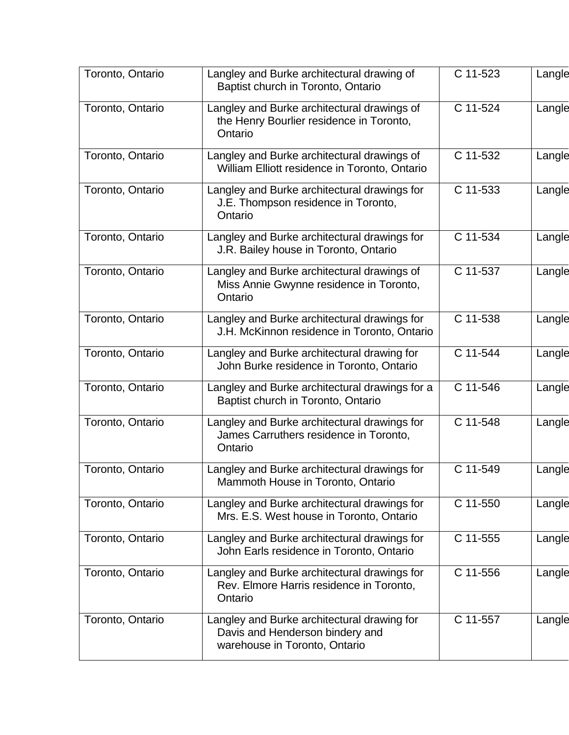| Toronto, Ontario | Langley and Burke architectural drawing of<br>Baptist church in Toronto, Ontario                                | C 11-523 | Langle |
|------------------|-----------------------------------------------------------------------------------------------------------------|----------|--------|
| Toronto, Ontario | Langley and Burke architectural drawings of<br>the Henry Bourlier residence in Toronto,<br>Ontario              | C 11-524 | Langle |
| Toronto, Ontario | Langley and Burke architectural drawings of<br>William Elliott residence in Toronto, Ontario                    | C 11-532 | Langle |
| Toronto, Ontario | Langley and Burke architectural drawings for<br>J.E. Thompson residence in Toronto,<br>Ontario                  | C 11-533 | Langle |
| Toronto, Ontario | Langley and Burke architectural drawings for<br>J.R. Bailey house in Toronto, Ontario                           | C 11-534 | Langle |
| Toronto, Ontario | Langley and Burke architectural drawings of<br>Miss Annie Gwynne residence in Toronto,<br>Ontario               | C 11-537 | Langle |
| Toronto, Ontario | Langley and Burke architectural drawings for<br>J.H. McKinnon residence in Toronto, Ontario                     | C 11-538 | Langle |
| Toronto, Ontario | Langley and Burke architectural drawing for<br>John Burke residence in Toronto, Ontario                         | C 11-544 | Langle |
| Toronto, Ontario | Langley and Burke architectural drawings for a<br>Baptist church in Toronto, Ontario                            | C 11-546 | Langle |
| Toronto, Ontario | Langley and Burke architectural drawings for<br>James Carruthers residence in Toronto,<br>Ontario               | C 11-548 | Langle |
| Toronto, Ontario | Langley and Burke architectural drawings for<br>Mammoth House in Toronto, Ontario                               | C 11-549 | Langle |
| Toronto, Ontario | Langley and Burke architectural drawings for<br>Mrs. E.S. West house in Toronto, Ontario                        | C 11-550 | Langle |
| Toronto, Ontario | Langley and Burke architectural drawings for<br>John Earls residence in Toronto, Ontario                        | C 11-555 | Langle |
| Toronto, Ontario | Langley and Burke architectural drawings for<br>Rev. Elmore Harris residence in Toronto,<br>Ontario             | C 11-556 | Langle |
| Toronto, Ontario | Langley and Burke architectural drawing for<br>Davis and Henderson bindery and<br>warehouse in Toronto, Ontario | C 11-557 | Langle |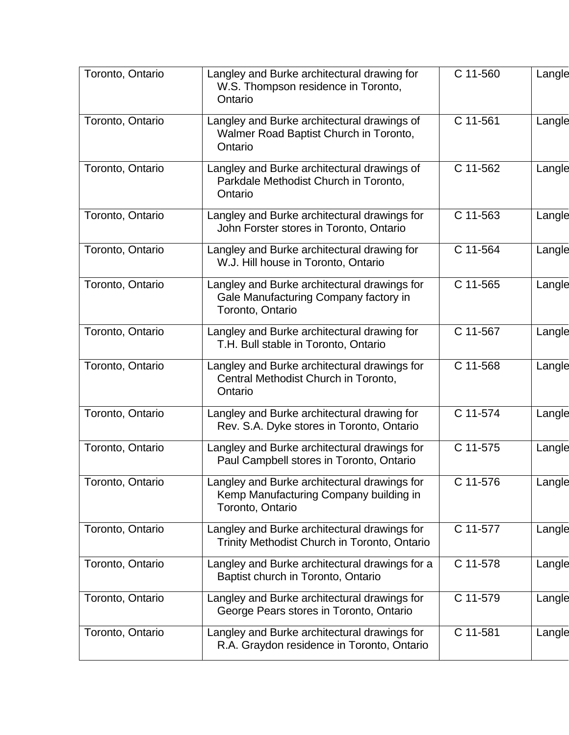| Toronto, Ontario | Langley and Burke architectural drawing for<br>W.S. Thompson residence in Toronto,<br>Ontario              | C 11-560 | Langle |
|------------------|------------------------------------------------------------------------------------------------------------|----------|--------|
| Toronto, Ontario | Langley and Burke architectural drawings of<br>Walmer Road Baptist Church in Toronto,<br>Ontario           | C 11-561 | Langle |
| Toronto, Ontario | Langley and Burke architectural drawings of<br>Parkdale Methodist Church in Toronto,<br>Ontario            | C 11-562 | Langle |
| Toronto, Ontario | Langley and Burke architectural drawings for<br>John Forster stores in Toronto, Ontario                    | C 11-563 | Langle |
| Toronto, Ontario | Langley and Burke architectural drawing for<br>W.J. Hill house in Toronto, Ontario                         | C 11-564 | Langle |
| Toronto, Ontario | Langley and Burke architectural drawings for<br>Gale Manufacturing Company factory in<br>Toronto, Ontario  | C 11-565 | Langle |
| Toronto, Ontario | Langley and Burke architectural drawing for<br>T.H. Bull stable in Toronto, Ontario                        | C 11-567 | Langle |
| Toronto, Ontario | Langley and Burke architectural drawings for<br>Central Methodist Church in Toronto,<br>Ontario            | C 11-568 | Langle |
| Toronto, Ontario | Langley and Burke architectural drawing for<br>Rev. S.A. Dyke stores in Toronto, Ontario                   | C 11-574 | Langle |
| Toronto, Ontario | Langley and Burke architectural drawings for<br>Paul Campbell stores in Toronto, Ontario                   | C 11-575 | Langle |
| Toronto, Ontario | Langley and Burke architectural drawings for<br>Kemp Manufacturing Company building in<br>Toronto, Ontario | C 11-576 | Langle |
| Toronto, Ontario | Langley and Burke architectural drawings for<br>Trinity Methodist Church in Toronto, Ontario               | C 11-577 | Langle |
| Toronto, Ontario | Langley and Burke architectural drawings for a<br>Baptist church in Toronto, Ontario                       | C 11-578 | Langle |
| Toronto, Ontario | Langley and Burke architectural drawings for<br>George Pears stores in Toronto, Ontario                    | C 11-579 | Langle |
| Toronto, Ontario | Langley and Burke architectural drawings for<br>R.A. Graydon residence in Toronto, Ontario                 | C 11-581 | Langle |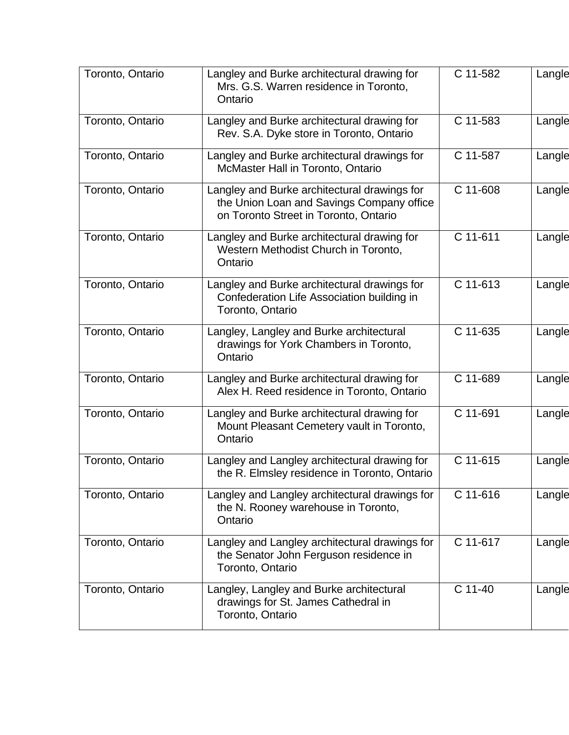| Toronto, Ontario | Langley and Burke architectural drawing for<br>Mrs. G.S. Warren residence in Toronto,<br>Ontario                                   | C 11-582 | Langle |
|------------------|------------------------------------------------------------------------------------------------------------------------------------|----------|--------|
| Toronto, Ontario | Langley and Burke architectural drawing for<br>Rev. S.A. Dyke store in Toronto, Ontario                                            | C 11-583 | Langle |
| Toronto, Ontario | Langley and Burke architectural drawings for<br>McMaster Hall in Toronto, Ontario                                                  | C 11-587 | Langle |
| Toronto, Ontario | Langley and Burke architectural drawings for<br>the Union Loan and Savings Company office<br>on Toronto Street in Toronto, Ontario | C 11-608 | Langle |
| Toronto, Ontario | Langley and Burke architectural drawing for<br>Western Methodist Church in Toronto,<br>Ontario                                     | C 11-611 | Langle |
| Toronto, Ontario | Langley and Burke architectural drawings for<br>Confederation Life Association building in<br>Toronto, Ontario                     | C 11-613 | Langle |
| Toronto, Ontario | Langley, Langley and Burke architectural<br>drawings for York Chambers in Toronto,<br>Ontario                                      | C 11-635 | Langle |
| Toronto, Ontario | Langley and Burke architectural drawing for<br>Alex H. Reed residence in Toronto, Ontario                                          | C 11-689 | Langle |
| Toronto, Ontario | Langley and Burke architectural drawing for<br>Mount Pleasant Cemetery vault in Toronto,<br>Ontario                                | C 11-691 | Langle |
| Toronto, Ontario | Langley and Langley architectural drawing for<br>the R. Elmsley residence in Toronto, Ontario                                      | C 11-615 | Langle |
| Toronto, Ontario | Langley and Langley architectural drawings for<br>the N. Rooney warehouse in Toronto,<br>Ontario                                   | C 11-616 | Langle |
| Toronto, Ontario | Langley and Langley architectural drawings for<br>the Senator John Ferguson residence in<br>Toronto, Ontario                       | C 11-617 | Langle |
| Toronto, Ontario | Langley, Langley and Burke architectural<br>drawings for St. James Cathedral in<br>Toronto, Ontario                                | C 11-40  | Langle |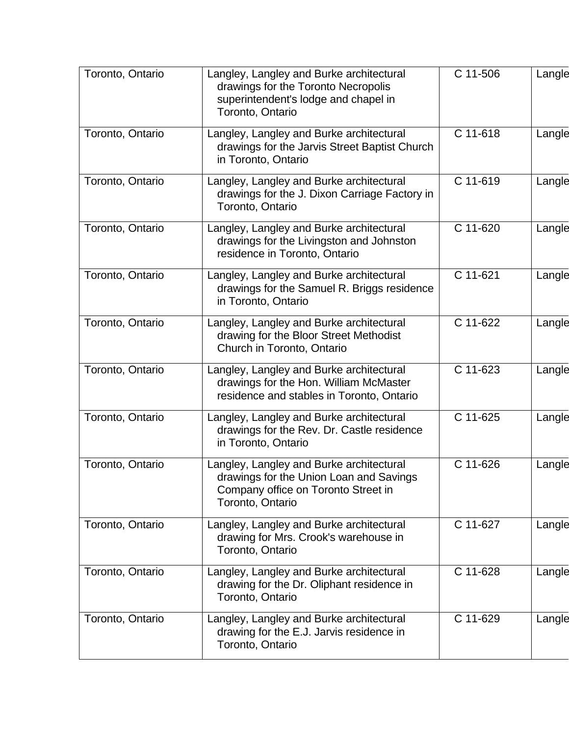| Toronto, Ontario | Langley, Langley and Burke architectural<br>drawings for the Toronto Necropolis<br>superintendent's lodge and chapel in<br>Toronto, Ontario    | $\overline{C}$ 11-506 | Langle |
|------------------|------------------------------------------------------------------------------------------------------------------------------------------------|-----------------------|--------|
| Toronto, Ontario | Langley, Langley and Burke architectural<br>drawings for the Jarvis Street Baptist Church<br>in Toronto, Ontario                               | C 11-618              | Langle |
| Toronto, Ontario | Langley, Langley and Burke architectural<br>drawings for the J. Dixon Carriage Factory in<br>Toronto, Ontario                                  | C 11-619              | Langle |
| Toronto, Ontario | Langley, Langley and Burke architectural<br>drawings for the Livingston and Johnston<br>residence in Toronto, Ontario                          | C 11-620              | Langle |
| Toronto, Ontario | Langley, Langley and Burke architectural<br>drawings for the Samuel R. Briggs residence<br>in Toronto, Ontario                                 | C 11-621              | Langle |
| Toronto, Ontario | Langley, Langley and Burke architectural<br>drawing for the Bloor Street Methodist<br>Church in Toronto, Ontario                               | C 11-622              | Langle |
| Toronto, Ontario | Langley, Langley and Burke architectural<br>drawings for the Hon. William McMaster<br>residence and stables in Toronto, Ontario                | C 11-623              | Langle |
| Toronto, Ontario | Langley, Langley and Burke architectural<br>drawings for the Rev. Dr. Castle residence<br>in Toronto, Ontario                                  | C 11-625              | Langle |
| Toronto, Ontario | Langley, Langley and Burke architectural<br>drawings for the Union Loan and Savings<br>Company office on Toronto Street in<br>Toronto, Ontario | C 11-626              | Langle |
| Toronto, Ontario | Langley, Langley and Burke architectural<br>drawing for Mrs. Crook's warehouse in<br>Toronto, Ontario                                          | C 11-627              | Langle |
| Toronto, Ontario | Langley, Langley and Burke architectural<br>drawing for the Dr. Oliphant residence in<br>Toronto, Ontario                                      | C 11-628              | Langle |
| Toronto, Ontario | Langley, Langley and Burke architectural<br>drawing for the E.J. Jarvis residence in<br>Toronto, Ontario                                       | C 11-629              | Langle |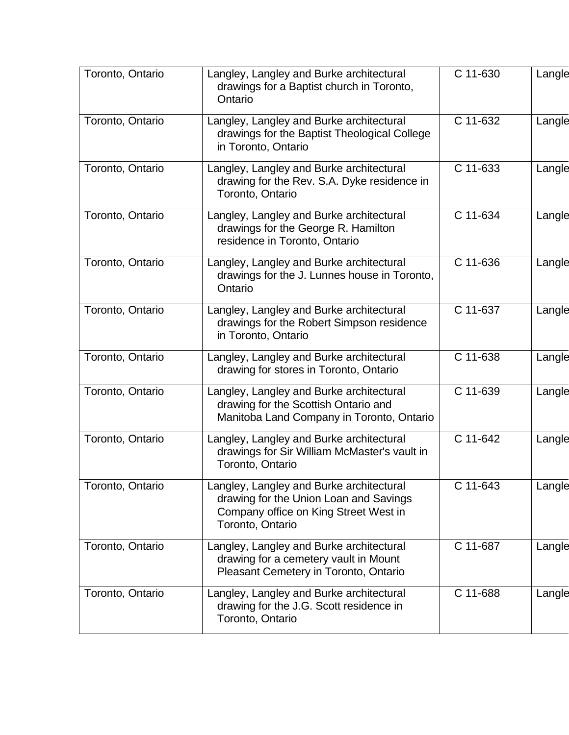| Toronto, Ontario | Langley, Langley and Burke architectural<br>drawings for a Baptist church in Toronto,<br>Ontario                                                | C 11-630 | Langle |
|------------------|-------------------------------------------------------------------------------------------------------------------------------------------------|----------|--------|
| Toronto, Ontario | Langley, Langley and Burke architectural<br>drawings for the Baptist Theological College<br>in Toronto, Ontario                                 | C 11-632 | Langle |
| Toronto, Ontario | Langley, Langley and Burke architectural<br>drawing for the Rev. S.A. Dyke residence in<br>Toronto, Ontario                                     | C 11-633 | Langle |
| Toronto, Ontario | Langley, Langley and Burke architectural<br>drawings for the George R. Hamilton<br>residence in Toronto, Ontario                                | C 11-634 | Langle |
| Toronto, Ontario | Langley, Langley and Burke architectural<br>drawings for the J. Lunnes house in Toronto,<br>Ontario                                             | C 11-636 | Langle |
| Toronto, Ontario | Langley, Langley and Burke architectural<br>drawings for the Robert Simpson residence<br>in Toronto, Ontario                                    | C 11-637 | Langle |
| Toronto, Ontario | Langley, Langley and Burke architectural<br>drawing for stores in Toronto, Ontario                                                              | C 11-638 | Langle |
| Toronto, Ontario | Langley, Langley and Burke architectural<br>drawing for the Scottish Ontario and<br>Manitoba Land Company in Toronto, Ontario                   | C 11-639 | Langle |
| Toronto, Ontario | Langley, Langley and Burke architectural<br>drawings for Sir William McMaster's vault in<br>Toronto, Ontario                                    | C 11-642 | Langle |
| Toronto, Ontario | Langley, Langley and Burke architectural<br>drawing for the Union Loan and Savings<br>Company office on King Street West in<br>Toronto, Ontario | C 11-643 | Langle |
| Toronto, Ontario | Langley, Langley and Burke architectural<br>drawing for a cemetery vault in Mount<br>Pleasant Cemetery in Toronto, Ontario                      | C 11-687 | Langle |
| Toronto, Ontario | Langley, Langley and Burke architectural<br>drawing for the J.G. Scott residence in<br>Toronto, Ontario                                         | C 11-688 | Langle |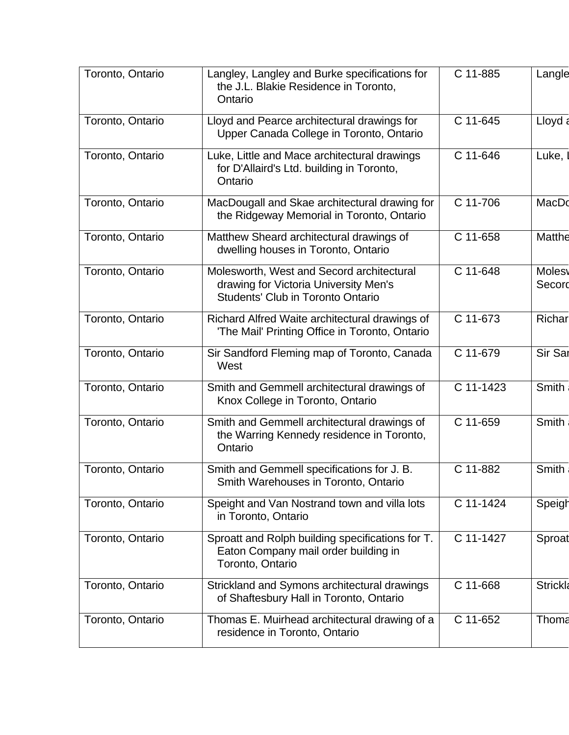| Toronto, Ontario | Langley, Langley and Burke specifications for<br>the J.L. Blakie Residence in Toronto,<br>Ontario                       | C 11-885   | Langle                  |
|------------------|-------------------------------------------------------------------------------------------------------------------------|------------|-------------------------|
| Toronto, Ontario | Lloyd and Pearce architectural drawings for<br>Upper Canada College in Toronto, Ontario                                 | C 11-645   | Lloyd a                 |
| Toronto, Ontario | Luke, Little and Mace architectural drawings<br>for D'Allaird's Ltd. building in Toronto,<br>Ontario                    | C 11-646   | Luke,                   |
| Toronto, Ontario | MacDougall and Skae architectural drawing for<br>the Ridgeway Memorial in Toronto, Ontario                              | $C$ 11-706 | MacDo                   |
| Toronto, Ontario | Matthew Sheard architectural drawings of<br>dwelling houses in Toronto, Ontario                                         | C 11-658   | Matthe                  |
| Toronto, Ontario | Molesworth, West and Secord architectural<br>drawing for Victoria University Men's<br>Students' Club in Toronto Ontario | C 11-648   | <b>Molesy</b><br>Secord |
| Toronto, Ontario | Richard Alfred Waite architectural drawings of<br>'The Mail' Printing Office in Toronto, Ontario                        | C 11-673   | Richar                  |
| Toronto, Ontario | Sir Sandford Fleming map of Toronto, Canada<br>West                                                                     | C 11-679   | Sir Sar                 |
| Toronto, Ontario | Smith and Gemmell architectural drawings of<br>Knox College in Toronto, Ontario                                         | C 11-1423  | Smith                   |
| Toronto, Ontario | Smith and Gemmell architectural drawings of<br>the Warring Kennedy residence in Toronto,<br>Ontario                     | C 11-659   | Smith                   |
| Toronto, Ontario | Smith and Gemmell specifications for J. B.<br>Smith Warehouses in Toronto, Ontario                                      | C 11-882   | Smith                   |
| Toronto, Ontario | Speight and Van Nostrand town and villa lots<br>in Toronto, Ontario                                                     | C 11-1424  | Speigh                  |
| Toronto, Ontario | Sproatt and Rolph building specifications for T.<br>Eaton Company mail order building in<br>Toronto, Ontario            | C 11-1427  | Sproat                  |
| Toronto, Ontario | Strickland and Symons architectural drawings<br>of Shaftesbury Hall in Toronto, Ontario                                 | C 11-668   | <b>Strickla</b>         |
| Toronto, Ontario | Thomas E. Muirhead architectural drawing of a<br>residence in Toronto, Ontario                                          | C 11-652   | Thoma                   |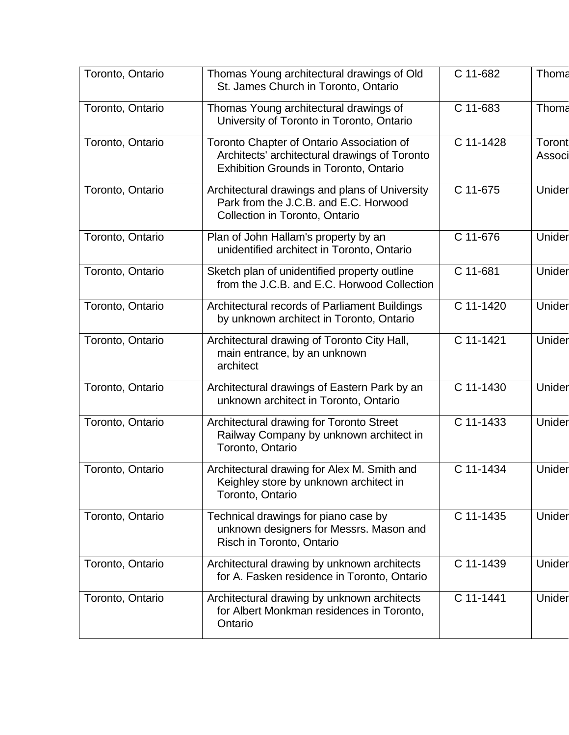| Toronto, Ontario | Thomas Young architectural drawings of Old<br>St. James Church in Toronto, Ontario                                                          | C 11-682  | Thoma            |
|------------------|---------------------------------------------------------------------------------------------------------------------------------------------|-----------|------------------|
| Toronto, Ontario | Thomas Young architectural drawings of<br>University of Toronto in Toronto, Ontario                                                         | C 11-683  | Thoma            |
| Toronto, Ontario | Toronto Chapter of Ontario Association of<br>Architects' architectural drawings of Toronto<br><b>Exhibition Grounds in Toronto, Ontario</b> | C 11-1428 | Toront<br>Associ |
| Toronto, Ontario | Architectural drawings and plans of University<br>Park from the J.C.B. and E.C. Horwood<br>Collection in Toronto, Ontario                   | C 11-675  | Unider           |
| Toronto, Ontario | Plan of John Hallam's property by an<br>unidentified architect in Toronto, Ontario                                                          | C 11-676  | Unider           |
| Toronto, Ontario | Sketch plan of unidentified property outline<br>from the J.C.B. and E.C. Horwood Collection                                                 | C 11-681  | Unider           |
| Toronto, Ontario | Architectural records of Parliament Buildings<br>by unknown architect in Toronto, Ontario                                                   | C 11-1420 | Unider           |
| Toronto, Ontario | Architectural drawing of Toronto City Hall,<br>main entrance, by an unknown<br>architect                                                    | C 11-1421 | Unider           |
| Toronto, Ontario | Architectural drawings of Eastern Park by an<br>unknown architect in Toronto, Ontario                                                       | C 11-1430 | Unider           |
| Toronto, Ontario | Architectural drawing for Toronto Street<br>Railway Company by unknown architect in<br>Toronto, Ontario                                     | C 11-1433 | Unider           |
| Toronto, Ontario | Architectural drawing for Alex M. Smith and<br>Keighley store by unknown architect in<br>Toronto, Ontario                                   | C 11-1434 | Unider           |
| Toronto, Ontario | Technical drawings for piano case by<br>unknown designers for Messrs. Mason and<br>Risch in Toronto, Ontario                                | C 11-1435 | Unider           |
| Toronto, Ontario | Architectural drawing by unknown architects<br>for A. Fasken residence in Toronto, Ontario                                                  | C 11-1439 | Unider           |
| Toronto, Ontario | Architectural drawing by unknown architects<br>for Albert Monkman residences in Toronto,<br>Ontario                                         | C 11-1441 | Unider           |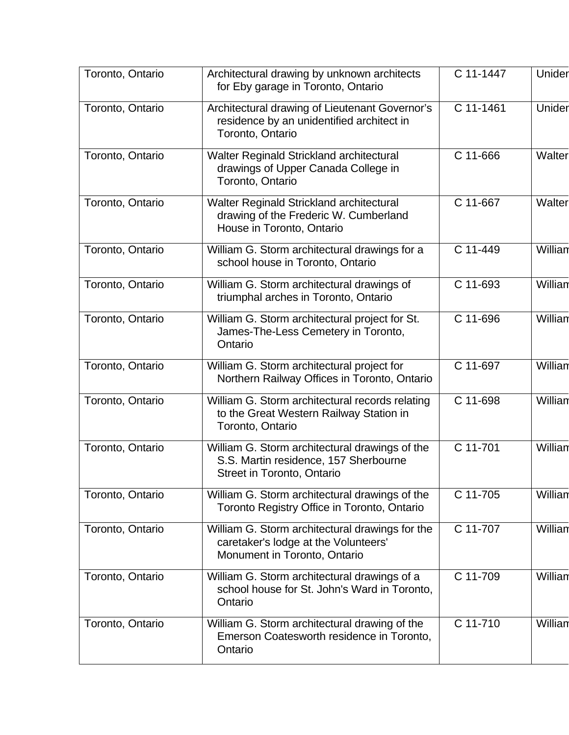| Toronto, Ontario | Architectural drawing by unknown architects<br>for Eby garage in Toronto, Ontario                                       | C 11-1447 | Unider  |
|------------------|-------------------------------------------------------------------------------------------------------------------------|-----------|---------|
| Toronto, Ontario | Architectural drawing of Lieutenant Governor's<br>residence by an unidentified architect in<br>Toronto, Ontario         | C 11-1461 | Unider  |
| Toronto, Ontario | Walter Reginald Strickland architectural<br>drawings of Upper Canada College in<br>Toronto, Ontario                     | C 11-666  | Walter  |
| Toronto, Ontario | Walter Reginald Strickland architectural<br>drawing of the Frederic W. Cumberland<br>House in Toronto, Ontario          | C 11-667  | Walter  |
| Toronto, Ontario | William G. Storm architectural drawings for a<br>school house in Toronto, Ontario                                       | C 11-449  | Willian |
| Toronto, Ontario | William G. Storm architectural drawings of<br>triumphal arches in Toronto, Ontario                                      | C 11-693  | William |
| Toronto, Ontario | William G. Storm architectural project for St.<br>James-The-Less Cemetery in Toronto,<br>Ontario                        | C 11-696  | Willian |
| Toronto, Ontario | William G. Storm architectural project for<br>Northern Railway Offices in Toronto, Ontario                              | C 11-697  | Willian |
| Toronto, Ontario | William G. Storm architectural records relating<br>to the Great Western Railway Station in<br>Toronto, Ontario          | C 11-698  | Willian |
| Toronto, Ontario | William G. Storm architectural drawings of the<br>S.S. Martin residence, 157 Sherbourne<br>Street in Toronto, Ontario   | C 11-701  | Willian |
| Toronto, Ontario | William G. Storm architectural drawings of the<br>Toronto Registry Office in Toronto, Ontario                           | C 11-705  | Willian |
| Toronto, Ontario | William G. Storm architectural drawings for the<br>caretaker's lodge at the Volunteers'<br>Monument in Toronto, Ontario | C 11-707  | Willian |
| Toronto, Ontario | William G. Storm architectural drawings of a<br>school house for St. John's Ward in Toronto,<br>Ontario                 | C 11-709  | Willian |
| Toronto, Ontario | William G. Storm architectural drawing of the<br>Emerson Coatesworth residence in Toronto,<br>Ontario                   | C 11-710  | Willian |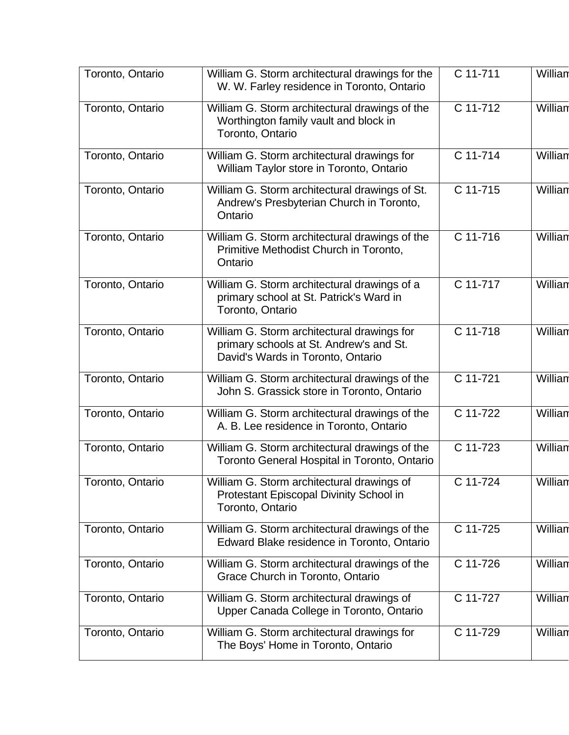| Toronto, Ontario | William G. Storm architectural drawings for the                                                                             | C 11-711 | William |
|------------------|-----------------------------------------------------------------------------------------------------------------------------|----------|---------|
|                  | W. W. Farley residence in Toronto, Ontario                                                                                  |          |         |
| Toronto, Ontario | William G. Storm architectural drawings of the<br>Worthington family vault and block in<br>Toronto, Ontario                 | C 11-712 | William |
| Toronto, Ontario | William G. Storm architectural drawings for<br>William Taylor store in Toronto, Ontario                                     | C 11-714 | Willian |
| Toronto, Ontario | William G. Storm architectural drawings of St.<br>Andrew's Presbyterian Church in Toronto,<br>Ontario                       | C 11-715 | William |
| Toronto, Ontario | William G. Storm architectural drawings of the<br>Primitive Methodist Church in Toronto,<br>Ontario                         | C 11-716 | William |
| Toronto, Ontario | William G. Storm architectural drawings of a<br>primary school at St. Patrick's Ward in<br>Toronto, Ontario                 | C 11-717 | William |
| Toronto, Ontario | William G. Storm architectural drawings for<br>primary schools at St. Andrew's and St.<br>David's Wards in Toronto, Ontario | C 11-718 | Willian |
| Toronto, Ontario | William G. Storm architectural drawings of the<br>John S. Grassick store in Toronto, Ontario                                | C 11-721 | Willian |
| Toronto, Ontario | William G. Storm architectural drawings of the<br>A. B. Lee residence in Toronto, Ontario                                   | C 11-722 | William |
| Toronto, Ontario | William G. Storm architectural drawings of the<br>Toronto General Hospital in Toronto, Ontario                              | C 11-723 | Willian |
| Toronto, Ontario | William G. Storm architectural drawings of<br>Protestant Episcopal Divinity School in<br>Toronto, Ontario                   | C 11-724 | Willian |
| Toronto, Ontario | William G. Storm architectural drawings of the<br>Edward Blake residence in Toronto, Ontario                                | C 11-725 | Willian |
| Toronto, Ontario | William G. Storm architectural drawings of the<br>Grace Church in Toronto, Ontario                                          | C 11-726 | Willian |
| Toronto, Ontario | William G. Storm architectural drawings of<br>Upper Canada College in Toronto, Ontario                                      | C 11-727 | William |
| Toronto, Ontario | William G. Storm architectural drawings for<br>The Boys' Home in Toronto, Ontario                                           | C 11-729 | William |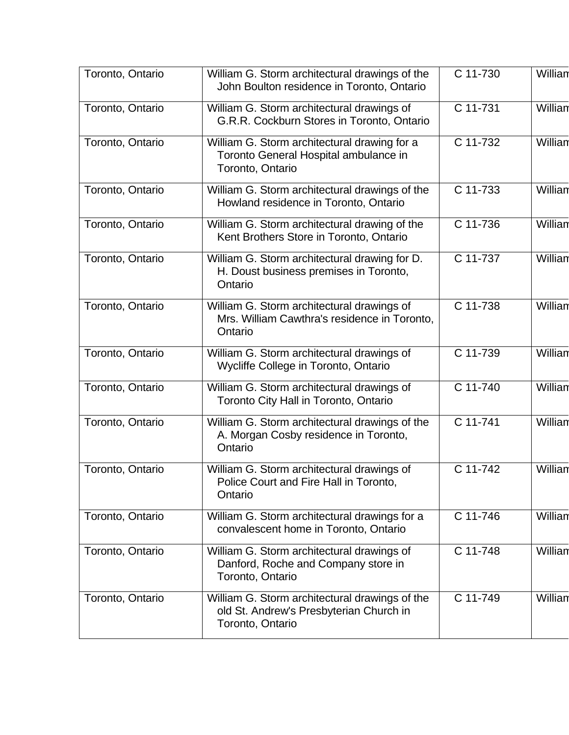| Toronto, Ontario | William G. Storm architectural drawings of the<br>John Boulton residence in Toronto, Ontario                  | C 11-730 | Willian |
|------------------|---------------------------------------------------------------------------------------------------------------|----------|---------|
| Toronto, Ontario | William G. Storm architectural drawings of<br>G.R.R. Cockburn Stores in Toronto, Ontario                      | C 11-731 | William |
| Toronto, Ontario | William G. Storm architectural drawing for a<br>Toronto General Hospital ambulance in<br>Toronto, Ontario     | C 11-732 | William |
| Toronto, Ontario | William G. Storm architectural drawings of the<br>Howland residence in Toronto, Ontario                       | C 11-733 | William |
| Toronto, Ontario | William G. Storm architectural drawing of the<br>Kent Brothers Store in Toronto, Ontario                      | C 11-736 | Willian |
| Toronto, Ontario | William G. Storm architectural drawing for D.<br>H. Doust business premises in Toronto,<br>Ontario            | C 11-737 | William |
| Toronto, Ontario | William G. Storm architectural drawings of<br>Mrs. William Cawthra's residence in Toronto,<br>Ontario         | C 11-738 | William |
| Toronto, Ontario | William G. Storm architectural drawings of<br>Wycliffe College in Toronto, Ontario                            | C 11-739 | Willian |
| Toronto, Ontario | William G. Storm architectural drawings of<br>Toronto City Hall in Toronto, Ontario                           | C 11-740 | Willian |
| Toronto, Ontario | William G. Storm architectural drawings of the<br>A. Morgan Cosby residence in Toronto,<br>Ontario            | C 11-741 | Willian |
| Toronto, Ontario | William G. Storm architectural drawings of<br>Police Court and Fire Hall in Toronto,<br>Ontario               | C 11-742 | Willian |
| Toronto, Ontario | William G. Storm architectural drawings for a<br>convalescent home in Toronto, Ontario                        | C 11-746 | Willian |
| Toronto, Ontario | William G. Storm architectural drawings of<br>Danford, Roche and Company store in<br>Toronto, Ontario         | C 11-748 | Willian |
| Toronto, Ontario | William G. Storm architectural drawings of the<br>old St. Andrew's Presbyterian Church in<br>Toronto, Ontario | C 11-749 | Willian |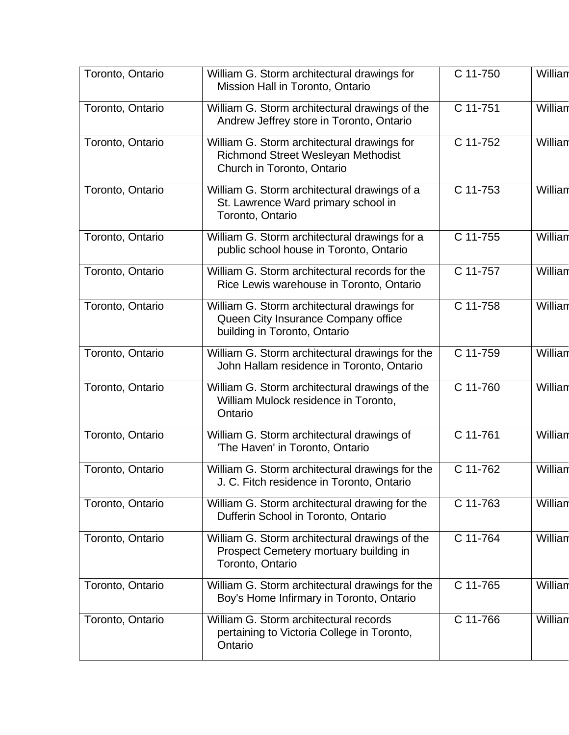| Toronto, Ontario | William G. Storm architectural drawings for<br>Mission Hall in Toronto, Ontario                                    | C 11-750 | William |
|------------------|--------------------------------------------------------------------------------------------------------------------|----------|---------|
| Toronto, Ontario | William G. Storm architectural drawings of the<br>Andrew Jeffrey store in Toronto, Ontario                         | C 11-751 | William |
| Toronto, Ontario | William G. Storm architectural drawings for<br>Richmond Street Wesleyan Methodist<br>Church in Toronto, Ontario    | C 11-752 | William |
| Toronto, Ontario | William G. Storm architectural drawings of a<br>St. Lawrence Ward primary school in<br>Toronto, Ontario            | C 11-753 | Willian |
| Toronto, Ontario | William G. Storm architectural drawings for a<br>public school house in Toronto, Ontario                           | C 11-755 | William |
| Toronto, Ontario | William G. Storm architectural records for the<br>Rice Lewis warehouse in Toronto, Ontario                         | C 11-757 | William |
| Toronto, Ontario | William G. Storm architectural drawings for<br>Queen City Insurance Company office<br>building in Toronto, Ontario | C 11-758 | William |
| Toronto, Ontario | William G. Storm architectural drawings for the<br>John Hallam residence in Toronto, Ontario                       | C 11-759 | Willian |
| Toronto, Ontario | William G. Storm architectural drawings of the<br>William Mulock residence in Toronto,<br>Ontario                  | C 11-760 | Willian |
| Toronto, Ontario | William G. Storm architectural drawings of<br>'The Haven' in Toronto, Ontario                                      | C 11-761 | Willian |
| Toronto, Ontario | William G. Storm architectural drawings for the<br>J. C. Fitch residence in Toronto, Ontario                       | C 11-762 | Willian |
| Toronto, Ontario | William G. Storm architectural drawing for the<br>Dufferin School in Toronto, Ontario                              | C 11-763 | Willian |
| Toronto, Ontario | William G. Storm architectural drawings of the<br>Prospect Cemetery mortuary building in<br>Toronto, Ontario       | C 11-764 | William |
| Toronto, Ontario | William G. Storm architectural drawings for the<br>Boy's Home Infirmary in Toronto, Ontario                        | C 11-765 | William |
| Toronto, Ontario | William G. Storm architectural records<br>pertaining to Victoria College in Toronto,<br>Ontario                    | C 11-766 | Willian |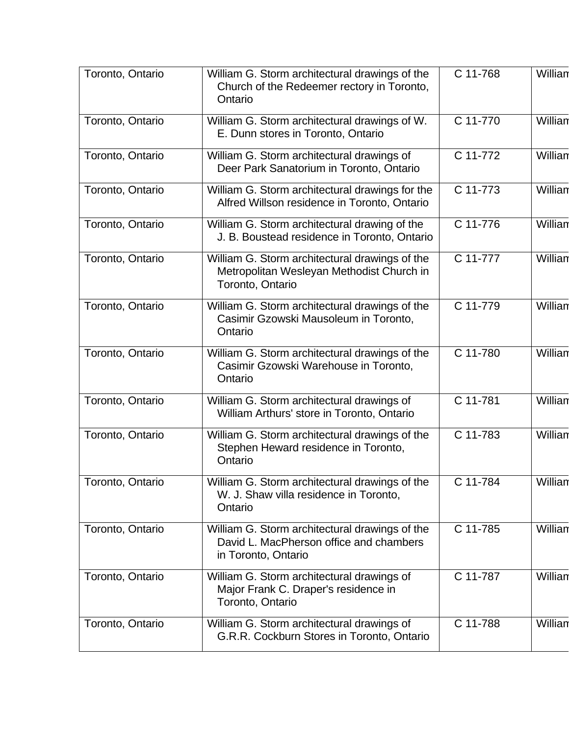| Toronto, Ontario | William G. Storm architectural drawings of the<br>Church of the Redeemer rectory in Toronto,<br>Ontario          | C 11-768 | William |
|------------------|------------------------------------------------------------------------------------------------------------------|----------|---------|
| Toronto, Ontario | William G. Storm architectural drawings of W.<br>E. Dunn stores in Toronto, Ontario                              | C 11-770 | Willian |
| Toronto, Ontario | William G. Storm architectural drawings of<br>Deer Park Sanatorium in Toronto, Ontario                           | C 11-772 | Willian |
| Toronto, Ontario | William G. Storm architectural drawings for the<br>Alfred Willson residence in Toronto, Ontario                  | C 11-773 | William |
| Toronto, Ontario | William G. Storm architectural drawing of the<br>J. B. Boustead residence in Toronto, Ontario                    | C 11-776 | William |
| Toronto, Ontario | William G. Storm architectural drawings of the<br>Metropolitan Wesleyan Methodist Church in<br>Toronto, Ontario  | C 11-777 | William |
| Toronto, Ontario | William G. Storm architectural drawings of the<br>Casimir Gzowski Mausoleum in Toronto,<br>Ontario               | C 11-779 | William |
| Toronto, Ontario | William G. Storm architectural drawings of the<br>Casimir Gzowski Warehouse in Toronto,<br>Ontario               | C 11-780 | Willian |
| Toronto, Ontario | William G. Storm architectural drawings of<br>William Arthurs' store in Toronto, Ontario                         | C 11-781 | Willian |
| Toronto, Ontario | William G. Storm architectural drawings of the<br>Stephen Heward residence in Toronto,<br>Ontario                | C 11-783 | William |
| Toronto, Ontario | William G. Storm architectural drawings of the<br>W. J. Shaw villa residence in Toronto,<br>Ontario              | C 11-784 | Willian |
| Toronto, Ontario | William G. Storm architectural drawings of the<br>David L. MacPherson office and chambers<br>in Toronto, Ontario | C 11-785 | William |
| Toronto, Ontario | William G. Storm architectural drawings of<br>Major Frank C. Draper's residence in<br>Toronto, Ontario           | C 11-787 | Willian |
| Toronto, Ontario | William G. Storm architectural drawings of<br>G.R.R. Cockburn Stores in Toronto, Ontario                         | C 11-788 | Willian |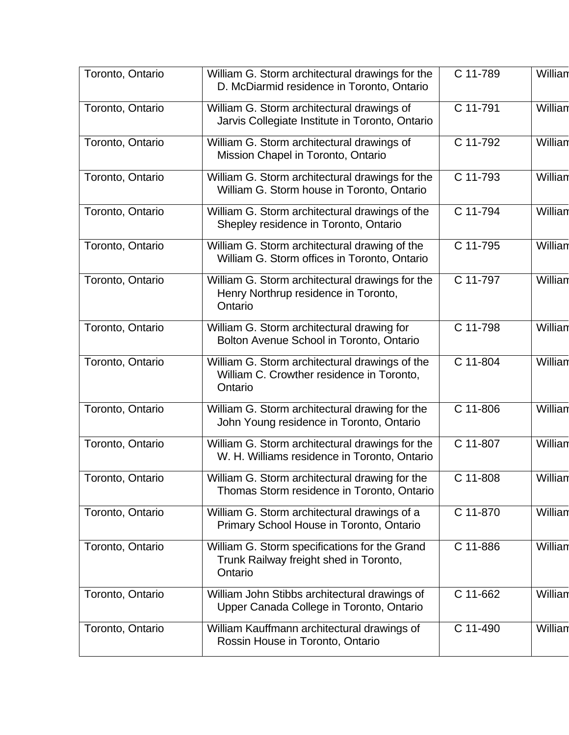| Toronto, Ontario | William G. Storm architectural drawings for the<br>D. McDiarmid residence in Toronto, Ontario          | C 11-789 | William |
|------------------|--------------------------------------------------------------------------------------------------------|----------|---------|
| Toronto, Ontario | William G. Storm architectural drawings of<br>Jarvis Collegiate Institute in Toronto, Ontario          | C 11-791 | William |
| Toronto, Ontario | William G. Storm architectural drawings of<br>Mission Chapel in Toronto, Ontario                       | C 11-792 | Willian |
| Toronto, Ontario | William G. Storm architectural drawings for the<br>William G. Storm house in Toronto, Ontario          | C 11-793 | William |
| Toronto, Ontario | William G. Storm architectural drawings of the<br>Shepley residence in Toronto, Ontario                | C 11-794 | William |
| Toronto, Ontario | William G. Storm architectural drawing of the<br>William G. Storm offices in Toronto, Ontario          | C 11-795 | William |
| Toronto, Ontario | William G. Storm architectural drawings for the<br>Henry Northrup residence in Toronto,<br>Ontario     | C 11-797 | Willian |
| Toronto, Ontario | William G. Storm architectural drawing for<br>Bolton Avenue School in Toronto, Ontario                 | C 11-798 | Willian |
| Toronto, Ontario | William G. Storm architectural drawings of the<br>William C. Crowther residence in Toronto,<br>Ontario | C 11-804 | William |
| Toronto, Ontario | William G. Storm architectural drawing for the<br>John Young residence in Toronto, Ontario             | C 11-806 | Willian |
| Toronto, Ontario | William G. Storm architectural drawings for the<br>W. H. Williams residence in Toronto, Ontario        | C 11-807 | Willian |
| Toronto, Ontario | William G. Storm architectural drawing for the<br>Thomas Storm residence in Toronto, Ontario           | C 11-808 | William |
| Toronto, Ontario | William G. Storm architectural drawings of a<br>Primary School House in Toronto, Ontario               | C 11-870 | Willian |
| Toronto, Ontario | William G. Storm specifications for the Grand<br>Trunk Railway freight shed in Toronto,<br>Ontario     | C 11-886 | William |
| Toronto, Ontario | William John Stibbs architectural drawings of<br>Upper Canada College in Toronto, Ontario              | C 11-662 | Willian |
| Toronto, Ontario | William Kauffmann architectural drawings of<br>Rossin House in Toronto, Ontario                        | C 11-490 | Willian |